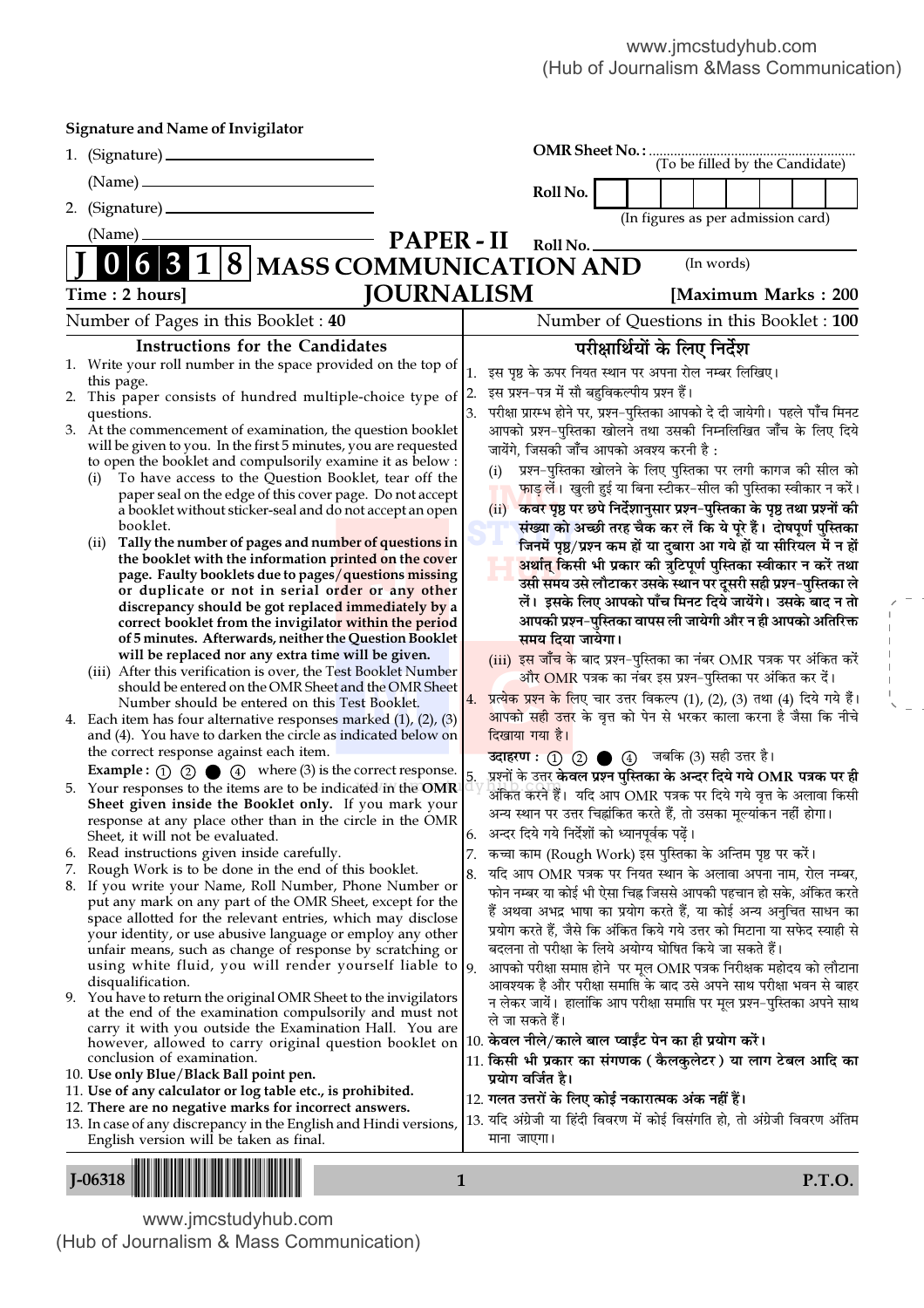| <b>Signature and Name of Invigilator</b>                                                                                    |                                                                                                                                                      |
|-----------------------------------------------------------------------------------------------------------------------------|------------------------------------------------------------------------------------------------------------------------------------------------------|
|                                                                                                                             |                                                                                                                                                      |
|                                                                                                                             |                                                                                                                                                      |
| 2.                                                                                                                          | Roll No.                                                                                                                                             |
| (Name)                                                                                                                      | (In figures as per admission card)                                                                                                                   |
|                                                                                                                             | <b>PAPER-II</b><br>Roll No.<br>(In words)                                                                                                            |
| $ 8 $ MASS COMMUNICATION AND<br>$\mathbf{I}$                                                                                |                                                                                                                                                      |
| Time: 2 hours]                                                                                                              | <b>JOURNALISM</b><br>[Maximum Marks: 200]                                                                                                            |
| Number of Pages in this Booklet: 40                                                                                         | Number of Questions in this Booklet : 100                                                                                                            |
| <b>Instructions for the Candidates</b>                                                                                      | परीक्षार्थियों के लिए निर्देश                                                                                                                        |
| 1. Write your roll number in the space provided on the top of<br>this page.                                                 | इस पृष्ठ के ऊपर नियत स्थान पर अपना रोल नम्बर लिखिए।<br>1.                                                                                            |
| 2. This paper consists of hundred multiple-choice type of                                                                   | इस प्रश्न-पत्र में सौ बहुविकल्पीय प्रश्न हैं।<br> 2.                                                                                                 |
| questions.<br>3. At the commencement of examination, the question booklet                                                   | परीक्षा प्रारम्भ होने पर, प्रश्न-पुस्तिका आपको दे दी जायेगी। पहले पाँच मिनट<br>3.<br>आपको प्रश्न-पुस्तिका खोलने तथा उसकी निम्नलिखित जाँच के लिए दिये |
| will be given to you. In the first 5 minutes, you are requested                                                             | जायेंगे, जिसकी जाँच आपको अवश्य करनी है :                                                                                                             |
| to open the booklet and compulsorily examine it as below :<br>To have access to the Question Booklet, tear off the<br>(i)   | प्रश्न-पुस्तिका खोलने के लिए पुस्तिका पर लगी कागज की सील को<br>(i)                                                                                   |
| paper seal on the edge of this cover page. Do not accept                                                                    | फाड़ लें। खुली हुई या बिना स्टीकर-सील की पुस्तिका स्वीकार न करें।                                                                                    |
| a booklet without sticker-seal and do not accept an open<br>booklet.                                                        | कवर पृष्ठ पर छपे निर्देशानुसार प्रश्न-पुस्तिका के पृष्ठ तथा प्रश्नों की<br>(ii)                                                                      |
| Tally the number of pages and number of questions in<br>(11)                                                                | संख्या को अच्छी तरह चैक कर लें कि ये पूरे हैं। दोषपूर्ण पुस्तिका<br>जिनमें पृष्ठ/प्रश्न कम हों या दुबारा आ गये हों या सीरियल में न हों               |
| the booklet with the information printed on the cover                                                                       | अर्थात् किसी भी प्रकार की त्रुटिपूर्ण पुस्तिका स्वीकार न करें तथा                                                                                    |
| page. Faulty booklets due to pages/questions missing<br>or duplicate or not in serial order or any other                    | उसी समय उसे लौटाकर उसके स्थान पर दूसरी सही प्रश्न-पुस्तिका ले                                                                                        |
| discrepancy should be got replaced immediately by a                                                                         | लें। इसके लिए आपको पाँच मिनट दिये जायेंगे। उसके बाद न तो                                                                                             |
| correct booklet from the invigilator within the period<br>of 5 minutes. Afterwards, neither the Question Booklet            | आपकी प्रश्न-पुस्तिका वापस ली जायेगी और न ही आपको अतिरिक्त<br>समय दिया जायेगा।                                                                        |
| will be replaced nor any extra time will be given.                                                                          | (iii) इस जाँच के बाद प्रश्न-पुस्तिका का नंबर OMR पत्रक पर अंकित करें                                                                                 |
| (iii) After this verification is over, the Test Booklet Number<br>should be entered on the OMR Sheet and the OMR Sheet      | और OMR पत्रक का नंबर इस प्रश्न-पुस्तिका पर अंकित कर दें।                                                                                             |
| Number should be entered on this Test Booklet.                                                                              | प्रत्येक प्रश्न के लिए चार उत्तर विकल्प (1), (2), (3) तथा (4) दिये गये हैं।<br>4.                                                                    |
| 4. Each item has four alternative responses marked $(1)$ , $(2)$ , $(3)$                                                    | आपको सही उत्तर के वृत्त को पेन से भरकर काला करना है जैसा कि नीचे<br>दिखाया गया है।                                                                   |
| and (4). You have to darken the circle as indicated below on<br>the correct response against each item.                     | उदाहरण : (1) (2) ● (4) जबकि (3) सही उत्तर है।                                                                                                        |
| <b>Example :</b> $\odot$ $\odot$ $\odot$ $\odot$ $\odot$ $\odot$ where (3) is the correct response.                         | प्रश्नों के उत्तर केवल प्रश्न पुस्तिका के अन्दर दिये गये OMR पत्रक पर ही<br>5.                                                                       |
| 5. Your responses to the items are to be indicated in the OMR<br>Sheet given inside the Booklet only. If you mark your      | अंकित करने हैं।  यदि आप OMR पत्रक पर दिये गये वृत्त के अलावा किसी                                                                                    |
| response at any place other than in the circle in the OMR                                                                   | अन्य स्थान पर उत्तर चिह्नांकित करते हैं, तो उसका मूल्यांकन नहीं होगा।                                                                                |
| Sheet, it will not be evaluated.                                                                                            | अन्दर दिये गये निर्देशों को ध्यानपूर्वक पढ़ें।<br>6.                                                                                                 |
| Read instructions given inside carefully.<br>6.<br>7. Rough Work is to be done in the end of this booklet.                  | कच्चा काम (Rough Work) इस पुस्तिका के अन्तिम पृष्ठ पर करें।<br>7.<br>यदि आप OMR पत्रक पर नियत स्थान के अलावा अपना नाम, रोल नम्बर,<br>8.              |
| 8. If you write your Name, Roll Number, Phone Number or                                                                     | फोन नम्बर या कोई भी ऐसा चिह्न जिससे आपकी पहचान हो सके, अंकित करते                                                                                    |
| put any mark on any part of the OMR Sheet, except for the<br>space allotted for the relevant entries, which may disclose    | हैं अथवा अभद्र भाषा का प्रयोग करते हैं, या कोई अन्य अनुचित साधन का                                                                                   |
| your identity, or use abusive language or employ any other                                                                  | प्रयोग करते हैं, जैसे कि अंकित किये गये उत्तर को मिटाना या सफेद स्याही से                                                                            |
| unfair means, such as change of response by scratching or<br>using white fluid, you will render yourself liable to $ 9 $ .  | बदलना तो परीक्षा के लिये अयोग्य घोषित किये जा सकते हैं।                                                                                              |
| disqualification.                                                                                                           | आपको परीक्षा समाप्त होने पर मूल OMR पत्रक निरीक्षक महोदय को लौटाना<br>आवश्यक है और परीक्षा समाप्ति के बाद उसे अपने साथ परीक्षा भवन से बाहर           |
| 9. You have to return the original OMR Sheet to the invigilators<br>at the end of the examination compulsorily and must not | न लेकर जायें।  हालांकि आप परीक्षा समाप्ति पर मूल प्रश्न–पुस्तिका अपने साथ                                                                            |
| carry it with you outside the Examination Hall. You are                                                                     | ले जा सकते हैं।                                                                                                                                      |
| however, allowed to carry original question booklet on<br>conclusion of examination.                                        | 10. केवल नीले/काले बाल प्वाईंट पेन का ही प्रयोग करें।<br>11. किसी भी प्रकार का संगणक ( कैलकुलेटर ) या लाग टेबल आदि का                                |
| 10. Use only Blue/Black Ball point pen.                                                                                     | प्रयोग वर्जित है।                                                                                                                                    |
| 11. Use of any calculator or log table etc., is prohibited.                                                                 | 12. गलत उत्तरों के लिए कोई नकारात्मक अंक नहीं हैं।                                                                                                   |
| 12. There are no negative marks for incorrect answers.<br>13. In case of any discrepancy in the English and Hindi versions, | 13. यदि अंग्रेजी या हिंदी विवरण में कोई विसंगति हो, तो अंग्रेजी विवरण अंतिम                                                                          |
| English version will be taken as final.                                                                                     | माना जाएगा।                                                                                                                                          |
|                                                                                                                             |                                                                                                                                                      |
| $I-06318$                                                                                                                   | P.T.O.<br>$\mathbf{1}$                                                                                                                               |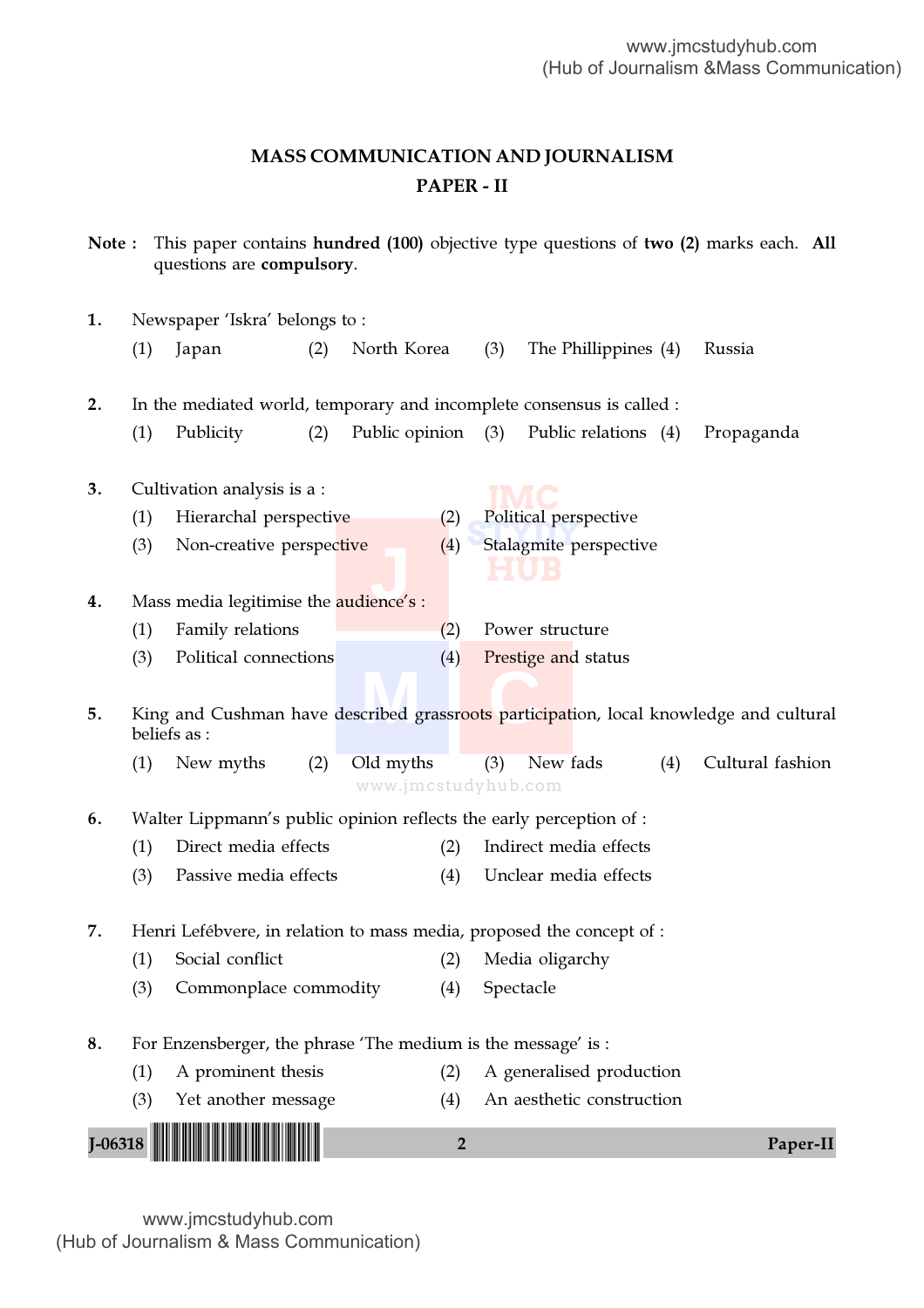# MASS COMMUNICATION AND JOURNALISM PAPER - II

Note : This paper contains hundred (100) objective type questions of two (2) marks each. All questions are compulsory.

| Newspaper 'Iskra' belongs to:<br>1. |     |                                                                       |     |                                  |                |           |                           |     |                                                                                        |
|-------------------------------------|-----|-----------------------------------------------------------------------|-----|----------------------------------|----------------|-----------|---------------------------|-----|----------------------------------------------------------------------------------------|
|                                     | (1) | Japan                                                                 | (2) | North Korea                      |                | (3)       | The Phillippines (4)      |     | Russia                                                                                 |
| 2.                                  |     | In the mediated world, temporary and incomplete consensus is called : |     |                                  |                |           |                           |     |                                                                                        |
|                                     | (1) | Publicity                                                             | (2) | Public opinion                   |                | (3)       | Public relations (4)      |     | Propaganda                                                                             |
| 3.                                  |     | Cultivation analysis is a :                                           |     |                                  |                |           |                           |     |                                                                                        |
|                                     | (1) | Hierarchal perspective                                                |     |                                  | (2)            |           | Political perspective     |     |                                                                                        |
|                                     | (3) | Non-creative perspective                                              |     |                                  | (4)            |           | Stalagmite perspective    |     |                                                                                        |
| 4.                                  |     | Mass media legitimise the <b>audience's</b> :                         |     |                                  |                |           |                           |     |                                                                                        |
|                                     | (1) | Family relations                                                      |     |                                  | (2)            |           | Power structure           |     |                                                                                        |
|                                     | (3) | Political connections                                                 |     |                                  | (4)            |           | Prestige and status       |     |                                                                                        |
|                                     |     |                                                                       |     |                                  |                |           |                           |     |                                                                                        |
| 5.                                  |     | beliefs as :                                                          |     |                                  |                |           |                           |     | King and Cushman have described grassroots participation, local knowledge and cultural |
|                                     | (1) | New myths                                                             | (2) | Old myths<br>www.jmcstudyhub.com |                | (3)       | New fads                  | (4) | Cultural fashion                                                                       |
| 6.                                  |     | Walter Lippmann's public opinion reflects the early perception of :   |     |                                  |                |           |                           |     |                                                                                        |
|                                     | (1) | Direct media effects                                                  |     |                                  | (2)            |           | Indirect media effects    |     |                                                                                        |
|                                     | (3) | Passive media effects                                                 |     |                                  | (4)            |           | Unclear media effects     |     |                                                                                        |
| 7.                                  |     | Henri Lefébvere, in relation to mass media, proposed the concept of : |     |                                  |                |           |                           |     |                                                                                        |
|                                     | (1) | Social conflict                                                       |     |                                  | (2)            |           | Media oligarchy           |     |                                                                                        |
|                                     | (3) | Commonplace commodity                                                 |     |                                  | (4)            | Spectacle |                           |     |                                                                                        |
| 8.                                  |     | For Enzensberger, the phrase 'The medium is the message' is :         |     |                                  |                |           |                           |     |                                                                                        |
|                                     | (1) | A prominent thesis                                                    |     |                                  | (2)            |           | A generalised production  |     |                                                                                        |
|                                     | (3) | Yet another message                                                   |     |                                  | (4)            |           | An aesthetic construction |     |                                                                                        |
|                                     |     |                                                                       |     |                                  |                |           |                           |     |                                                                                        |
| $J - 06318$                         |     |                                                                       |     |                                  | $\overline{2}$ |           |                           |     | Paper-II                                                                               |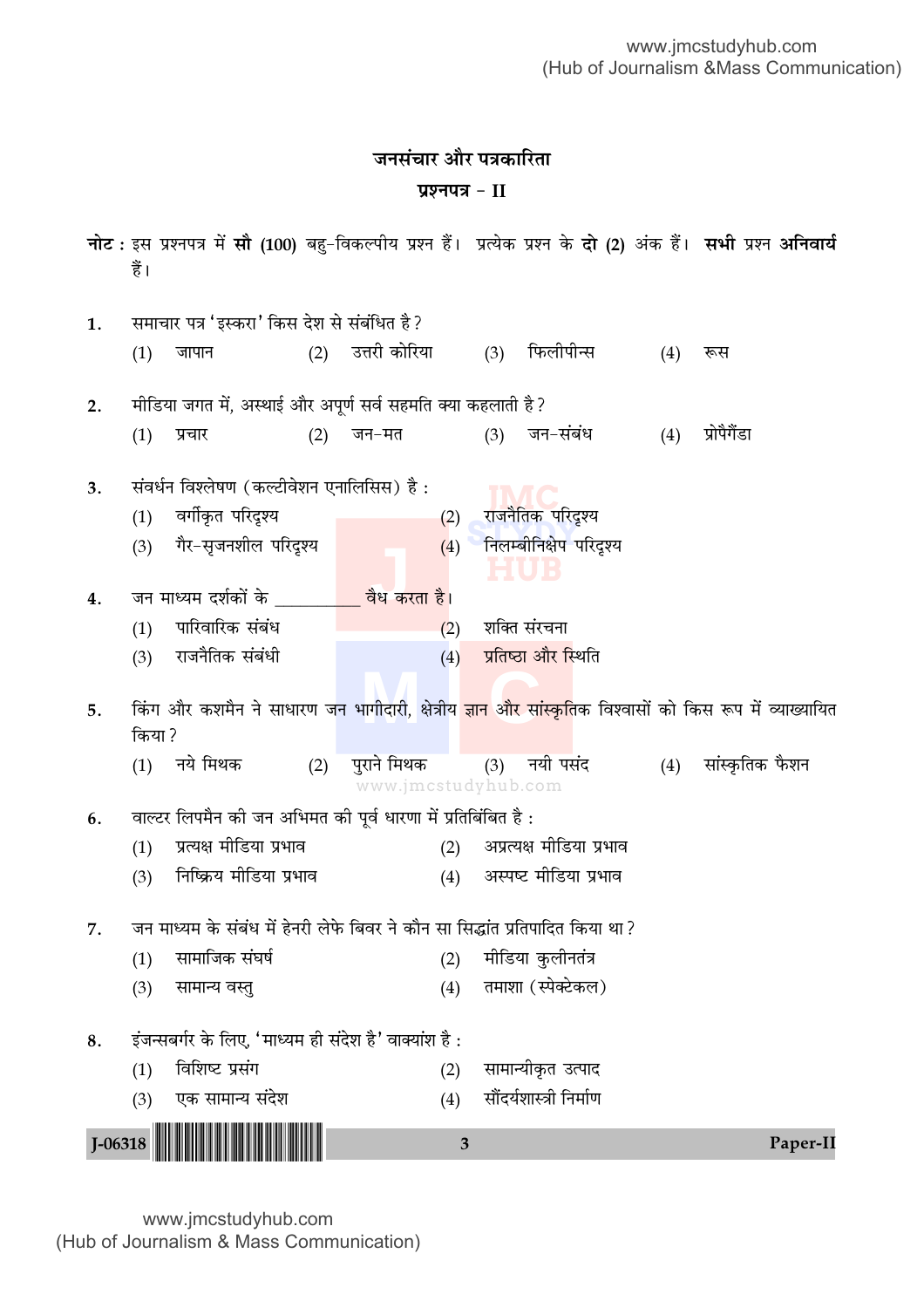# **जनसंचार और पत्रकारिता प्रश्नपत्र - II**

|                                                 | हैं।                                                   |                                                                                |     |                                                               |     |                                      |     | नोट: इस प्रश्नपत्र में सौ (100) बहु-विकल्पीय प्रश्न हैं। प्रत्येक प्रश्न के <b>दो (2)</b> अंक हैं। सभी प्रश्न अनिवार्य |  |  |  |
|-------------------------------------------------|--------------------------------------------------------|--------------------------------------------------------------------------------|-----|---------------------------------------------------------------|-----|--------------------------------------|-----|------------------------------------------------------------------------------------------------------------------------|--|--|--|
| 1.                                              |                                                        | समाचार पत्र 'इस्करा' किस देश से संबंधित है ?                                   |     |                                                               |     |                                      |     |                                                                                                                        |  |  |  |
|                                                 | (1)                                                    | जापान                                                                          | (2) | उत्तरी कोरिया                                                 | (3) | फिलीपीन्स                            | (4) | रूस                                                                                                                    |  |  |  |
| 2.                                              |                                                        | मीडिया जगत में, अस्थाई और अपूर्ण सर्व सहमति क्या कहलाती है?                    |     |                                                               |     |                                      |     |                                                                                                                        |  |  |  |
|                                                 | (1)                                                    | प्रचार                                                                         | (2) | जन–मत                                                         | (3) | जन-संबंध                             | (4) | प्रोपैगैंडा                                                                                                            |  |  |  |
| संवर्धन विश्लेषण (कल्टीवेशन एनालिसिस) है:<br>3. |                                                        |                                                                                |     |                                                               |     |                                      |     |                                                                                                                        |  |  |  |
|                                                 | (1)                                                    | वर्गीकृत परिदृश्य                                                              |     | (2)                                                           |     | राजनैतिक परिदृश्य                    |     |                                                                                                                        |  |  |  |
|                                                 | (3)                                                    | गैर-सृजनशील परिदृश्य                                                           |     |                                                               |     | (4) निलम्बीनिक्षेप परिदृश्य<br>ELUIS |     |                                                                                                                        |  |  |  |
| 4.                                              |                                                        | जन माध्यम दर्शकों के __________ वैध करता है।                                   |     |                                                               |     |                                      |     |                                                                                                                        |  |  |  |
|                                                 | (1)                                                    | पारिवारिक संबंध                                                                |     | (2)                                                           |     | शक्ति संरचना                         |     |                                                                                                                        |  |  |  |
|                                                 | (3)                                                    | राजनैतिक संबंधी                                                                |     | (4)                                                           |     | प्रतिष्ठा और स्थिति                  |     |                                                                                                                        |  |  |  |
| 5.                                              | किया ?                                                 |                                                                                |     |                                                               |     |                                      |     | किंग और कशमैन ने साधारण जन भागीदारी, क्षेत्रीय ज्ञान और सांस्कृतिक विश्वासों को किस रूप में व्याख्यायित                |  |  |  |
|                                                 | (1)                                                    | नये मिथक                                                                       | (2) | पुराने मिथक           (3)     नयी पसंद<br>www.jmcstudyhub.com |     |                                      |     | (4) सांस्कृतिक फैशन                                                                                                    |  |  |  |
| 6.                                              |                                                        | वाल्टर लिपमैन की जन अभिमत की पूर्व धारणा में प्रतिबिंबित है :                  |     |                                                               |     |                                      |     |                                                                                                                        |  |  |  |
|                                                 | (1)                                                    | प्रत्यक्ष मीडिया प्रभाव                                                        |     |                                                               |     | (2) अप्रत्यक्ष मीडिया प्रभाव         |     |                                                                                                                        |  |  |  |
|                                                 | (3)                                                    | निष्क्रिय मीडिया प्रभाव                                                        |     |                                                               |     | (4) अस्पष्ट मीडिया प्रभाव            |     |                                                                                                                        |  |  |  |
| 7.                                              |                                                        | जन माध्यम के संबंध में हेनरी लेफे बिवर ने कौन सा सिद्धांत प्रतिपादित किया था ? |     |                                                               |     |                                      |     |                                                                                                                        |  |  |  |
|                                                 | (1)                                                    | सामाजिक संघर्ष                                                                 |     | (2)                                                           |     | मीडिया कुलीनतंत्र                    |     |                                                                                                                        |  |  |  |
|                                                 | (3)                                                    | सामान्य वस्तु                                                                  |     | (4)                                                           |     | तमाशा (स्पेक्टेकल)                   |     |                                                                                                                        |  |  |  |
| 8.                                              | इंजन्सबर्गर के लिए, 'माध्यम ही संदेश है' वाक्यांश है : |                                                                                |     |                                                               |     |                                      |     |                                                                                                                        |  |  |  |
|                                                 | (1)                                                    | विशिष्ट प्रसंग                                                                 |     | (2)                                                           |     | सामान्यीकृत उत्पाद                   |     |                                                                                                                        |  |  |  |
|                                                 | (3)                                                    | एक सामान्य संदेश                                                               |     | (4)                                                           |     | सौंदर्यशास्त्री निर्माण              |     |                                                                                                                        |  |  |  |
|                                                 |                                                        | $J$ -06318                                                                     |     | 3                                                             |     |                                      |     | Paper-II                                                                                                               |  |  |  |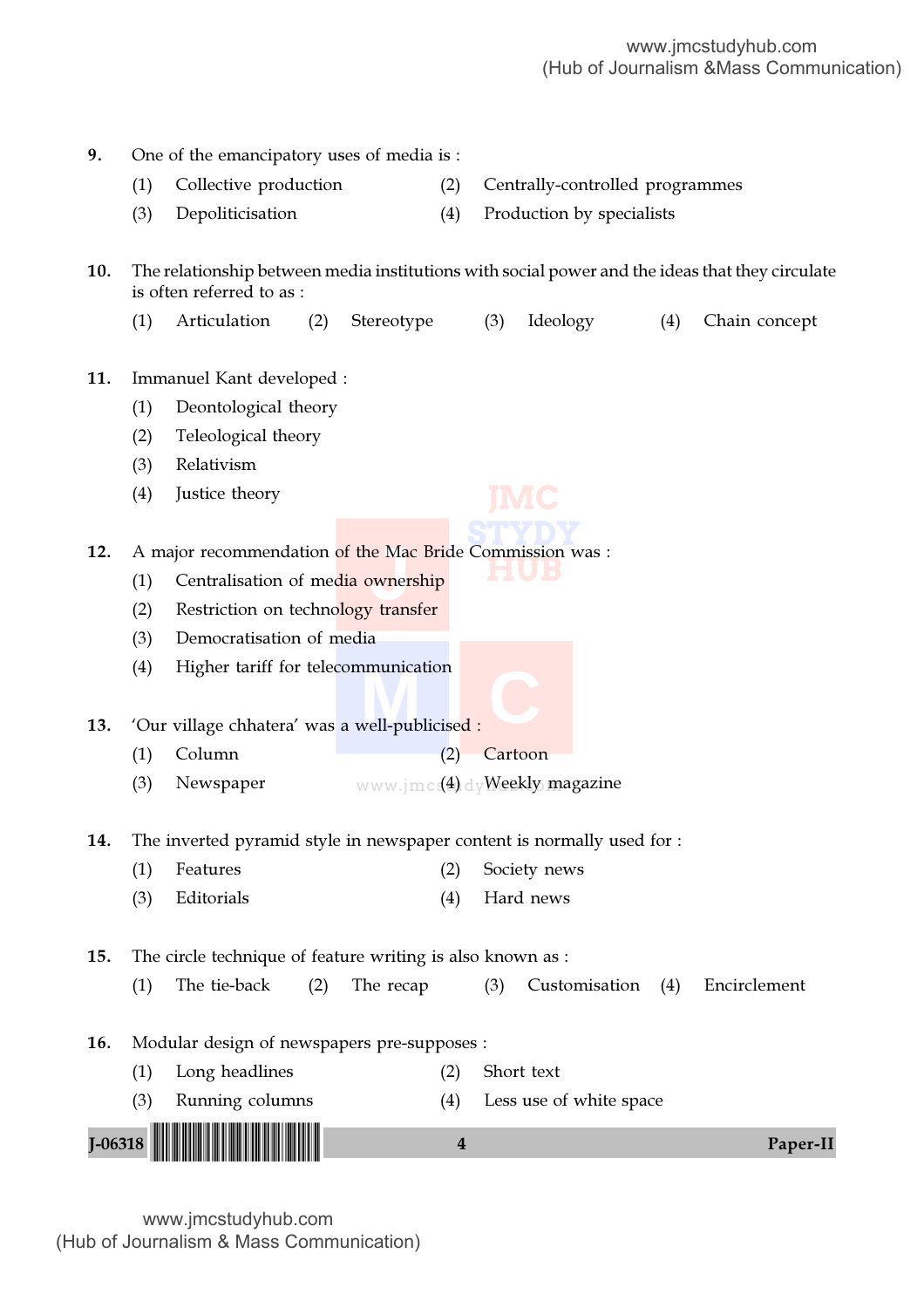| 9.          |            | One of the emancipatory uses of media is:                                                                                    |            |                  |                                       |                   |               |
|-------------|------------|------------------------------------------------------------------------------------------------------------------------------|------------|------------------|---------------------------------------|-------------------|---------------|
|             | (1)        | Collective production                                                                                                        | (2)        |                  | Centrally-controlled programmes       |                   |               |
|             | (3)        | Depoliticisation                                                                                                             | (4)        |                  | Production by specialists             |                   |               |
| 10.         |            | The relationship between media institutions with social power and the ideas that they circulate<br>is often referred to as : |            |                  |                                       |                   |               |
|             | (1)        | Articulation<br>(2)                                                                                                          | Stereotype |                  | Ideology<br>(3)                       | (4)               | Chain concept |
| 11.         |            | Immanuel Kant developed :                                                                                                    |            |                  |                                       |                   |               |
|             | (1)        | Deontological theory                                                                                                         |            |                  |                                       |                   |               |
|             | (2)        | Teleological theory                                                                                                          |            |                  |                                       |                   |               |
|             | (3)        | Relativism                                                                                                                   |            |                  |                                       |                   |               |
|             | (4)        | Justice theory                                                                                                               |            |                  |                                       |                   |               |
| 12.         |            | A major recommendation of the Mac Bride Commission was :                                                                     |            |                  |                                       |                   |               |
|             | (1)        | Centralisation of media ownership                                                                                            |            |                  |                                       |                   |               |
|             | (2)        | Restriction on technology transfer                                                                                           |            |                  |                                       |                   |               |
|             | (3)        | Democratisation of media                                                                                                     |            |                  |                                       |                   |               |
|             | (4)        | Higher tariff for telecommunication                                                                                          |            |                  |                                       |                   |               |
|             |            |                                                                                                                              |            |                  |                                       |                   |               |
| 13.         |            | 'Our village chhatera' was a well-publicised :                                                                               |            |                  |                                       |                   |               |
|             | (1)        | Column                                                                                                                       | (2)        |                  | Cartoon                               |                   |               |
|             | (3)        | Newspaper                                                                                                                    |            |                  | www.jmcs(4) dyWeekly magazine         |                   |               |
|             |            |                                                                                                                              |            |                  |                                       |                   |               |
| 14.         |            | The inverted pyramid style in newspaper content is normally used for :                                                       |            |                  |                                       |                   |               |
|             | (1)        | Features                                                                                                                     | (2)        |                  | Society news                          |                   |               |
|             | (3)        | Editorials                                                                                                                   | (4)        |                  | Hard news                             |                   |               |
| 15.         |            | The circle technique of feature writing is also known as :                                                                   |            |                  |                                       |                   |               |
|             | (1)        | The tie-back<br>(2)                                                                                                          | The recap  |                  | (3)                                   | Customisation (4) | Encirclement  |
|             |            |                                                                                                                              |            |                  |                                       |                   |               |
| 16.         |            | Modular design of newspapers pre-supposes :                                                                                  |            |                  |                                       |                   |               |
|             | (1)<br>(3) | Long headlines<br>Running columns                                                                                            | (2)<br>(4) |                  | Short text<br>Less use of white space |                   |               |
|             |            |                                                                                                                              |            |                  |                                       |                   |               |
| $J - 06318$ |            |                                                                                                                              |            | $\boldsymbol{4}$ |                                       |                   | Paper-II      |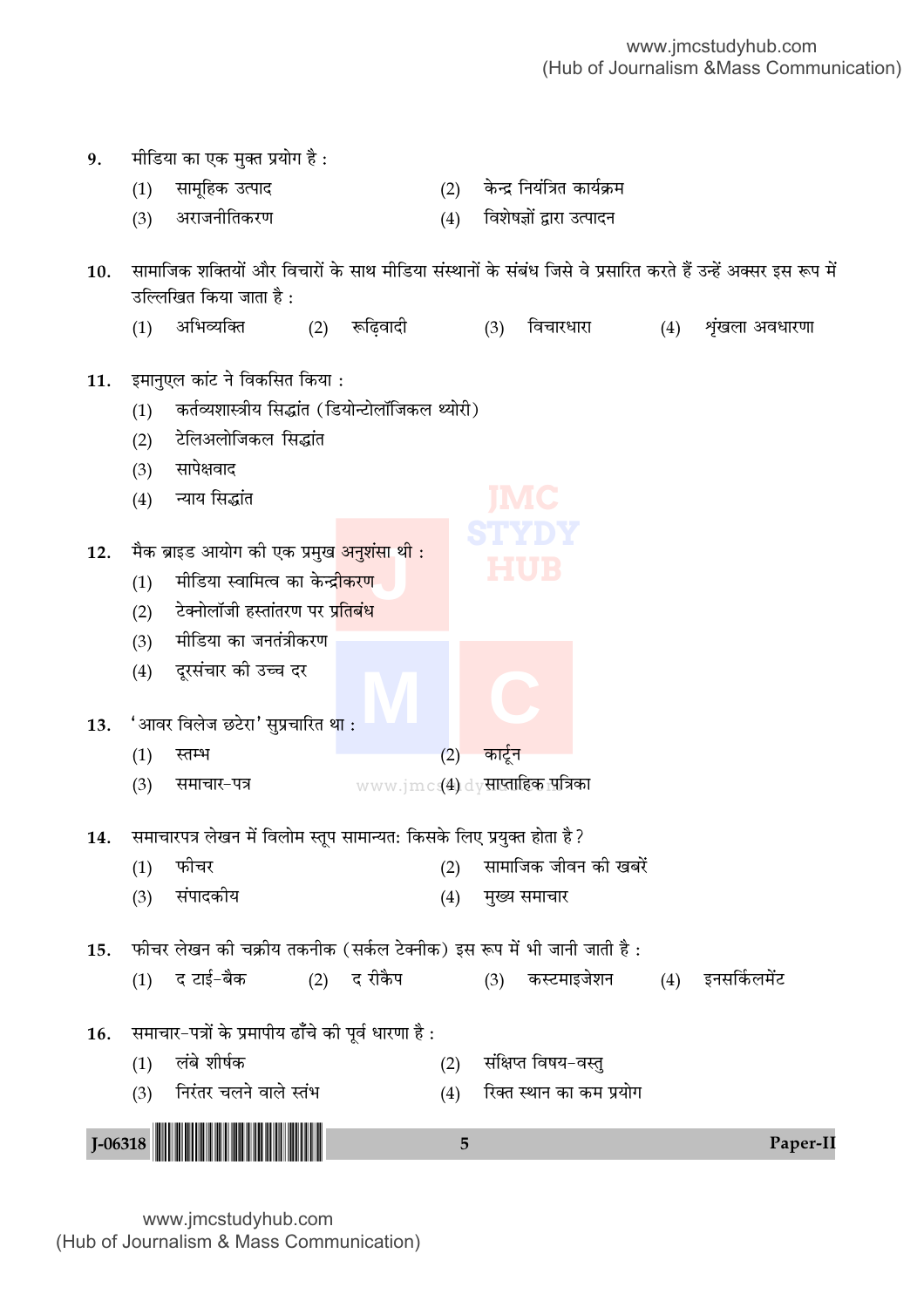| 9.          |     | मीडिया का एक मुक्त प्रयोग है :                                                                                 |             |     |                                       |     |                |
|-------------|-----|----------------------------------------------------------------------------------------------------------------|-------------|-----|---------------------------------------|-----|----------------|
|             | (1) | सामूहिक उत्पाद                                                                                                 |             | (2) | केन्द्र नियंत्रित कार्यक्रम           |     |                |
|             | (3) | अराजनीतिकरण                                                                                                    |             | (4) | विशेषज्ञों द्वारा उत्पादन             |     |                |
| 10.         |     | सामाजिक शक्तियों और विचारों के साथ मीडिया संस्थानों के संबंध जिसे वे प्रसारित करते हैं उन्हें अक्सर इस रूप में |             |     |                                       |     |                |
|             |     | उल्लिखित किया जाता है :                                                                                        |             |     |                                       |     |                |
|             | (1) | अभिव्यक्ति<br>(2)                                                                                              | रूढ़िवादी   |     | विचारधारा<br>(3)                      | (4) | शृंखला अवधारणा |
| 11.         |     | इमानुएल कांट ने विकसित किया :                                                                                  |             |     |                                       |     |                |
|             | (1) | कर्तव्यशास्त्रीय सिद्धांत (डियोन्टोलॉजिकल थ्योरी)                                                              |             |     |                                       |     |                |
|             | (2) | टेलिअलोजिकल सिद्धांत                                                                                           |             |     |                                       |     |                |
|             | (3) | सापेक्षवाद                                                                                                     |             |     |                                       |     |                |
|             | (4) | न्याय सिद्धांत                                                                                                 |             |     |                                       |     |                |
|             |     |                                                                                                                |             |     |                                       |     |                |
| 12.         |     | मैक ब्राइड आयोग की एक प्रमुख <mark>अनुशंसा थी :</mark>                                                         |             |     | HUB                                   |     |                |
|             | (1) | मीडिया स्वामित्व का केन्द्री <mark>करण</mark>                                                                  |             |     |                                       |     |                |
|             | (2) | टेक्नोलॉजी हस्तांतरण पर प्रतिबंध                                                                               |             |     |                                       |     |                |
|             | (3) | मीडिया का जनतंत्रीकरण                                                                                          |             |     |                                       |     |                |
|             | (4) | दूरसंचार की उच्च दर                                                                                            |             |     |                                       |     |                |
|             |     |                                                                                                                |             |     |                                       |     |                |
| 13.         |     | 'आवर विलेज छटेरा' सुप्रचारित था :                                                                              |             |     |                                       |     |                |
|             | (1) | स्तम्भ                                                                                                         |             | (2) | कार्टून                               |     |                |
|             | (3) | समाचार-पत्र                                                                                                    |             |     | $www.jmc$ $(4)$ dy साप्ताहिक पात्रिका |     |                |
| 14.         |     | समाचारपत्र लेखन में विलोम स्तूप सामान्यत: किसके लिए प्रयुक्त होता है ?                                         |             |     |                                       |     |                |
|             | (1) | फीचर                                                                                                           |             | (2) | सामाजिक जीवन की खबरें                 |     |                |
|             | (3) | संपादकीय                                                                                                       |             | (4) | मुख्य समाचार                          |     |                |
| 15.         |     | फीचर लेखन की चक्रीय तकनीक (सर्कल टेक्नीक) इस रूप में भी जानी जाती है :                                         |             |     |                                       |     |                |
|             | (1) | द टाई–बैक                                                                                                      | (2) द रीकैप |     | कस्टमाइजेशन<br>(3)                    | (4) | इनसर्किलमेंट   |
|             |     |                                                                                                                |             |     |                                       |     |                |
| 16.         |     | समाचार-पत्रों के प्रमापीय ढाँचे की पूर्व धारणा है :                                                            |             |     |                                       |     |                |
|             | (1) | लंबे शीर्षक                                                                                                    |             | (2) | संक्षिप्त विषय–वस्तु                  |     |                |
|             | (3) | निरंतर चलने वाले स्तंभ                                                                                         |             | (4) | रिक्त स्थान का कम प्रयोग              |     |                |
|             |     |                                                                                                                |             |     |                                       |     |                |
| $J - 06318$ |     |                                                                                                                |             | 5   |                                       |     | Paper-II       |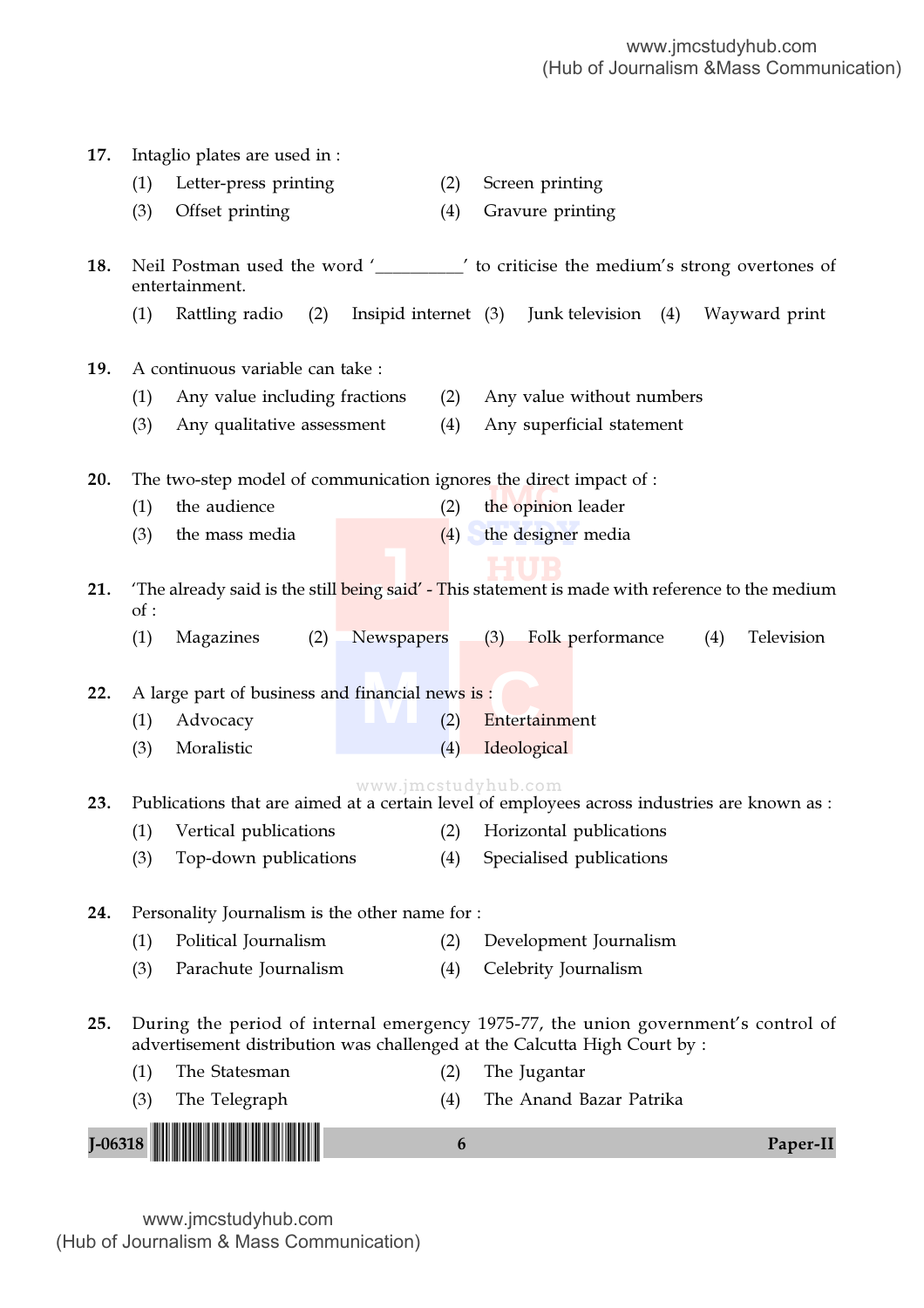| 17.                                                                                                           |     | Intaglio plates are used in :                                                                                                                                   |                     |     |                           |                                          |  |  |     |               |
|---------------------------------------------------------------------------------------------------------------|-----|-----------------------------------------------------------------------------------------------------------------------------------------------------------------|---------------------|-----|---------------------------|------------------------------------------|--|--|-----|---------------|
|                                                                                                               | (1) | Letter-press printing                                                                                                                                           |                     | (2) |                           | Screen printing                          |  |  |     |               |
|                                                                                                               | (3) | Offset printing                                                                                                                                                 |                     | (4) |                           | Gravure printing                         |  |  |     |               |
| 18.                                                                                                           |     | Neil Postman used the word '________' to criticise the medium's strong overtones of<br>entertainment.                                                           |                     |     |                           |                                          |  |  |     |               |
|                                                                                                               | (1) | Rattling radio (2)                                                                                                                                              |                     |     |                           | Insipid internet (3) Junk television (4) |  |  |     | Wayward print |
| 19.                                                                                                           |     | A continuous variable can take :                                                                                                                                |                     |     |                           |                                          |  |  |     |               |
|                                                                                                               | (1) | Any value including fractions                                                                                                                                   |                     | (2) | Any value without numbers |                                          |  |  |     |               |
|                                                                                                               | (3) | Any qualitative assessment                                                                                                                                      |                     | (4) |                           | Any superficial statement                |  |  |     |               |
| 20.                                                                                                           |     | The two-step model of communication ignores the direct impact of :                                                                                              |                     |     |                           |                                          |  |  |     |               |
|                                                                                                               | (1) | the audience                                                                                                                                                    |                     | (2) |                           | the opinion leader                       |  |  |     |               |
|                                                                                                               | (3) | the mass media                                                                                                                                                  |                     | (4) |                           | the designer media                       |  |  |     |               |
|                                                                                                               |     |                                                                                                                                                                 |                     |     |                           |                                          |  |  |     |               |
| The already said is the still being said' - This statement is made with reference to the medium<br>21.<br>of: |     |                                                                                                                                                                 |                     |     |                           |                                          |  |  |     |               |
|                                                                                                               | (1) | Magazines<br>(2)                                                                                                                                                | Newspapers          |     | (3)                       | Folk performance                         |  |  | (4) | Television    |
| 22.                                                                                                           |     | A large part of business and financial news is:                                                                                                                 |                     |     |                           |                                          |  |  |     |               |
|                                                                                                               | (1) | Advocacy                                                                                                                                                        |                     | (2) |                           | Entertainment                            |  |  |     |               |
|                                                                                                               | (3) | Moralistic                                                                                                                                                      |                     | (4) |                           | Ideological                              |  |  |     |               |
| 23.                                                                                                           |     | Publications that are aimed at a certain level of employees across industries are known as :                                                                    | www.jmcstudyhub.com |     |                           |                                          |  |  |     |               |
|                                                                                                               | (1) | Vertical publications (2) Horizontal publications                                                                                                               |                     |     |                           |                                          |  |  |     |               |
|                                                                                                               | (3) | Top-down publications                                                                                                                                           |                     | (4) |                           | Specialised publications                 |  |  |     |               |
|                                                                                                               |     |                                                                                                                                                                 |                     |     |                           |                                          |  |  |     |               |
| 24.                                                                                                           |     | Personality Journalism is the other name for :                                                                                                                  |                     |     |                           |                                          |  |  |     |               |
|                                                                                                               | (1) | Political Journalism                                                                                                                                            |                     | (2) |                           | Development Journalism                   |  |  |     |               |
|                                                                                                               | (3) | Parachute Journalism                                                                                                                                            |                     | (4) |                           | Celebrity Journalism                     |  |  |     |               |
| 25.                                                                                                           |     | During the period of internal emergency 1975-77, the union government's control of<br>advertisement distribution was challenged at the Calcutta High Court by : |                     |     |                           |                                          |  |  |     |               |
|                                                                                                               | (1) | The Statesman                                                                                                                                                   |                     | (2) |                           | The Jugantar                             |  |  |     |               |
|                                                                                                               | (3) | The Telegraph                                                                                                                                                   |                     | (4) |                           | The Anand Bazar Patrika                  |  |  |     |               |
| $J - 06318$                                                                                                   |     |                                                                                                                                                                 |                     | 6   |                           |                                          |  |  |     | Paper-II      |
|                                                                                                               |     |                                                                                                                                                                 |                     |     |                           |                                          |  |  |     |               |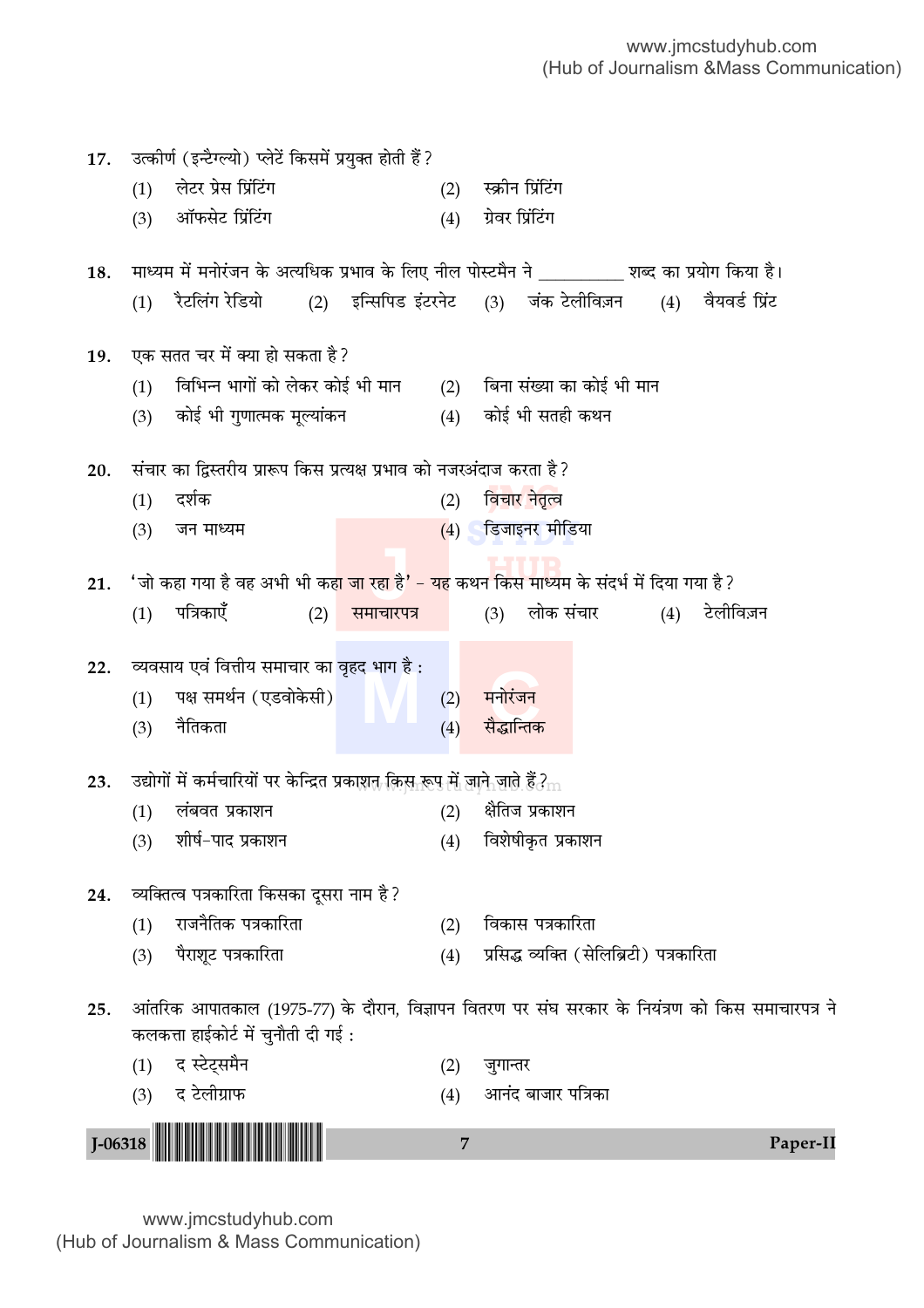| 17. |           | उत्कीर्ण (इन्टैग्ल्यो) प्लेटें किसमें प्रयुक्त होती हैं?                                              |            |                |                                          |               |           |          |
|-----|-----------|-------------------------------------------------------------------------------------------------------|------------|----------------|------------------------------------------|---------------|-----------|----------|
|     | (1)       | लेटर प्रेस प्रिंटिंग                                                                                  |            | (2)            | स्क्रीन प्रिंटिंग                        |               |           |          |
|     | (3)       | ऑफसेट प्रिंटिंग                                                                                       |            | (4)            | ग्रेवर प्रिंटिंग                         |               |           |          |
|     |           |                                                                                                       |            |                |                                          |               |           |          |
| 18. |           | माध्यम में मनोरंजन के अत्यधिक प्रभाव के लिए नील पोस्टमैन ने __________ शब्द का प्रयोग किया है।        |            |                |                                          |               |           |          |
|     | (1)       | रैटलिंग रेडियो (2) इन्सिपिड इंटरनेट (3) जंक टेलीविज़न (4) वैयवर्ड प्रिंट                              |            |                |                                          |               |           |          |
| 19. |           | एक सतत चर में क्या हो सकता है?                                                                        |            |                |                                          |               |           |          |
|     | (1)       | विभिन्न भागों को लेकर कोई भी मान                                                                      |            |                | (2) बिना संख्या का कोई भी मान            |               |           |          |
|     | (3)       | कोई भी गुणात्मक मूल्यांकन                                                                             |            |                | (4) कोई भी सतही कथन                      |               |           |          |
| 20. |           | संचार का द्विस्तरीय प्रारूप किस प्रत्यक्ष प्रभाव को नजरअंदाज करता है?                                 |            |                |                                          |               |           |          |
|     | (1)       | दर्शक                                                                                                 |            | (2)            | विचार नेतृत्व                            |               |           |          |
|     | (3)       | जन माध्यम                                                                                             |            |                | $(4)$ डिजाइनर मीडिया                     |               |           |          |
|     |           |                                                                                                       |            |                |                                          |               |           |          |
| 21. |           | 'जो कहा गया है वह अभी भी कह <mark>ा जा रहा है' – यह</mark> कथन किस माध्यम के संदर्भ में दिया गया है ? |            |                |                                          |               |           |          |
|     | (1)       | पत्रिकाएँ<br>(2)                                                                                      | समाचारपत्र |                | (3)                                      | लोक संचार (4) | टेलीविज़न |          |
| 22. |           | व्यवसाय एवं वित्तीय समाचार का वृहद भाग है :                                                           |            |                |                                          |               |           |          |
|     | (1)       | पक्ष समर्थन (एडवोकेसी)                                                                                |            | (2)            | मनोरंजन                                  |               |           |          |
|     | (3)       | नैतिकता                                                                                               |            | (4)            | सैद्धान्तिक                              |               |           |          |
|     |           |                                                                                                       |            |                |                                          |               |           |          |
| 23. |           | उद्योगों में कर्मचारियों पर केन्द्रित प्रकाशत किस रूप में जाने जाते हैं ? $\rm _m$                    |            |                |                                          |               |           |          |
|     | (1)       | लंबवत प्रकाशन                                                                                         |            | (2)            | क्षैतिज प्रकाशन                          |               |           |          |
|     |           | (3) शीर्ष–पाद प्रकाशन                                                                                 |            |                | (4) विशेषीकृत प्रकाशन                    |               |           |          |
| 24. |           | व्यक्तित्व पत्रकारिता किसका दूसरा नाम है?                                                             |            |                |                                          |               |           |          |
|     | (1)       | राजनैतिक पत्रकारिता                                                                                   |            | (2)            | विकास पत्रकारिता                         |               |           |          |
|     | (3)       | पैराशूट पत्रकारिता                                                                                    |            | (4)            | प्रसिद्ध व्यक्ति (सेलिब्रिटी) पत्रकारिता |               |           |          |
| 25. |           | आंतरिक आपातकाल (1975-77) के दौरान, विज्ञापन वितरण पर संघ सरकार के नियंत्रण को किस समाचारपत्र ने       |            |                |                                          |               |           |          |
|     |           | कलकत्ता हाईकोर्ट में चुनौती दी गई:                                                                    |            |                |                                          |               |           |          |
|     | (1)       | द स्टेट्समैन                                                                                          |            | (2)            | जुगान्तर                                 |               |           |          |
|     |           | (3) द टेलीग्राफ                                                                                       |            | (4)            | आनंद बाजार पत्रिका                       |               |           |          |
|     | $J-06318$ |                                                                                                       |            | $\overline{7}$ |                                          |               |           | Paper-II |
|     |           |                                                                                                       |            |                |                                          |               |           |          |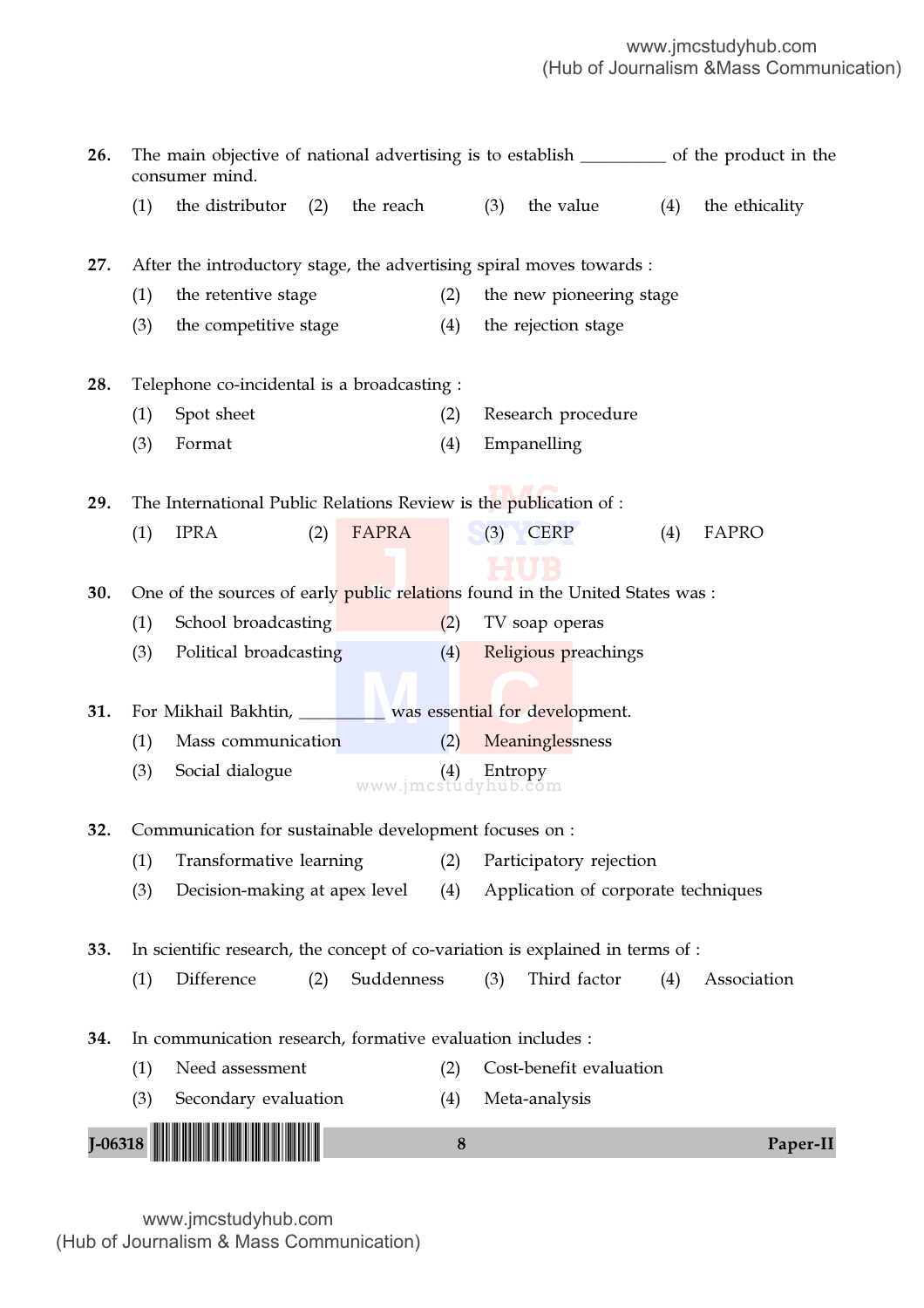| 26. | The main objective of national advertising is to establish ___________ of the product in the<br>consumer mind. |                                                                                |                   |          |                                     |              |     |                |
|-----|----------------------------------------------------------------------------------------------------------------|--------------------------------------------------------------------------------|-------------------|----------|-------------------------------------|--------------|-----|----------------|
|     | (1)                                                                                                            | the distributor                                                                | the reach<br>(2)  |          | the value<br>(3)                    |              | (4) | the ethicality |
| 27. |                                                                                                                | After the introductory stage, the advertising spiral moves towards :           |                   |          |                                     |              |     |                |
|     | (1)                                                                                                            | the retentive stage                                                            |                   | (2)      | the new pioneering stage            |              |     |                |
|     | (3)                                                                                                            | the competitive stage                                                          |                   | (4)      | the rejection stage                 |              |     |                |
| 28. |                                                                                                                | Telephone co-incidental is a broadcasting :                                    |                   |          |                                     |              |     |                |
|     | (1)                                                                                                            | Spot sheet                                                                     |                   | (2)      | Research procedure                  |              |     |                |
|     | (3)                                                                                                            | Format                                                                         |                   | (4)      | Empanelling                         |              |     |                |
| 29. |                                                                                                                | The International Public Relations Review is the publication of :              |                   |          |                                     |              |     |                |
|     | (1)                                                                                                            | <b>IPRA</b>                                                                    | FAPRA<br>(2)      |          | <b>CERP</b><br>(3)                  |              | (4) | FAPRO          |
|     |                                                                                                                |                                                                                |                   |          |                                     |              |     |                |
| 30. |                                                                                                                | One of the sources of early public relations found in the United States was :  |                   |          |                                     |              |     |                |
|     | (1)                                                                                                            | School broadcasting                                                            |                   | (2)      | TV soap operas                      |              |     |                |
|     | (3)                                                                                                            | Political broadcasting                                                         |                   | (4)      | Religious preachings                |              |     |                |
|     |                                                                                                                |                                                                                |                   |          |                                     |              |     |                |
| 31. |                                                                                                                | For Mikhail Bakhtin, ________ was essential for development.                   |                   |          |                                     |              |     |                |
|     | (1)                                                                                                            | Mass communication                                                             |                   | (2)      | Meaninglessness                     |              |     |                |
|     | (3)                                                                                                            | Social dialogue                                                                |                   |          | (4) Entropy<br>www.jmcstudyhub.com  |              |     |                |
| 32. |                                                                                                                | Communication for sustainable development focuses on :                         |                   |          |                                     |              |     |                |
|     | (1)                                                                                                            | Transformative learning                                                        |                   | (2)      | Participatory rejection             |              |     |                |
|     | (3)                                                                                                            | Decision-making at apex level                                                  |                   | (4)      | Application of corporate techniques |              |     |                |
| 33. |                                                                                                                | In scientific research, the concept of co-variation is explained in terms of : |                   |          |                                     |              |     |                |
|     | (1)                                                                                                            | Difference                                                                     | Suddenness<br>(2) |          | (3)                                 | Third factor | (4) | Association    |
| 34. |                                                                                                                | In communication research, formative evaluation includes :                     |                   |          |                                     |              |     |                |
|     | (1)                                                                                                            | Need assessment                                                                |                   | (2)      | Cost-benefit evaluation             |              |     |                |
|     | (3)                                                                                                            | Secondary evaluation                                                           |                   | (4)      | Meta-analysis                       |              |     |                |
|     |                                                                                                                |                                                                                |                   |          |                                     |              |     |                |
|     | $I-06318$                                                                                                      |                                                                                |                   | $\bf{8}$ |                                     |              |     | Paper-II       |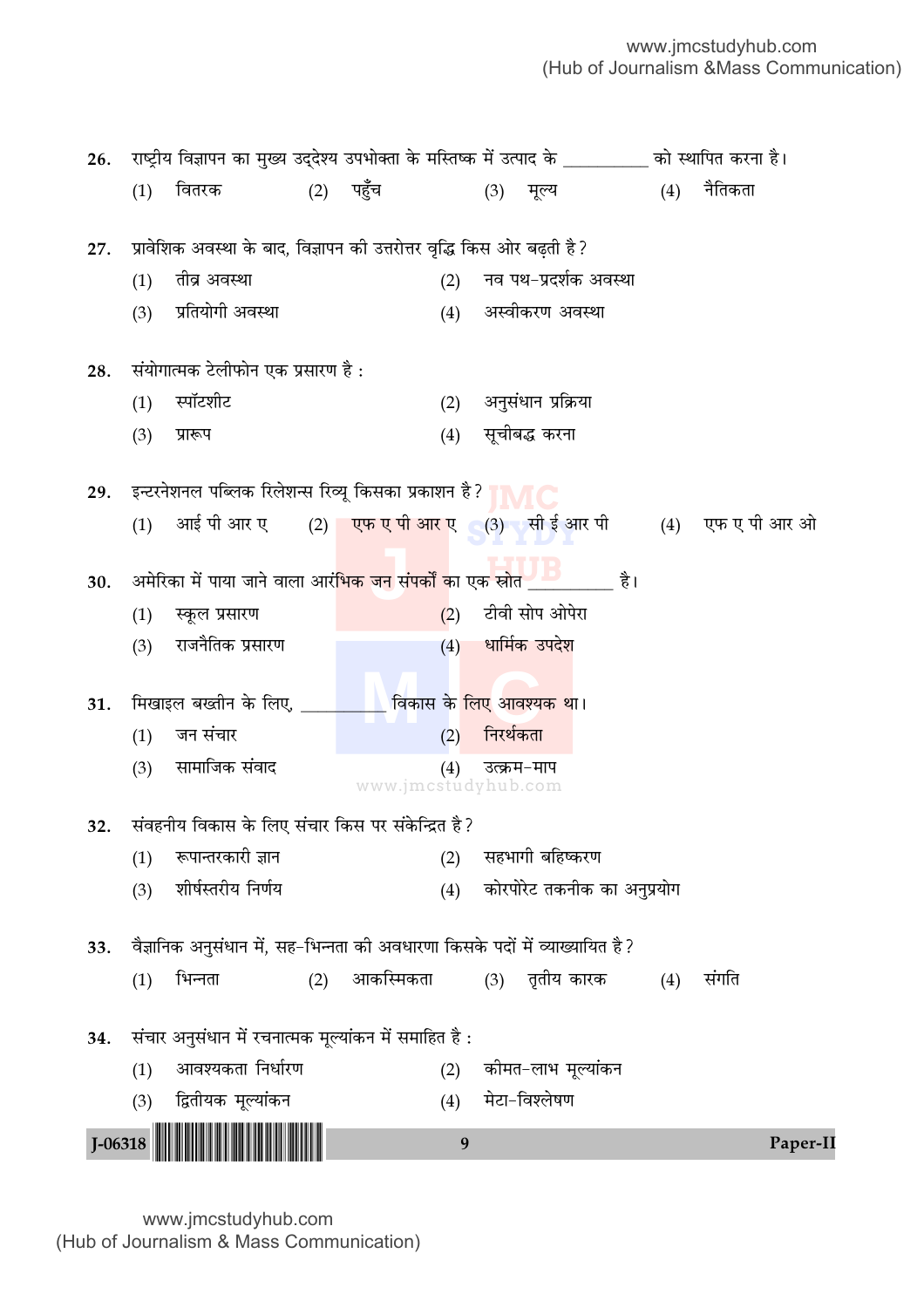| 26. |             | राष्ट्रीय विज्ञापन का मुख्य उद्देश्य उपभोक्ता के मस्तिष्क में उत्पाद के ________ को स्थापित करना है। |     |             |                                        |           |                       |                             |                                                             |
|-----|-------------|------------------------------------------------------------------------------------------------------|-----|-------------|----------------------------------------|-----------|-----------------------|-----------------------------|-------------------------------------------------------------|
|     | (1)         | वितरक                                                                                                |     | $(2)$ पहुँच |                                        | (3)       | मूल्य                 | (4)                         | नैतिकता                                                     |
|     |             |                                                                                                      |     |             |                                        |           |                       |                             |                                                             |
| 27. |             | प्रावेशिक अवस्था के बाद, विज्ञापन की उत्तरोत्तर वृद्धि किस ओर बढ़ती है?                              |     |             |                                        |           |                       |                             |                                                             |
|     | (1)         | तीव्र अवस्था                                                                                         |     |             | (2)                                    |           | नव पथ-प्रदर्शक अवस्था |                             |                                                             |
|     | (3)         | प्रतियोगी अवस्था                                                                                     |     |             | (4)                                    |           | अस्वीकरण अवस्था       |                             |                                                             |
|     |             |                                                                                                      |     |             |                                        |           |                       |                             |                                                             |
| 28. |             | संयोगात्मक टेलीफोन एक प्रसारण है :                                                                   |     |             |                                        |           |                       |                             |                                                             |
|     | (1)         | स्पॉटशीट                                                                                             |     |             | (2)                                    |           | अनुसंधान प्रक्रिया    |                             |                                                             |
|     | (3)         | प्रारूप                                                                                              |     |             | (4)                                    |           | सूचीबद्ध करना         |                             |                                                             |
| 29. |             | इन्टरनेशनल पब्लिक रिलेशन्स रिव्यू किसका प्रकाशन है?                                                  |     |             |                                        |           |                       |                             |                                                             |
|     | (1)         |                                                                                                      |     |             |                                        |           |                       |                             | आई पी आर ए (2) एफ ए पी आर ए (3) सी ई आर पी (4) एफ ए पी आर ओ |
|     |             |                                                                                                      |     |             |                                        |           |                       |                             |                                                             |
| 30. |             | अमेरिका में पाया जाने वाला आरं <mark>भिक जन संपर्कों का एक स्रोत ____</mark>                         |     |             |                                        |           |                       | है।                         |                                                             |
|     | (1)         | स्कूल प्रसारण                                                                                        |     |             | (2)                                    |           | टीवी सोप ओपेरा        |                             |                                                             |
|     | (3)         | राजनैतिक प्रसारण                                                                                     |     |             |                                        |           | (4) धार्मिक उपदेश     |                             |                                                             |
|     |             |                                                                                                      |     |             |                                        |           |                       |                             |                                                             |
| 31. |             | मिखाइल बख्तीन के लिए,                                                                                |     |             | ंविकास क <mark>े लिए</mark> आवश्यक था। |           |                       |                             |                                                             |
|     | (1)         | जन संचार                                                                                             |     |             | (2)                                    | निरर्थकता |                       |                             |                                                             |
|     | (3)         | सामाजिक संवाद                                                                                        |     |             | (4)<br>www.jmcstudyhub.com             |           | उत्क्रम-माप           |                             |                                                             |
|     |             | संवहनीय विकास के लिए संचार किस पर संकेन्द्रित है ?                                                   |     |             |                                        |           |                       |                             |                                                             |
| 32. |             | रूपान्तरकारी ज्ञान                                                                                   |     |             |                                        |           | सहभागी बहिष्करण       |                             |                                                             |
|     | (1)         | शीर्षस्तरीय निर्णय                                                                                   |     |             | (2)                                    |           |                       |                             |                                                             |
|     | (3)         |                                                                                                      |     |             | (4)                                    |           |                       | कोरपोरेट तकनीक का अनुप्रयोग |                                                             |
| 33. |             | वैज्ञानिक अनुसंधान में, सह-भिन्नता की अवधारणा किसके पदों में व्याख्यायित है ?                        |     |             |                                        |           |                       |                             |                                                             |
|     | (1)         | भिन्नता                                                                                              | (2) | आकस्मिकता   |                                        | (3)       | तृतीय कारक            | (4)                         | संगति                                                       |
|     |             |                                                                                                      |     |             |                                        |           |                       |                             |                                                             |
| 34. |             | संचार अनुसंधान में रचनात्मक मूल्यांकन में समाहित है :                                                |     |             |                                        |           |                       |                             |                                                             |
|     | (1)         | आवश्यकता निर्धारण                                                                                    |     |             | (2)                                    |           | कीमत–लाभ मूल्यांकन    |                             |                                                             |
|     | (3)         | द्वितीयक मूल्यांकन                                                                                   |     |             | (4)                                    |           | मेटा-विश्लेषण         |                             |                                                             |
|     | $J - 06318$ |                                                                                                      |     |             | 9                                      |           |                       |                             | Paper-II                                                    |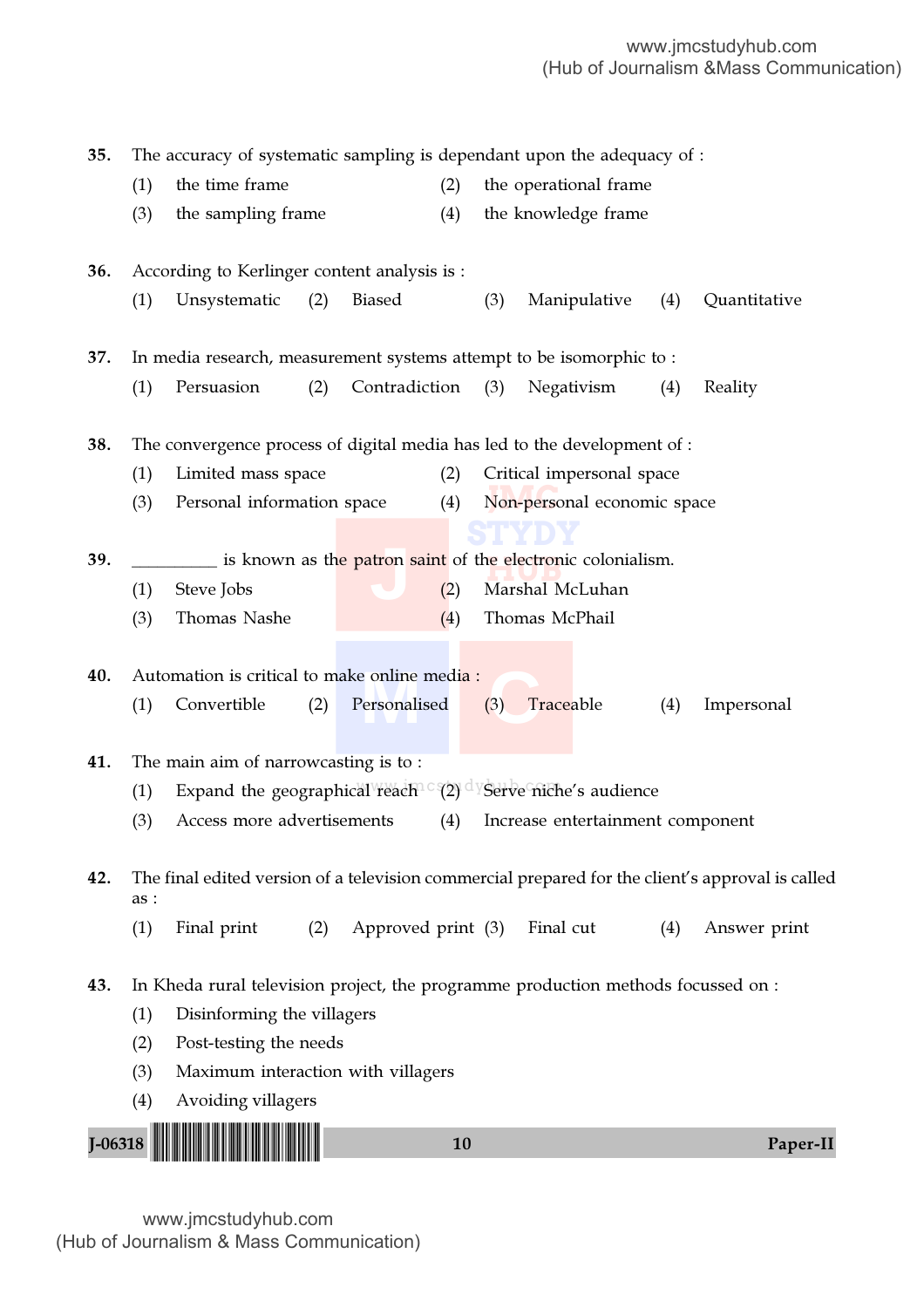(3) Personal information space (4) Non-personal economic space **STYDY** re electronic<br>Moral M (1) Expand the geographical reach  $C(2)$   $d$  Serve niche's audience **H**<br> **J**<br> **J 40.** Automation is critical to make online media :<br>
(1) Convertible (2) Personalised (3) Tra J-06318 !J-06318-PAPER-II! <sup>10</sup> Paper-II 35. The accuracy of systematic sampling is dependant upon the adequacy of : (1) the time frame (2) the operational frame (3) the sampling frame (4) the knowledge frame 36. According to Kerlinger content analysis is : (1) Unsystematic (2) Biased (3) Manipulative (4) Quantitative 37. In media research, measurement systems attempt to be isomorphic to : (1) Persuasion (2) Contradiction (3) Negativism (4) Reality 38. The convergence process of digital media has led to the development of : (1) Limited mass space (2) Critical impersonal space 39. \_\_\_\_\_\_\_\_\_\_\_\_ is known as th<mark>e patron saint</mark> of the electronic colonialism. (1) Steve Jobs (2) Marshal McLuhan (3) Thomas Nashe (4) Thomas McPhail (1) Convertible (2) Personalised (3) Traceable (4) Impersonal 41. The main aim of narrowcasting is to : (3) Access more advertisements (4) Increase entertainment component 42. The final edited version of a television commercial prepared for the client's approval is called as : (1) Final print (2) Approved print (3) Final cut (4) Answer print 43. In Kheda rural television project, the programme production methods focussed on : (1) Disinforming the villagers (2) Post-testing the needs (3) Maximum interaction with villagers (4) Avoiding villagers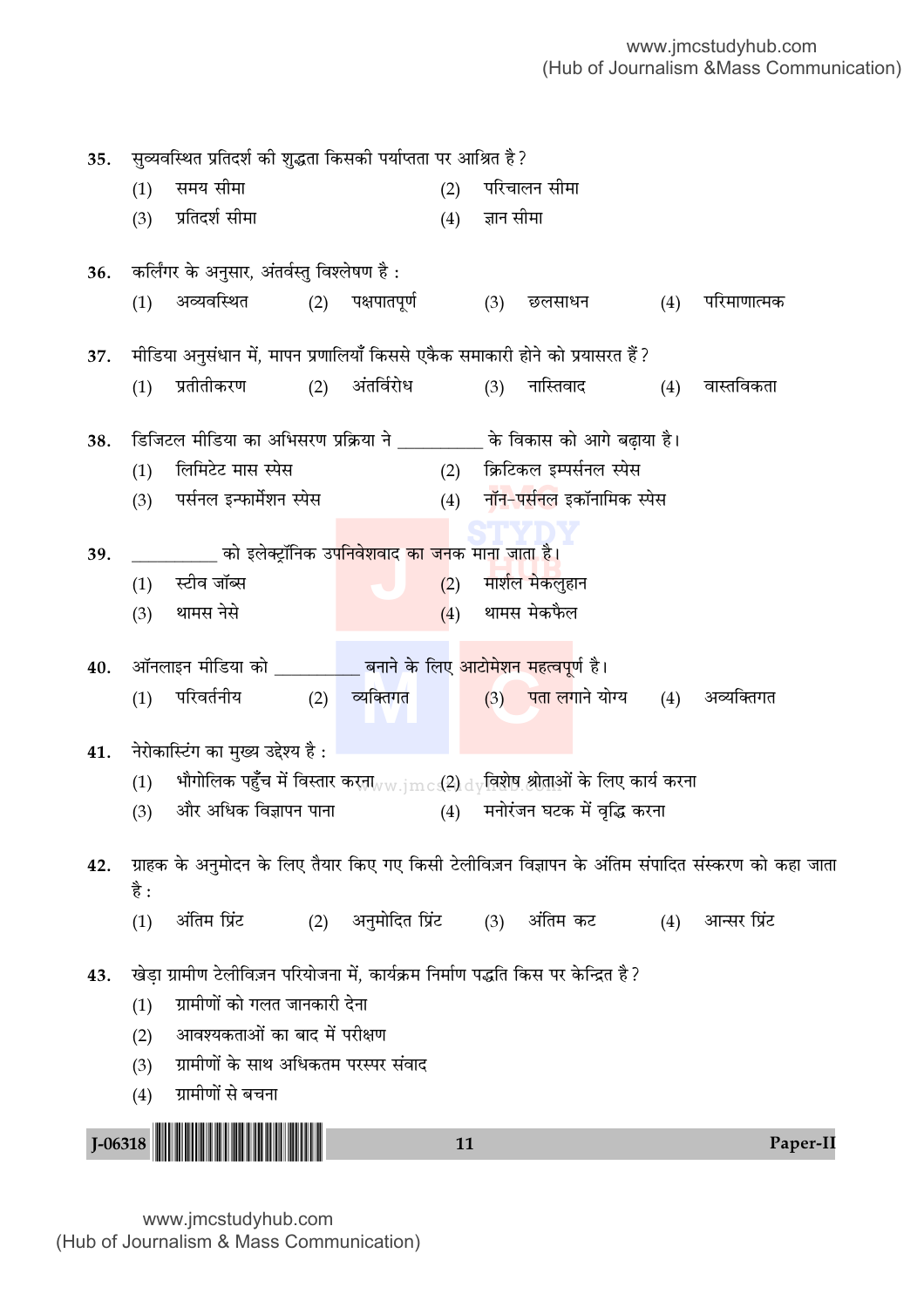(3) पर्सनल इन्फार्मेशन स्पेस (4) नॉन–पर्<mark>सनल</mark> इकॉनामिक स्पेस **STYDY** \_\_\_\_\_\_\_\_\_\_\_\_ आ इलक्ट्रानक उपानवरायाद का जनक भागी आता है।<br>(1) स्टीव जॉब्स  $\,$ (1)  $\,$  भौगोलिक पहुँच में विस्तार करता $_{\rm WW,jmc}$ ् $\rm (2)$   $_{\rm dy}$ विशेष श्रीताओं के लिए कार्य करना **J** 39. \_\_\_\_\_\_\_\_\_\_ ∑§Ê ß‹Ä≈˛UÊÚÁŸ∑§ ©¬ÁŸfl‡ÊflÊŒ ∑§Ê ¡Ÿ∑§ ◊ÊŸÊ ¡ÊÃÊ "Ò– 40. ऑनलाइन मीडिया को \_\_\_\_\_\_\_\_\_\_\_ बनाने के लिए <mark>आटोमेशन महत्वपू</mark>र्ण है।<br>(1) परिवर्तनीय (2) व्यक्तिगत (3) पता लगाने यं J-06318 <sup>11</sup> Paper-II !J-06318-PAPER-II! 35. सुव्यवस्थित प्रतिदर्श की शुद्धता किसको पर्याप्तता पर आश्रित है? (1) समय सीमा (2) परिचालन सीमा (3) प्रतिदर्श सीमा (4) ज्ञान सीमा 36. कर्लिंगर के अनुसार, अंतर्वस्तु विश्लेषण है: (1) अव्यवस्थित (2) पक्षपातपूर्ण (3) छलसाधन (4) परिमाणात्मक 37. मीडिया अनुसंधान में, मापन प्रणालियाँ किससे एकैक समाकारी होने को प्रयासरत हैं ? (1) प्रतीतीकरण (2) अंतर्विरोध (3) नास्तिवाद (4) वास्तविकता 38. डिजिटल मीडिया का अभिसरण प्रक्रिया ने के विकास को आगे बढाया है। (1) लिमिटेट मास स्पेस (2) क्रिटिकल इम्पर्सनल स्पेस  $(3)$  थामस नेसे  $(4)$  थामस मेकफैल (1) परिवर्तनीय (2) व्यक्तिगत (3) पतालगाने योग्य (4) अव्यक्तिगत 41. नेरोकास्टिंग का मुख्य उद्देश्य है : (3) और अधिक विज्ञापन पाना (4) मनोरंजन घटक में वृद्धि करना 42. ग्राहक के अनुमोदन के लिए तैयार किए गए किसी टेलीविज़न विज्ञापन के अंतिम संपादित संस्करण को कहा जाता है :  $(1)$  अंतिम प्रिंट  $(2)$  अनुमोदित प्रिंट  $(3)$  अंतिम कट  $(4)$  आन्सर प्रिंट 43. खेड़ा ग्रामीण टेलीविज़न परियोजना में, कार्यक्रम निर्माण पद्धति किस पर केन्द्रित है?  $(1)$  ग्रामीणों को गलत जानकारी देना (2) आवश्यकताओं का बाद में परीक्षण (3) ग्रामीणों के साथ अधिकतम परस्पर संवाद (4) ग्रामीणों से बचना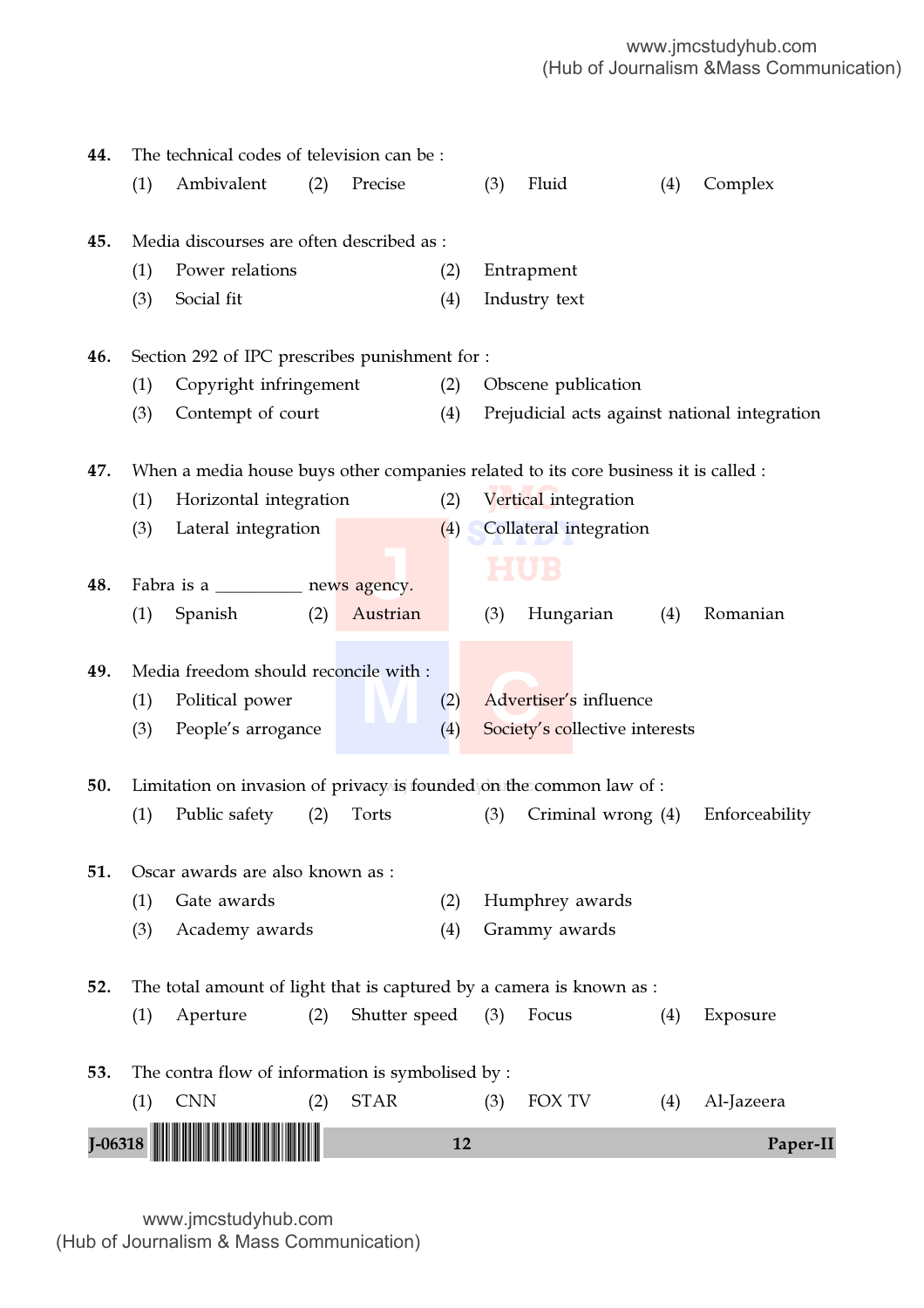| 44.       |     | The technical codes of television can be:                                           |     |               |     |     |                      |                                |     |                                               |
|-----------|-----|-------------------------------------------------------------------------------------|-----|---------------|-----|-----|----------------------|--------------------------------|-----|-----------------------------------------------|
|           | (1) | Ambivalent                                                                          | (2) | Precise       |     | (3) | Fluid                |                                | (4) | Complex                                       |
|           |     |                                                                                     |     |               |     |     |                      |                                |     |                                               |
| 45.       |     | Media discourses are often described as:                                            |     |               |     |     |                      |                                |     |                                               |
|           | (1) | Power relations                                                                     |     |               | (2) |     | Entrapment           |                                |     |                                               |
|           | (3) | Social fit                                                                          |     |               | (4) |     | Industry text        |                                |     |                                               |
| 46.       |     | Section 292 of IPC prescribes punishment for :                                      |     |               |     |     |                      |                                |     |                                               |
|           | (1) | Copyright infringement                                                              |     |               | (2) |     | Obscene publication  |                                |     |                                               |
|           | (3) | Contempt of court                                                                   |     |               | (4) |     |                      |                                |     | Prejudicial acts against national integration |
| 47.       |     | When a media house buys other companies related to its core business it is called : |     |               |     |     |                      |                                |     |                                               |
|           | (1) | Horizontal integration                                                              |     |               | (2) |     | Vertical integration |                                |     |                                               |
|           | (3) | Lateral integration                                                                 |     |               | (4) |     |                      | Collateral integration         |     |                                               |
|           |     |                                                                                     |     |               |     |     |                      |                                |     |                                               |
| 48.       |     | Fabra is a ____________ news agency.                                                |     |               |     |     |                      |                                |     |                                               |
|           | (1) | Spanish                                                                             | (2) | Austrian      |     | (3) | Hungarian            |                                | (4) | Romanian                                      |
| 49.       |     | Media freedom should reconcile with:                                                |     |               |     |     |                      |                                |     |                                               |
|           | (1) | Political power                                                                     |     |               | (2) |     |                      | Advertiser's influence         |     |                                               |
|           | (3) | People's arrogance                                                                  |     |               | (4) |     |                      | Society's collective interests |     |                                               |
|           |     |                                                                                     |     |               |     |     |                      |                                |     |                                               |
| 50.       |     | Limitation on invasion of privacy is founded on the common law of :                 |     |               |     |     |                      |                                |     |                                               |
|           | (1) | Public safety                                                                       | (2) | Torts         |     | (3) |                      | Criminal wrong (4)             |     | Enforceability                                |
| 51.       |     | Oscar awards are also known as :                                                    |     |               |     |     |                      |                                |     |                                               |
|           | (1) | Gate awards                                                                         |     |               | (2) |     | Humphrey awards      |                                |     |                                               |
|           | (3) | Academy awards                                                                      |     |               | (4) |     | Grammy awards        |                                |     |                                               |
|           |     |                                                                                     |     |               |     |     |                      |                                |     |                                               |
| 52.       |     | The total amount of light that is captured by a camera is known as :<br>Aperture    | (2) | Shutter speed |     | (3) | Focus                |                                |     |                                               |
|           | (1) |                                                                                     |     |               |     |     |                      |                                | (4) | Exposure                                      |
| 53.       |     | The contra flow of information is symbolised by :                                   |     |               |     |     |                      |                                |     |                                               |
|           | (1) | <b>CNN</b>                                                                          | (2) | <b>STAR</b>   |     | (3) | FOX TV               |                                | (4) | Al-Jazeera                                    |
| $I-06318$ |     |                                                                                     |     |               | 12  |     |                      |                                |     | Paper-II                                      |
|           |     |                                                                                     |     |               |     |     |                      |                                |     |                                               |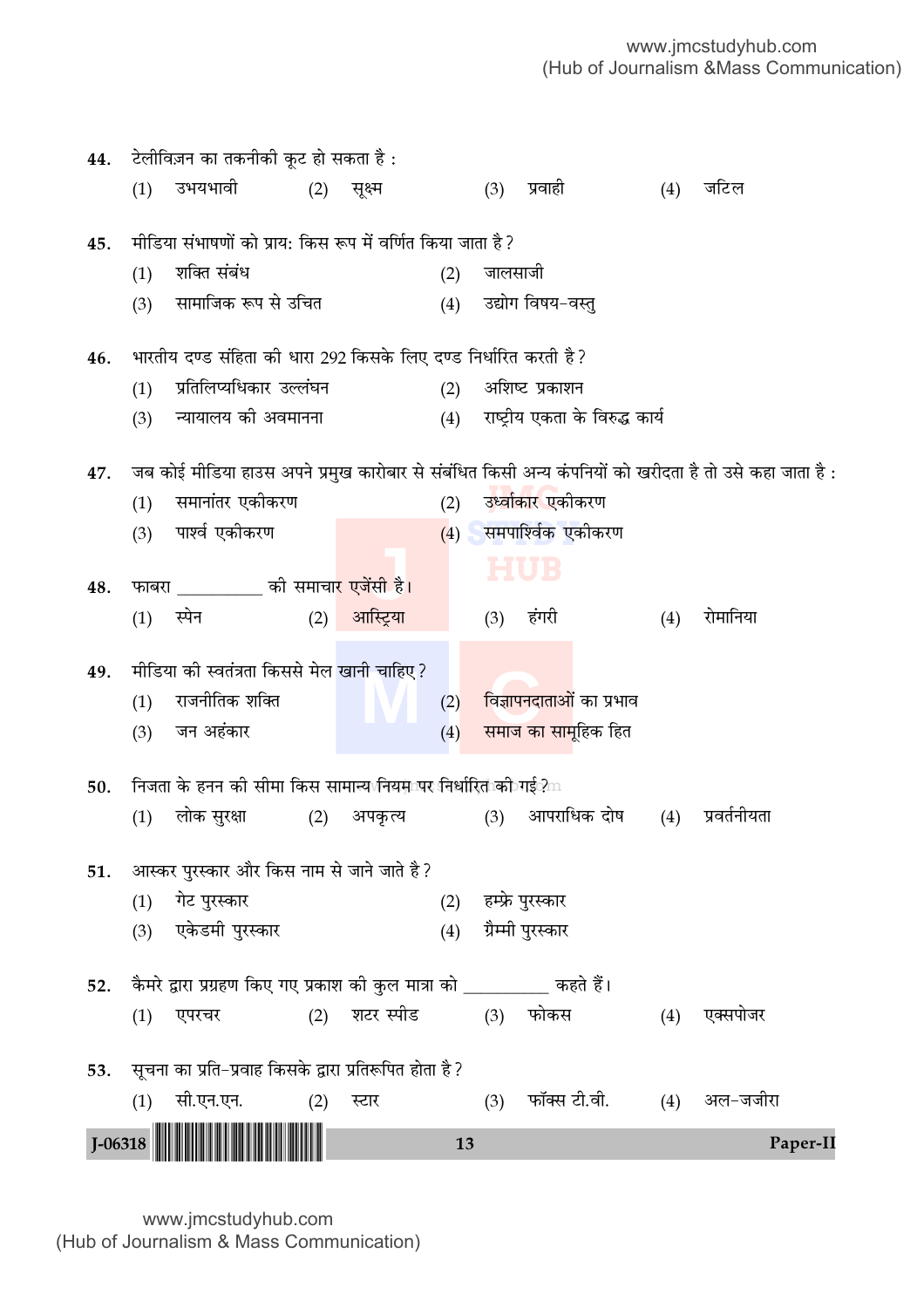| 44.         |            | टेलीविज़न का तकनीकी कूट हो सकता है :                                     |     |           |            |         |                                  |     |                                                                                                       |
|-------------|------------|--------------------------------------------------------------------------|-----|-----------|------------|---------|----------------------------------|-----|-------------------------------------------------------------------------------------------------------|
|             | (1)        | उभयभावी                                                                  | (2) | सूक्ष्म   |            |         | (3) प्रवाही                      | (4) | जटिल                                                                                                  |
|             |            |                                                                          |     |           |            |         |                                  |     |                                                                                                       |
| 45.         |            | मीडिया संभाषणों को प्राय: किस रूप में वर्णित किया जाता है?               |     |           |            |         |                                  |     |                                                                                                       |
|             | (1)        | शक्ति संबंध                                                              |     |           | (2)        | जालसाजी |                                  |     |                                                                                                       |
|             | (3)        | सामाजिक रूप से उचित                                                      |     |           | (4)        |         | उद्योग विषय-वस्तु                |     |                                                                                                       |
| 46.         |            | भारतीय दण्ड संहिता की धारा 292 किसके लिए दण्ड निर्धारित करती है ?        |     |           |            |         |                                  |     |                                                                                                       |
|             | (1)        | प्रतिलिप्यधिकार उल्लंघन                                                  |     |           | (2)        |         | अशिष्ट प्रकाशन                   |     |                                                                                                       |
|             | (3)        | न्यायालय की अवमानना                                                      |     |           | (4)        |         | राष्ट्रीय एकता के विरुद्ध कार्य  |     |                                                                                                       |
| 47.         |            |                                                                          |     |           |            |         |                                  |     | ेजब कोई मीडिया हाउस अपने प्रमुख कारोबार से संबंधित किसी अन्य कंपनियों को खरीदता है तो उसे कहा जाता है |
|             | (1)        | समानांतर एकीकरण                                                          |     |           | (2)        |         | उ <mark>र्ध्वाकार ए</mark> कीकरण |     |                                                                                                       |
|             | (3)        | पार्श्व एकीकरण                                                           |     |           |            |         | (4) समपाश्विक एकीकरण             |     |                                                                                                       |
|             |            |                                                                          |     |           |            |         | HUB                              |     |                                                                                                       |
| 48.         |            | फाबरा __________ की समाचा <mark>र एजेंसी है।</mark>                      |     |           |            |         |                                  |     |                                                                                                       |
|             | (1)        | स्पेन                                                                    | (2) | आस्ट्रिया |            |         | (3) हंगरी                        | (4) | रोमानिया                                                                                              |
| 49.         |            | मीडिया की स्वतंत्रता किससे मेल खानी चाहिए ?                              |     |           |            |         |                                  |     |                                                                                                       |
|             | (1)        | राजनीतिक शक्ति                                                           |     |           | (2)        |         | विज्ञापनदाताओं का प्रभाव         |     |                                                                                                       |
|             | (3)        | जन अहंकार                                                                |     |           | (4)        |         | समाज का सामूहिक हित              |     |                                                                                                       |
|             |            |                                                                          |     |           |            |         |                                  |     |                                                                                                       |
| 50.         |            | निजता के हनन की सीमा किस सामान्य\नियमापर निर्धारित को गई?m               |     |           |            |         |                                  |     |                                                                                                       |
|             | (1)        | लोक सुरक्षा                                                              | (2) | अपकृत्य   |            | (3)     | आपराधिक दोष                      | (4) | प्रवर्तनीयता                                                                                          |
|             |            | आस्कर पुरस्कार और किस नाम से जाने जाते है ?                              |     |           |            |         |                                  |     |                                                                                                       |
| 51.         |            | गेट पुरस्कार                                                             |     |           |            |         | हम्फ्रे पुरस्कार                 |     |                                                                                                       |
|             | (1)<br>(3) | एकेडमी पुरस्कार                                                          |     |           | (2)<br>(4) |         | ग्रैम्मी पुरस्कार                |     |                                                                                                       |
|             |            |                                                                          |     |           |            |         |                                  |     |                                                                                                       |
| 52.         |            | कैमरे द्वारा प्रग्रहण किए गए प्रकाश की कुल मात्रा को _________ कहते हैं। |     |           |            |         |                                  |     |                                                                                                       |
|             | (1)        | एपरचर                                                                    | (2) | शटर स्पीड |            |         | (3) फोकस                         | (4) | एक्सपोजर                                                                                              |
|             |            |                                                                          |     |           |            |         |                                  |     |                                                                                                       |
| 53.         |            | सूचना का प्रति-प्रवाह किसके द्वारा प्रतिरूपित होता है ?                  |     |           |            |         |                                  |     |                                                                                                       |
|             | (1)        | सी.एन.एन.                                                                | (2) | स्टार     |            | (3)     | फॉक्स टी.वी.                     |     | (4) अल-जजीरा                                                                                          |
| $J - 06318$ |            |                                                                          |     |           | 13         |         |                                  |     | Paper-II                                                                                              |
|             |            |                                                                          |     |           |            |         |                                  |     |                                                                                                       |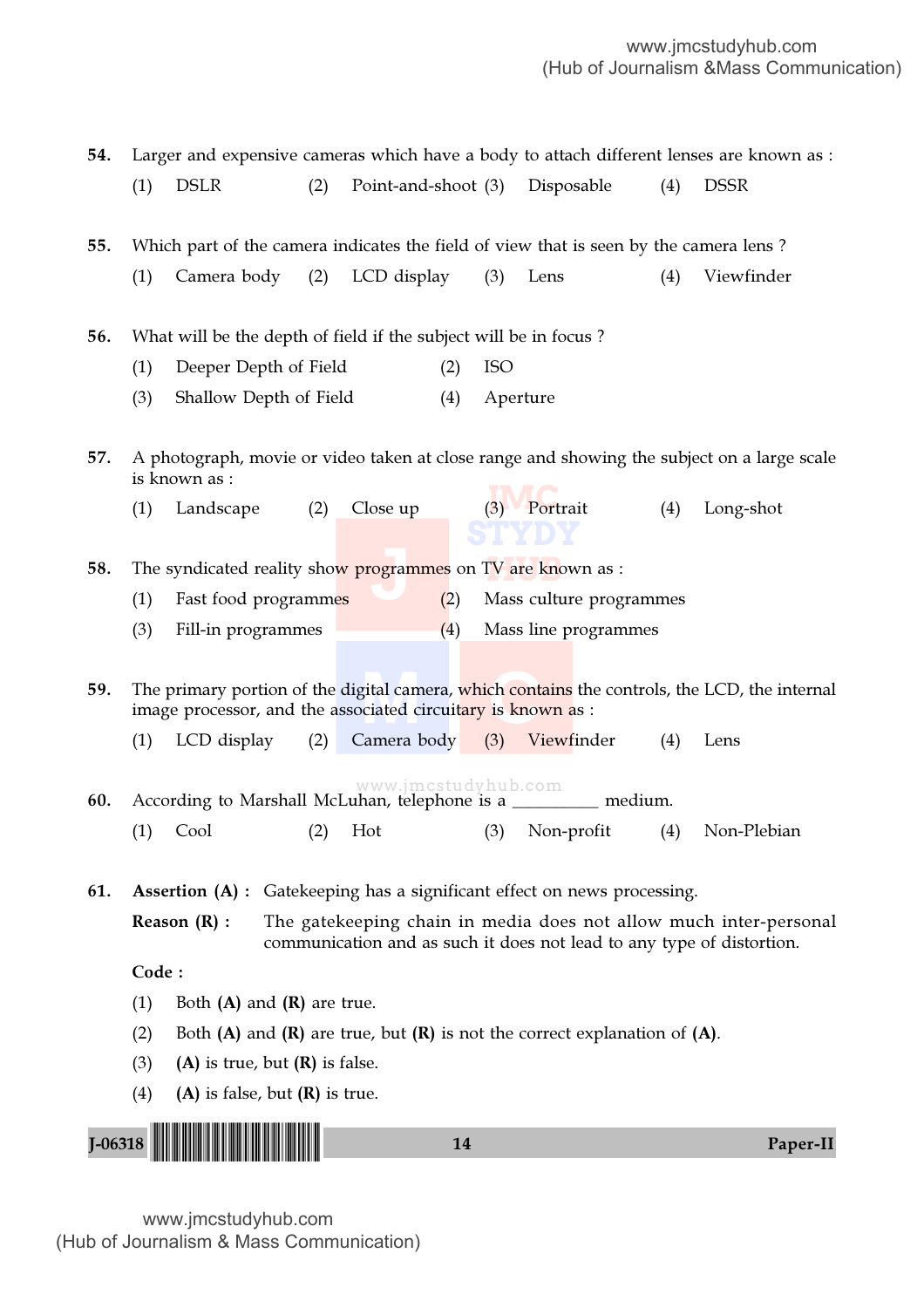54. Larger and expensive cameras which have a body to attach different lenses are known as : (1) DSLR (2) Point-and-shoot (3) Disposable (4) DSSR 55. Which part of the camera indicates the field of view that is seen by the camera lens ?

- (1) Camera body (2) LCD display (3) Lens (4) Viewfinder
- 56. What will be the depth of field if the subject will be in focus ?
	- (1) Deeper Depth of Field (2) ISO
	- (3) Shallow Depth of Field (4) Aperture

57. A photograph, movie or video taken at close range and showing the subject on a large scale is known as :

- (1) Landscape (2) Close up (3) Portrait (4) Long-shot **STYDY**
- IV are knov **ogram** 58. The syndicated reality sho<mark>w programmes</mark> on TV are known as :
	- (1) Fast food programmes (2) Mass culture programmes
	- (3) Fill-in programmes (4) Mass line programmes

**M C** 59. The primary portion of the digital camera, which contains the controls, the LCD, the internal image processor, and the associated circuitary is known as :

- (1) LCD display (2) Camera body (3) Viewfinder (4) Lens
- www.jmcstudyhub.com 60. According to Marshall McLuhan, telephone is a \_\_\_\_\_\_\_\_\_\_ medium. (1) Cool (2) Hot (3) Non-profit (4) Non-Plebian

61. Assertion (A) : Gatekeeping has a significant effect on news processing.

**Reason**  $(R)$ **:** The gatekeeping chain in media does not allow much inter-personal communication and as such it does not lead to any type of distortion.

Code :

- (1) Both  $(A)$  and  $(R)$  are true.
- (2) Both (A) and (R) are true, but  $(R)$  is not the correct explanation of (A).
- (3) (A) is true, but  $(R)$  is false.
- (4) (A) is false, but  $(R)$  is true.

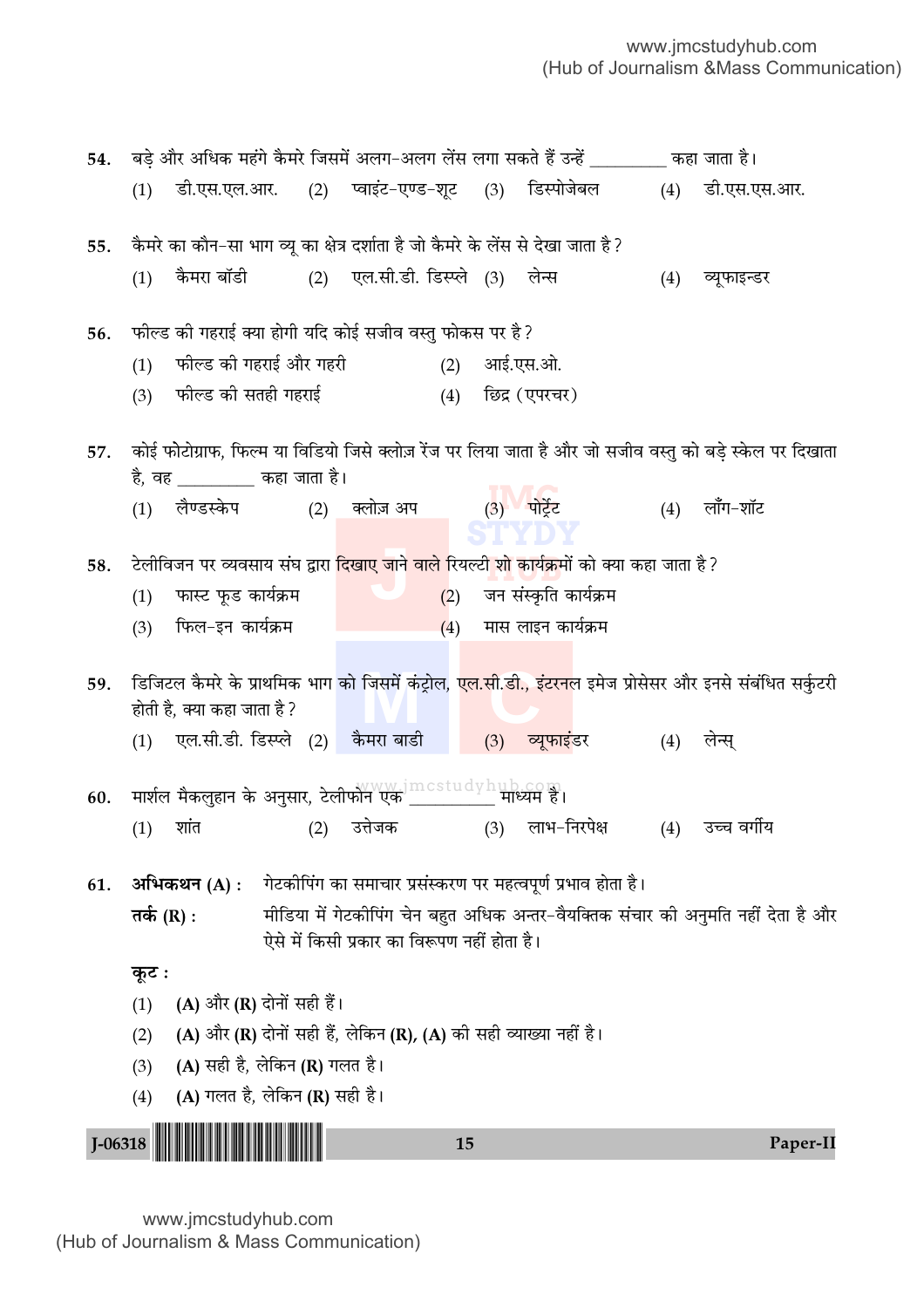| 54.         |                                                                                                                                          |                                                                                                          |     |                                             | बड़े और अधिक महंगे कैमरे जिसमें अलग–अलग लेंस लगा सकते हैं उन्हें ________ कहा जाता है। |  |                                                              |     |                                                                                                                        |  |  |
|-------------|------------------------------------------------------------------------------------------------------------------------------------------|----------------------------------------------------------------------------------------------------------|-----|---------------------------------------------|----------------------------------------------------------------------------------------|--|--------------------------------------------------------------|-----|------------------------------------------------------------------------------------------------------------------------|--|--|
|             | (1)                                                                                                                                      | डी.एस.एल.आर. (2) प्वाइंट-एण्ड-शूट (3) डिस्पोजेबल                                                         |     |                                             |                                                                                        |  |                                                              |     | (4) डी.एस.एस.आर.                                                                                                       |  |  |
| 55.         |                                                                                                                                          | कैमरे का कौन–सा भाग व्यू का क्षेत्र दर्शाता है जो कैमरे के लेंस से देखा जाता है ?                        |     |                                             |                                                                                        |  |                                                              |     |                                                                                                                        |  |  |
|             | (1)                                                                                                                                      | कैमरा बॉडी (2) एल.सी.डी. डिस्प्ले (3) लेन्स                                                              |     |                                             |                                                                                        |  |                                                              | (4) | व्यूफाइन्डर                                                                                                            |  |  |
| 56.         |                                                                                                                                          | फील्ड की गहराई क्या होगी यदि कोई सजीव वस्तु फोकस पर है?                                                  |     |                                             |                                                                                        |  |                                                              |     |                                                                                                                        |  |  |
|             | (1)                                                                                                                                      | फील्ड की गहराई और गहरी                                                                                   |     |                                             |                                                                                        |  | (2) आई.एस.ओ.                                                 |     |                                                                                                                        |  |  |
|             |                                                                                                                                          | (3)    फील्ड की सतही गहराई                                                                               |     |                                             |                                                                                        |  | (4) छिद्र (एपरचर)                                            |     |                                                                                                                        |  |  |
| 57.         | कोई फोटोग्राफ, फिल्म या विडियो जिसे क्लोज़ रेंज पर लिया जाता है और जो सजीव वस्तु को बड़े स्केल पर दिखाता<br>है, वह ________ कहा जाता है। |                                                                                                          |     |                                             |                                                                                        |  |                                                              |     |                                                                                                                        |  |  |
|             | (1)                                                                                                                                      | लैण्डस्केप (2) क्लोज़ अप        (3) पोर्ट्रेट                                                            |     |                                             |                                                                                        |  |                                                              |     | $(4)$ लॉॅंग-शॉट                                                                                                        |  |  |
| 58.         |                                                                                                                                          | टेलीविजन पर व्यवसाय संघ द्वारा <mark>दिखाए जाने वाले रियल्टी शो कार्यक्र</mark> मों को क्या कहा जाता है? |     |                                             |                                                                                        |  |                                                              |     |                                                                                                                        |  |  |
|             | (1)                                                                                                                                      | फास्ट फूड कार्यक्रम                                                                                      |     |                                             |                                                                                        |  | $(2)$ जन संस्कृति कार्यक्रम                                  |     |                                                                                                                        |  |  |
|             | (3)                                                                                                                                      | फिल–इन कार्यक्रम                                                                                         |     |                                             |                                                                                        |  | $(4)$ मास लाइन कार्यक्रम                                     |     |                                                                                                                        |  |  |
| 59.         |                                                                                                                                          | होती है, क्या कहा जाता है ?                                                                              |     |                                             |                                                                                        |  |                                                              |     | डिजिटल कैमरे के प्राथमिक भाग को जिसमें कंट्रोल, <mark>एल.सी.डी., इंटरन</mark> ल इमेज प्रोसेसर और इनसे संबंधित सर्कुटरी |  |  |
|             |                                                                                                                                          | (1) एल.सी.डी. डिस्प्ले (2) कैमरा बाडी                                                                    |     |                                             |                                                                                        |  | (3) व्यूफाइंडर                                               | (4) | लेन्स्                                                                                                                 |  |  |
| 60.         |                                                                                                                                          |                                                                                                          |     |                                             |                                                                                        |  |                                                              |     |                                                                                                                        |  |  |
|             | (1)                                                                                                                                      | शांत करने के प्राप्त करने होता.                                                                          | (2) |                                             |                                                                                        |  | उत्तेजक (3) लाभ-निरपेक्ष                                     |     | (4) उच्च वर्गीय                                                                                                        |  |  |
| 61.         |                                                                                                                                          | अभिकथन (A) :                                                                                             |     |                                             |                                                                                        |  | गेटकीपिंग का समाचार प्रसंस्करण पर महत्वपूर्ण प्रभाव होता है। |     |                                                                                                                        |  |  |
|             | तर्क (R) :                                                                                                                               |                                                                                                          |     | ऐसे में किसी प्रकार का विरूपण नहीं होता है। |                                                                                        |  |                                                              |     | मीडिया में गेटकीपिंग चेन बहुत अधिक अन्तर-वैयक्तिक संचार की अनुमति नहीं देता है और                                      |  |  |
|             | कूट :                                                                                                                                    |                                                                                                          |     |                                             |                                                                                        |  |                                                              |     |                                                                                                                        |  |  |
|             | (1)                                                                                                                                      | (A) और (R) दोनों सही हैं।                                                                                |     |                                             |                                                                                        |  |                                                              |     |                                                                                                                        |  |  |
|             | (2)                                                                                                                                      | (A) और (R) दोनों सही हैं, लेकिन (R), (A) की सही व्याख्या नहीं है।                                        |     |                                             |                                                                                        |  |                                                              |     |                                                                                                                        |  |  |
|             | (3)                                                                                                                                      | (A) सही है, लेकिन (R) गलत है।                                                                            |     |                                             |                                                                                        |  |                                                              |     |                                                                                                                        |  |  |
|             | (4)                                                                                                                                      | (A) गलत है, लेकिन (R) सही है।                                                                            |     |                                             |                                                                                        |  |                                                              |     |                                                                                                                        |  |  |
| $J - 06318$ |                                                                                                                                          |                                                                                                          |     |                                             | 15                                                                                     |  |                                                              |     | Paper-II                                                                                                               |  |  |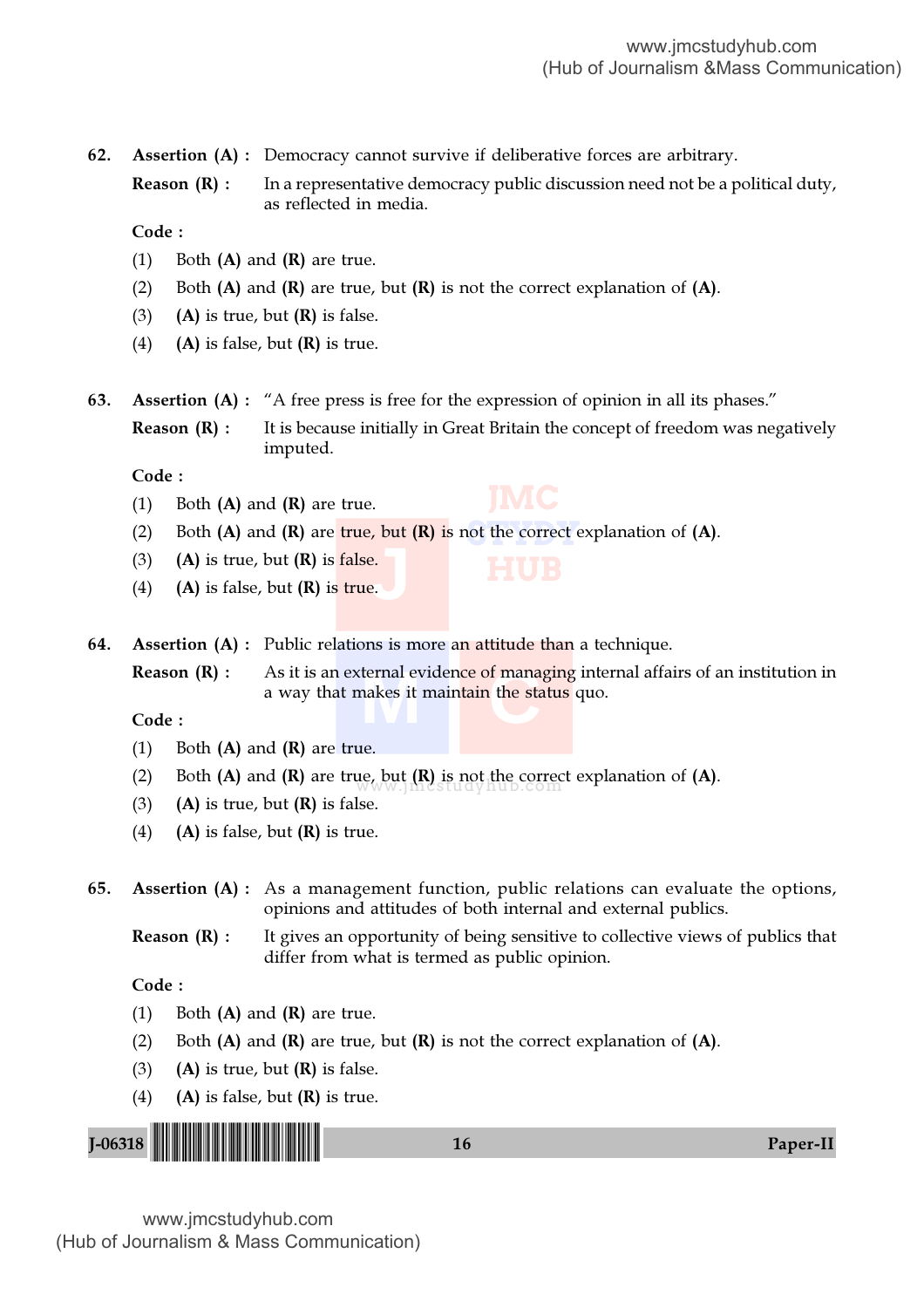62. Assertion (A) : Democracy cannot survive if deliberative forces are arbitrary.

**Reason (R) :** In a representative democracy public discussion need not be a political duty, as reflected in media.

Code :

- (1) Both  $(A)$  and  $(R)$  are true.
- (2) Both  $(A)$  and  $(R)$  are true, but  $(R)$  is not the correct explanation of  $(A)$ .
- (3) (A) is true, but  $(R)$  is false.
- (4) (A) is false, but  $(R)$  is true.
- 63. Assertion (A) : "A free press is free for the expression of opinion in all its phases."

**Reason**  $(R)$ **:** It is because initially in Great Britain the concept of freedom was negatively imputed.

Code :

- (1) Both  $(A)$  and  $(R)$  are true.
- (2) Both (A) and (R) are  $true$ , but (R) is not the correct explanation of (A).
- (3) (A) is true, but  $(R)$  is false.
- $\frac{1}{2}$ ,  $\frac{1}{2}$ ,  $\frac{1}{2}$ (4) (A) is false, but  $(R)$  is true.
- 64. Assertion (A) : Public relations is more an attitude than a technique.

**Reason (R) :** As it is an external evidence of managing internal affairs of an institution in a way that makes it maintain the status quo.<br>Code : a way that makes it maintain the status quo.

#### Code :

- (1) Both  $(A)$  and  $(R)$  are true.
- (2) Both (A) and (R) are true, but  $(R)$  is not the correct explanation of (A).
- (3) (A) is true, but  $(R)$  is false.
- (4) (A) is false, but  $(R)$  is true.
- 65. Assertion (A) : As a management function, public relations can evaluate the options, opinions and attitudes of both internal and external publics.
	- **Reason**  $(R)$ **:** It gives an opportunity of being sensitive to collective views of publics that differ from what is termed as public opinion.

#### Code :

- (1) Both  $(A)$  and  $(R)$  are true.
- (2) Both  $(A)$  and  $(R)$  are true, but  $(R)$  is not the correct explanation of  $(A)$ .
- (3) (A) is true, but  $(R)$  is false.
- (4) (A) is false, but  $(R)$  is true.

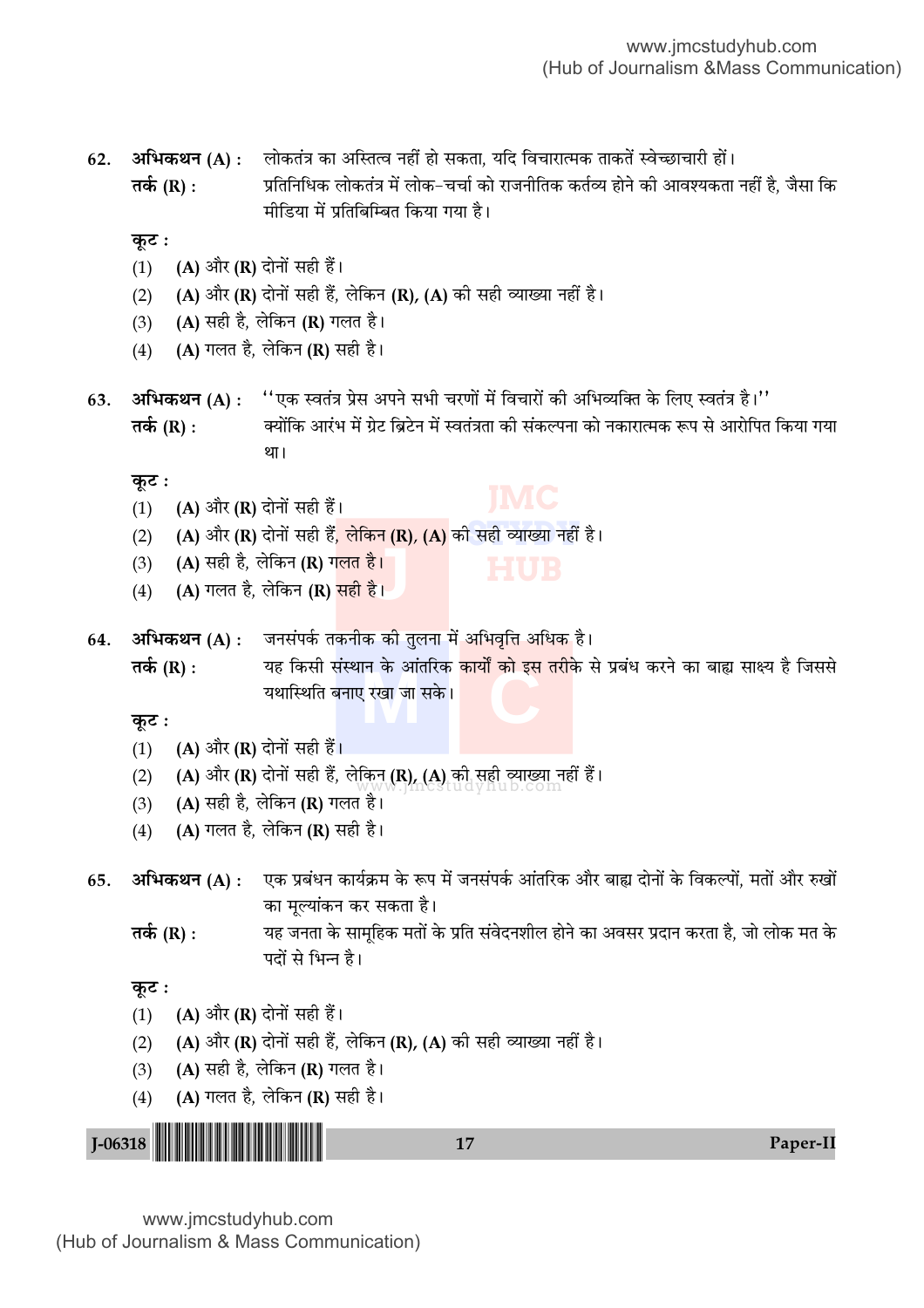(2) **(A)** और **(R)** दोनों सही हैं<mark>, लेकिन (R), (A)</mark> की सही व्याख्या नहीं है। (2) (A) और (R) दोनों सही हैं, लेकिन (R), (A) की सही व्याख्या नहीं हैं।<br>WWW.Nicestudyhub.com **J** (3) (A) '"Ë "Ò, ‹Á∑§Ÿ (R) ª‹Ã "Ò– **M C Ã∑¸§** (R) : ÿ" Á∑§'Ë '¥SÕÊŸ ∑§ •Ê¥ÃÁ⁄U∑§ ∑§ÊÿÊZ ∑§Ê ß' Ã⁄UË∑§ ' ¬˝'¥œ ∑§⁄UŸ ∑§Ê 'Ês 'Êˇÿ "Ò Á¡'' 62. **अभिकथन (A)** : लोकतंत्र का अस्तित्व नहीं हो सकता, यदि विचारात्मक ताकतें स्वेच्छाचारी हों। **तर्क (R) :** प्रतिनिधिक लोकतंत्र में लोक−चर्चा को राजनीतिक कर्तव्य होने की आवश्यकता नहीं है, जैसा कि भीडिया में प्रतिबिम्बित किया गया है। **कुट:** (1) **(A)** और (R) दोनों सही हैं। (2) (A) और (R) दोनों सही हैं, लेकिन (R), (A) की सही व्याख्या नहीं है। (3) (A) सही है, लेकिन (R) गलत है। (4) (A) गलत है, लेकिन (R) सही है। 63. **अभिकथन (A) : ''**एक स्वतंत्र प्रेस अपने सभी चरणों में विचारों की अभिव्यक्ति के लिए स्वतंत्र है।'' **तर्क (R) :** क्योंकि आरंभ में ग्रेट ब्रिटेन में स्वतंत्रता की संकल्पना को नकारात्मक रूप से आरोपित किया गया था। <u>क</u>ृट : (1) (A) और (R) दोनों सही हैं। (4) (A) गलत है, लेकिन (R) <mark>सही है।</mark> 64. अभिकथन (A) : जनसंपर्क तकनीक की तुलना में अभिवृत्ति अधिक है। यथास्थिति बनाए रखा जा सके । **कूट**ः (1) (A) और (R) दोनों सही हैं। (3) (A) सही है, लेकिन (R) गलत है। (4) (A) गलत है, लेकिन (R) सही है। 65. **अभिकथन (A)** : एक प्रबंधन कार्यक्रम के रूप में जनसंपर्क आंतरिक और बाह्य दोनों के विकल्पों, मतों और रुखों का मूल्यांकन कर सकता है। **तर्क (R) :** यह जनता के सामहिक मतों के प्रति संवेदनशील होने का अवसर प्रदान करता है, जो लोक मत के पदों से भिन्न है। <u>क</u>ृट : (1) (A) और (R) दोनों सही हैं। (2) (A) और (R) दोनों सही हैं, लेकिन (R), (A) की सही व्याख्या नहीं है। (3) (A) सही है, लेकिन (R) गलत है। (4) (A) गलत है, लेकिन (R) सही है।

J-06318 <sup>17</sup> Paper-II !J-06318-PAPER-II!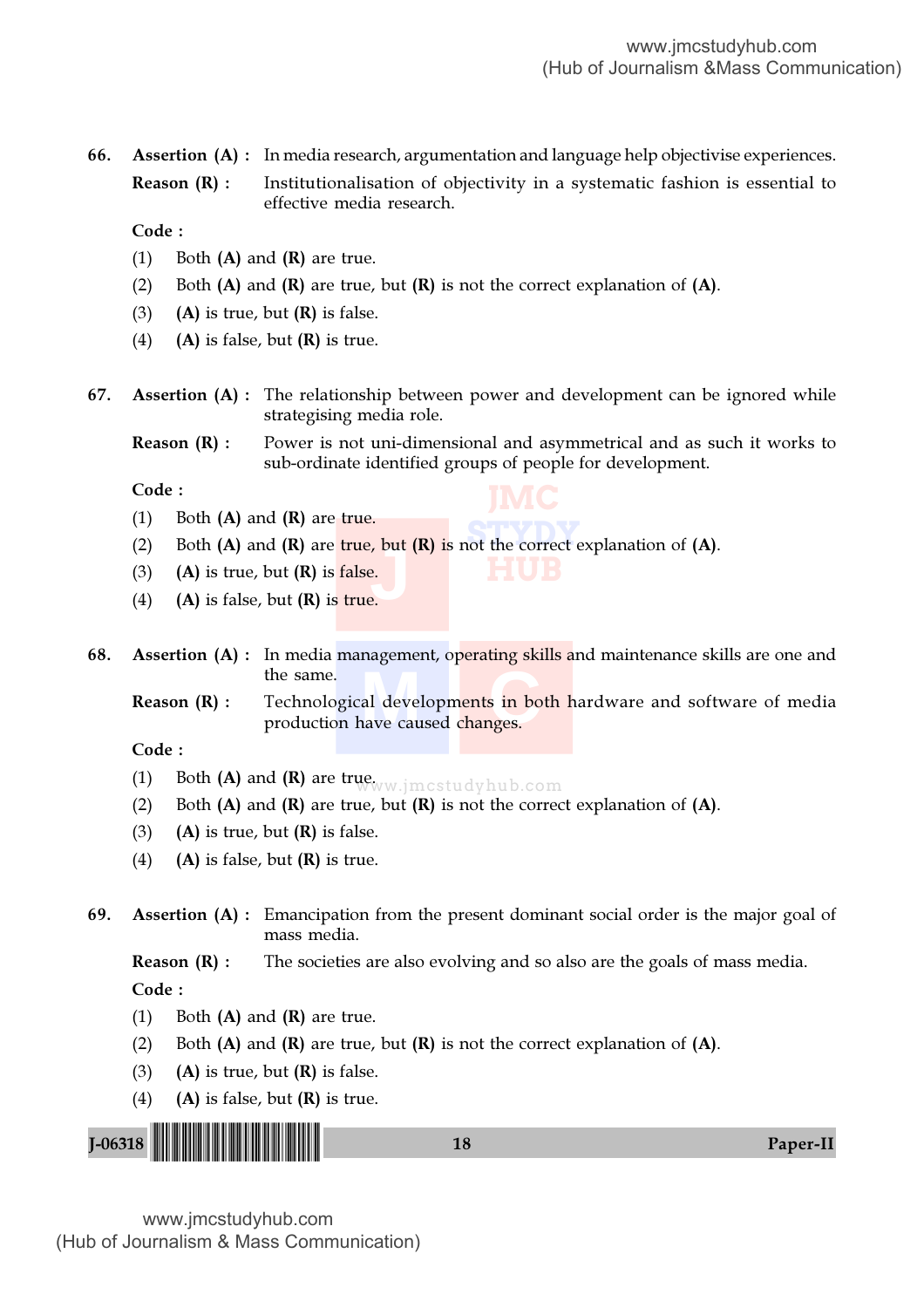66. Assertion (A) : In media research, argumentation and language help objectivise experiences.

**Reason**  $(R)$ **:** Institutionalisation of objectivity in a systematic fashion is essential to effective media research.

Code :

- (1) Both  $(A)$  and  $(R)$  are true.
- (2) Both  $(A)$  and  $(R)$  are true, but  $(R)$  is not the correct explanation of  $(A)$ .
- (3) (A) is true, but  $(R)$  is false.
- (4) (A) is false, but  $(R)$  is true.
- 67. Assertion (A) : The relationship between power and development can be ignored while strategising media role.

**Reason**  $(R)$ **:** Power is not uni-dimensional and asymmetrical and as such it works to sub-ordinate identified groups of people for development.

**JMC**

Code :

- (1) Both  $(A)$  and  $(R)$  are true.
- **STATE** CONTROL EX (2) Both (A) and (R) are true, but (R) is not the correct explanation of (A).<br>
(3) (A) is true, but (R) is false.<br>
(4) (A) is false, but (R) is true.
- (3) (A) is true, but  $(R)$  is false.
- (4) (A) is false, but  $(R)$  is true.
- 68. Assertion (A) : In media management, operating skills and maintenance skills are one and the same.

al developments in both<br>ave caused changes. **Reason (R)** : Technological developm<mark>ents in both h</mark>ardware and software of media production have caused changes.

#### Code :

- (1) Both (A) and (R) are true. Www.jmcstudyhub.com
- (2) Both  $(A)$  and  $(R)$  are true, but  $(R)$  is not the correct explanation of  $(A)$ .
- (3) (A) is true, but  $(R)$  is false.
- (4) (A) is false, but  $(R)$  is true.
- 69. Assertion (A) : Emancipation from the present dominant social order is the major goal of mass media.

**Reason (R) :** The societies are also evolving and so also are the goals of mass media.

Code :

- (1) Both  $(A)$  and  $(R)$  are true.
- (2) Both  $(A)$  and  $(R)$  are true, but  $(R)$  is not the correct explanation of  $(A)$ .
- (3) (A) is true, but  $(R)$  is false.
- (4) (A) is false, but  $(R)$  is true.

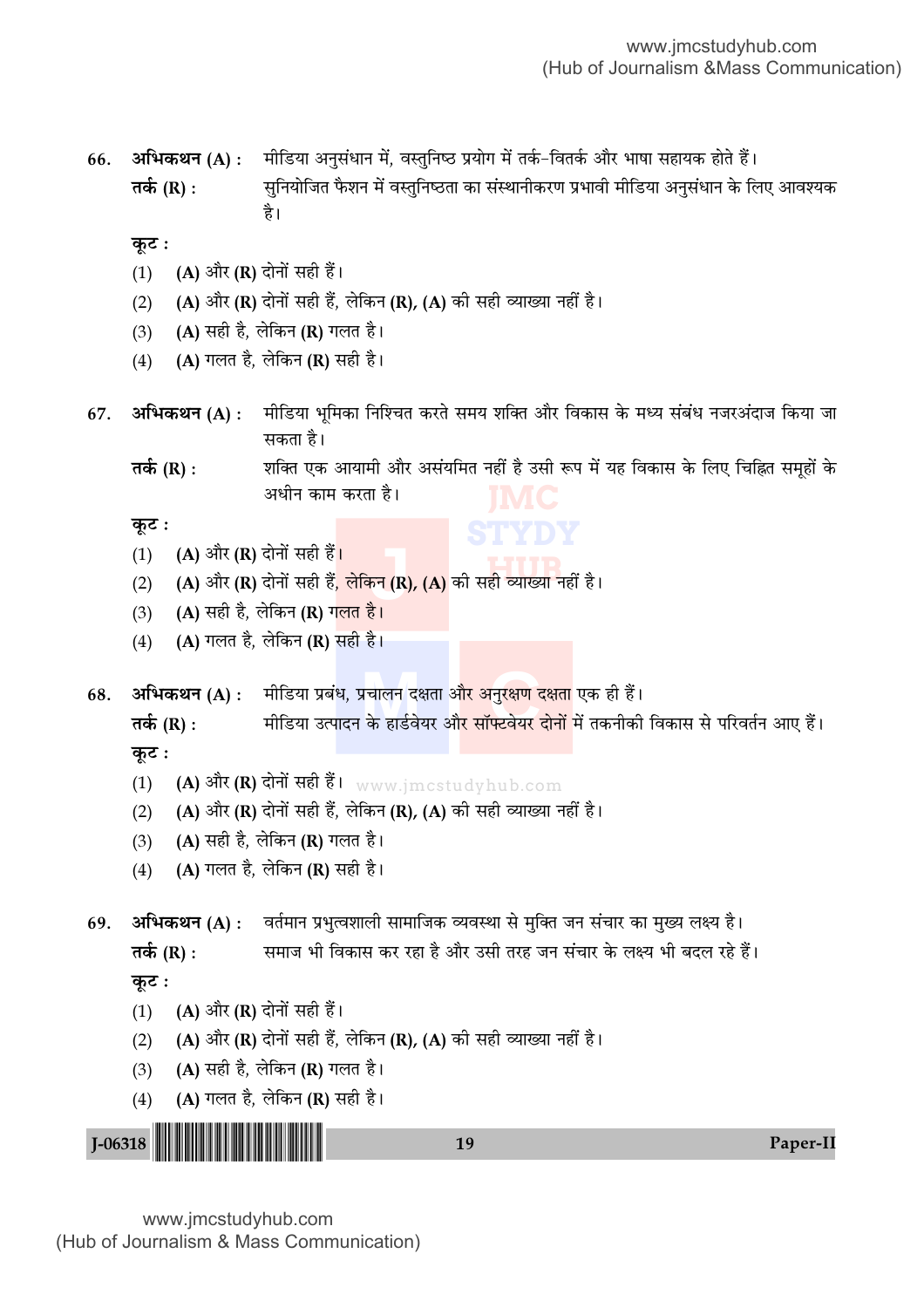अभिकथन (A) : मीडिया अनुसंधान में, वस्तुनिष्ठ प्रयोग में तर्क–वितर्क और भाषा सहायक होते हैं। 66. तर्क (R) : सुनियोजित फैशन में वस्तुनिष्ठता का संस्थानीकरण प्रभावी मीडिया अनुसंधान के लिए आवश्यक है।

कूट :

- (A) और (R) दोनों सही हैं।  $(1)$
- (A) और (R) दोनों सही हैं, लेकिन (R), (A) की सही व्याख्या नहीं है।  $(2)$
- (A) सही है, लेकिन (R) गलत है।  $(3)$
- (A) गलत है, लेकिन (R) सही है।  $(4)$
- मीडिया भूमिका निश्चित करते समय शक्ति और विकास के मध्य संबंध नजरअंदाज किया जा 67. अभिकथन (A) : सकता है।

शक्ति एक आयामी और असंयमित नहीं है उसी रूप में यह विकास के लिए चिह्नित समृहों के तर्क (R) : अधीन काम करता है।

कूट :

- (A) और (R) दोनों सही हैं।  $(1)$
- (A) और (R) दोनों सही हैं, लेकिन (R), (A) की सही व्याख्या नहीं है।  $(2)$
- (A) सही है, लेकिन (R) ग<mark>लत है।</mark>  $(3)$
- (A) गलत है, लेकिन (R) सही है।  $(4)$

अभिकथन (A) : मीडिया प्रबंध, प्रचालन दक्षता औ<mark>र अनुरक्षण दक्षता</mark> एक ही हैं। 68.

मीडिया उत्पादन के हार्डवेयर औ<mark>र सॉफ्टवेयर दोनों</mark> में तकनीकी विकास से परिवर्तन आए हैं। तर्क (R) : कुट :

- (A) और (R) दोनों सही हैं।  $_{\rm{www.jmctudyhub.com}}$  $(1)$
- (A) और (R) दोनों सही हैं, लेकिन (R), (A) की सही व्याख्या नहीं है।  $(2)$
- (A) सही है, लेकिन (R) गलत है।  $(3)$
- (A) गलत है, लेकिन (R) सही है।  $(4)$

अभिकथन (A) : वर्तमान प्रभुत्वशाली सामाजिक व्यवस्था से मुक्ति जन संचार का मुख्य लक्ष्य है। 69.

तर्क (R) : समाज भी विकास कर रहा है और उसी तरह जन संचार के लक्ष्य भी बदल रहे हैं। कुट:

- (A) और (R) दोनों सही हैं।  $(1)$
- (A) और (R) दोनों सही हैं, लेकिन (R), (A) की सही व्याख्या नहीं है।  $(2)$
- (A) सही है, लेकिन (R) गलत है।  $(3)$
- (A) गलत है, लेकिन (R) सही है।  $(4)$

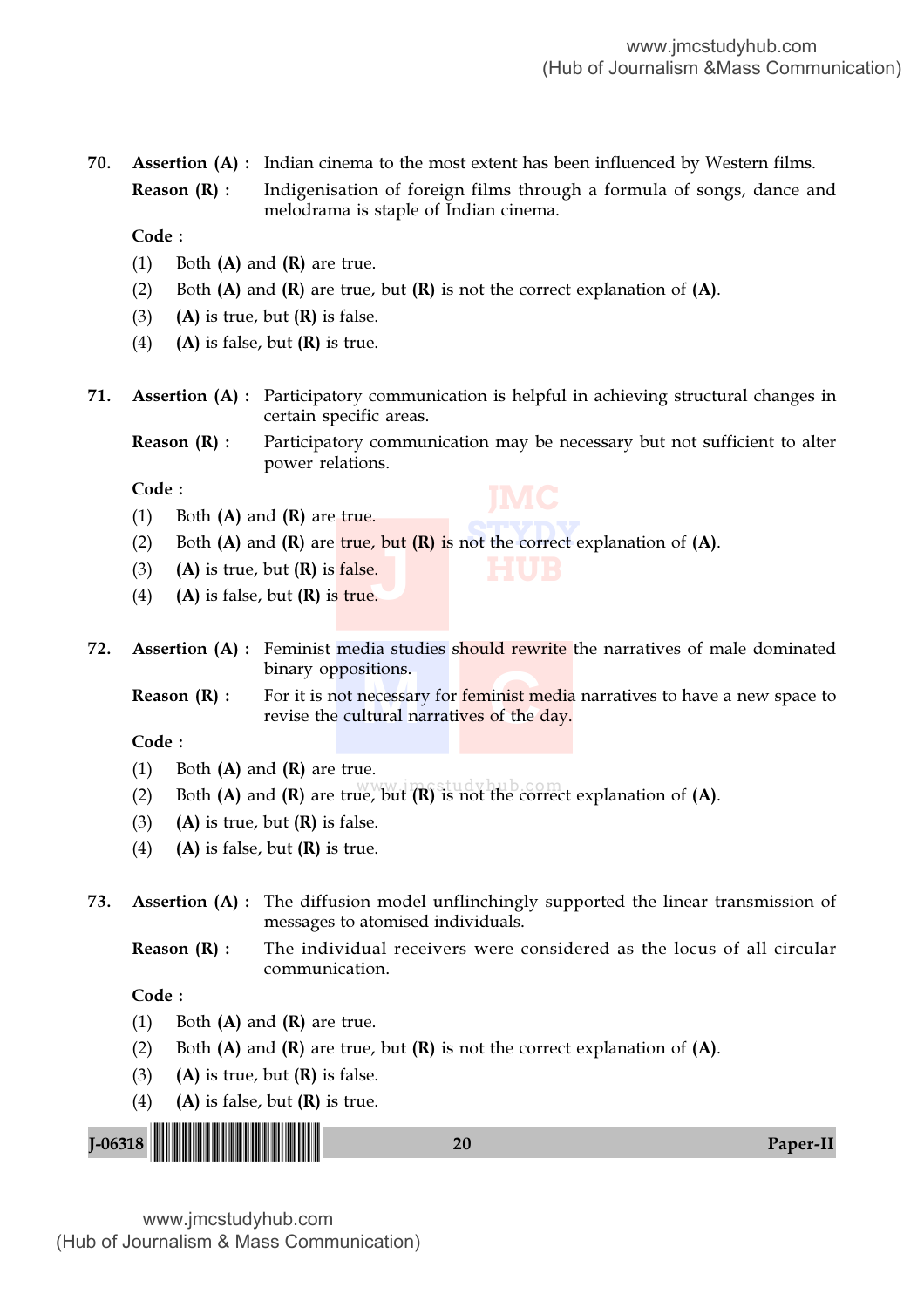70. Assertion (A) : Indian cinema to the most extent has been influenced by Western films.

**Reason (R) :** Indigenisation of foreign films through a formula of songs, dance and melodrama is staple of Indian cinema.

Code :

- (1) Both  $(A)$  and  $(R)$  are true.
- (2) Both  $(A)$  and  $(R)$  are true, but  $(R)$  is not the correct explanation of  $(A)$ .
- (3) (A) is true, but  $(R)$  is false.
- (4) (A) is false, but  $(R)$  is true.
- 71. Assertion (A) : Participatory communication is helpful in achieving structural changes in certain specific areas.

**Reason**  $(R)$ **:** Participatory communication may be necessary but not sufficient to alter power relations.

**HUB**

Code :

- (1) Both  $(A)$  and  $(R)$  are true.
- **STATE** COLORGIZER (2) Both (A) and (R) are true, but (R) is not the correct explanation of (A).<br>
(3) (A) is true, but (R) is false.<br>
(4) (A) is false, but (R) is true.
- (3) (A) is true, but  $(R)$  is false.
- (4) (A) is false, but  $(R)$  is true.
- 72. Assertion (A) : Feminist media studies should rewrite the narratives of male dominated binary oppositions.
	- sitions.<br>necessary for feminist me<br>ltural narratives of the d **Reason (R) :** For it is not necessary for feminist media narratives to have a new space to revise the cultural narratives of the day.

Code :

- (1) Both  $(A)$  and  $(R)$  are true.
- (2) Both (A) and (R) are true, but  $(R)$  is not the correct explanation of (A).
- (3) (A) is true, but  $(R)$  is false.
- (4) (A) is false, but  $(R)$  is true.
- 73. Assertion (A) : The diffusion model unflinchingly supported the linear transmission of messages to atomised individuals.
	- Reason (R) : The individual receivers were considered as the locus of all circular communication.

### Code :

- (1) Both  $(A)$  and  $(R)$  are true.
- (2) Both  $(A)$  and  $(R)$  are true, but  $(R)$  is not the correct explanation of  $(A)$ .
- (3) (A) is true, but  $(R)$  is false.
- (4) (A) is false, but  $(R)$  is true.

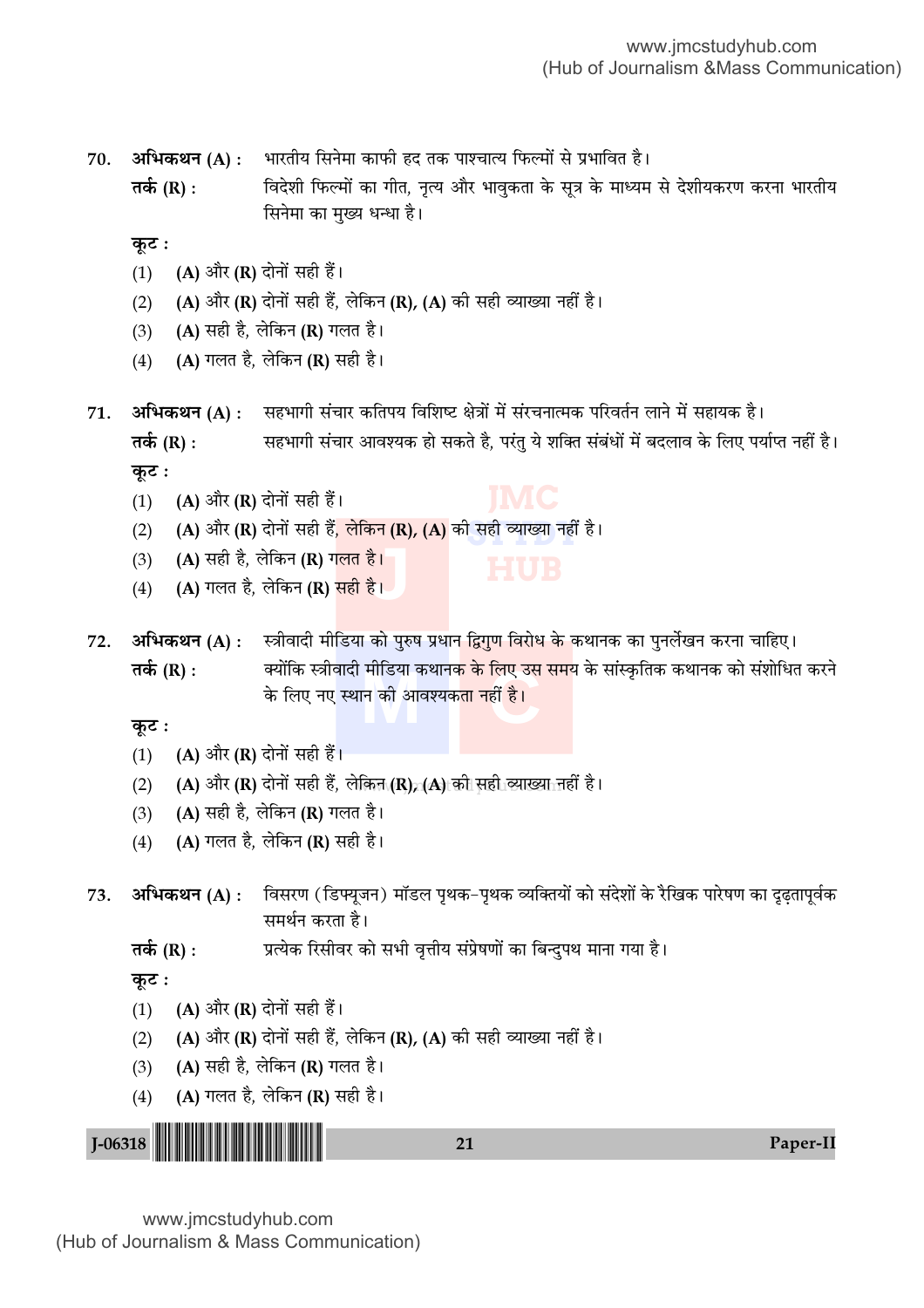अभिकथन (A) : भारतीय सिनेमा काफी हद तक पाश्चात्य फिल्मों से प्रभावित है। 70.

तर्क (R) : विदेशी फिल्मों का गीत, नृत्य और भावुकता के सूत्र के माध्यम से देशीयकरण करना भारतीय सिनेमा का मुख्य धन्धा है।

कूट :

- (A) और (R) दोनों सही हैं।  $(1)$
- (A) और (R) दोनों सही हैं, लेकिन (R), (A) की सही व्याख्या नहीं है।  $(2)$
- (A) सही है, लेकिन (R) गलत है।  $(3)$
- (A) गलत है, लेकिन (R) सही है।  $(4)$

अभिकथन (A) : सहभागी संचार कतिपय विशिष्ट क्षेत्रों में संरचनात्मक परिवर्तन लाने में सहायक है। 71. सहभागी संचार आवश्यक हो सकते है, परंतु ये शक्ति संबंधों में बदलाव के लिए पर्याप्त नहीं है। तर्क (R) : कुट:

- (A) और (R) दोनों सही हैं।  $(1)$
- (A) और (R) दोनों सही हैं, लेकिन (R), (A) की सही व्याख्या नहीं है।  $(2)$
- (A) सही है, लेकिन (R) गलत है।  $(3)$
- (A) गलत है, लेकिन (R) <mark>सही है।</mark>  $(4)$

अभिकथन (A) : स्त्रीवादी मीडिया को पुरुष प्रधान द्विगुण विरोध के कथानक का पुनर्लेखन करना चाहिए। 72. क्योंकि स्त्रीवादी मीडिया कथान<mark>क के लिए उस सम</mark>य के सांस्कृतिक कथानक को संशोधित करने तर्क (R) : के लिए नए स्थान की आवश्यकता नहीं है।

कुट :

- (A) और (R) दोनों सही हैं।  $(1)$
- (A) और (R) दोनों सही हैं, लेकिन (R) (A) की सही व्याख्या नहीं है।  $(2)$
- $(A)$  सही है, लेकिन  $(R)$  गलत है।  $(3)$
- $(A)$  गलत है, लेकिन  $(R)$  सही है।  $(4)$
- विसरण (डिफ्यूजन) मॉडल पृथक–पृथक व्यक्तियों को संदेशों के रैखिक पारेषण का दुढतापूर्वक अभिकथन (A) : 73. समर्थन करता है।
	- प्रत्येक रिसीवर को सभी वृत्तीय संप्रेषणों का बिन्दुपथ माना गया है। तर्क (R) :

कट :

- (A) और (R) दोनों सही हैं।  $(1)$
- (A) और (R) दोनों सही हैं, लेकिन (R), (A) की सही व्याख्या नहीं है।  $(2)$
- (A) सही है, लेकिन (R) गलत है।  $(3)$
- (A) गलत है, लेकिन (R) सही है।  $(4)$

 $I-06318$ Paper-II  $21$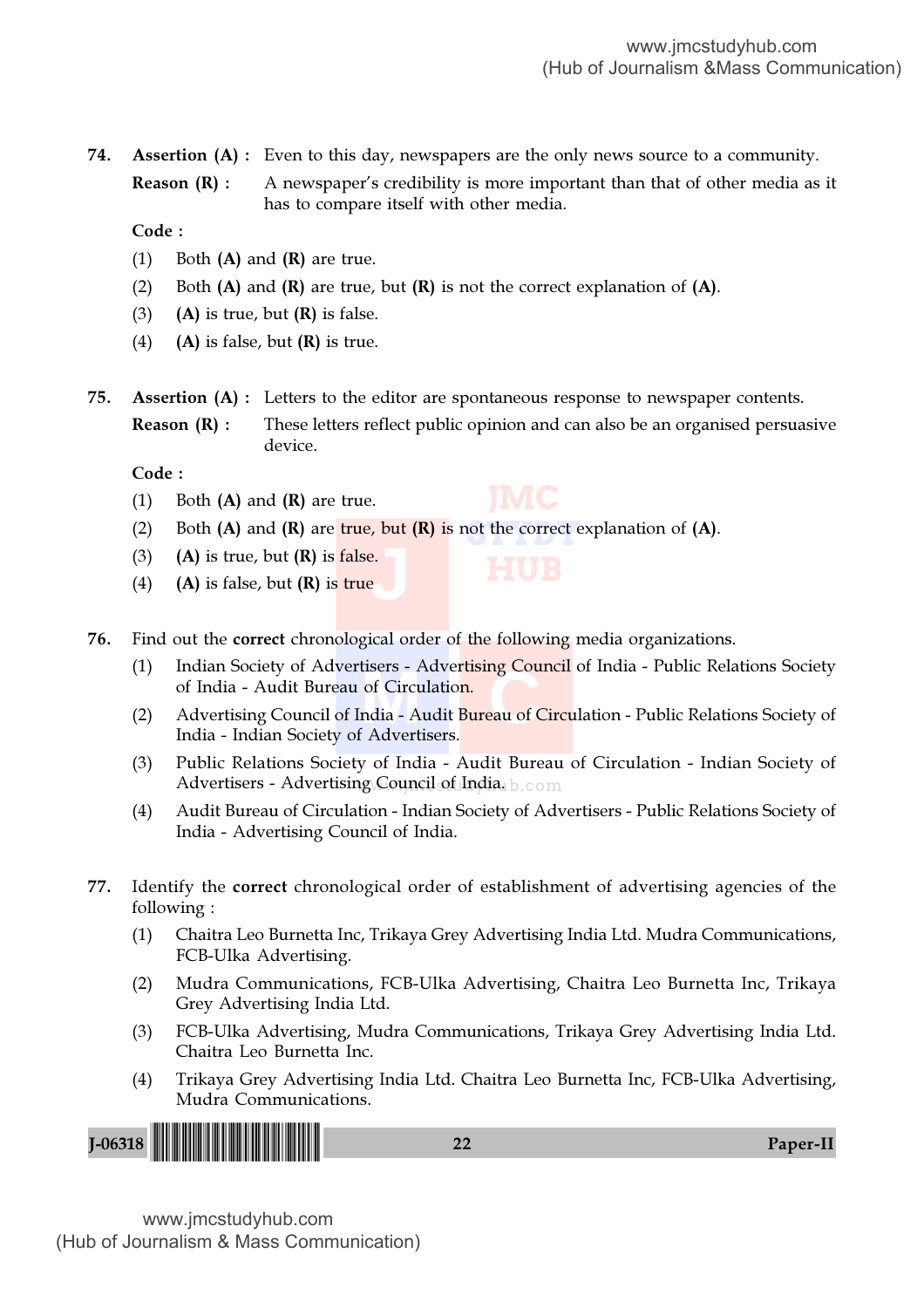74. Assertion (A) : Even to this day, newspapers are the only news source to a community.

**Reason**  $(R)$ **:** A newspaper's credibility is more important than that of other media as it has to compare itself with other media.

Code :

- (1) Both  $(A)$  and  $(R)$  are true.
- (2) Both  $(A)$  and  $(R)$  are true, but  $(R)$  is not the correct explanation of  $(A)$ .
- (3) (A) is true, but  $(R)$  is false.
- (4) (A) is false, but  $(R)$  is true.
- 75. Assertion (A) : Letters to the editor are spontaneous response to newspaper contents.
	- **Reason (R) :** These letters reflect public opinion and can also be an organised persuasive device.

Code :

- (1) Both  $(A)$  and  $(R)$  are true.
- (2) Both (**A**) and (**R**) are true, but (**R**) is not the correct explanation of (**A**).
- **J** (3) (A) is true, but  $(R)$  is false.
- (4) (A) is false, but  $(R)$  is true
- 76. Find out the correct chronological order of the following media organizations.
	- IM Indian Society of Advertisers Advertising Council of India Public Relations Society<br>
	of India Audit Bureau of Circulation Public Relations Society of<br>
	India Indian Society of Advertisers (1) Indian Society of Advertisers - Advertising Council of India - Public Relations Society of India - Audit Bureau of Circulation.
	- India Indian Society of Advertisers.
	- Advertisers Advertising Council of India. b.com (3) Public Relations Society of India - Audit Bureau of Circulation - Indian Society of
	- (4) Audit Bureau of Circulation Indian Society of Advertisers Public Relations Society of India - Advertising Council of India.
- 77. Identify the correct chronological order of establishment of advertising agencies of the following :
	- (1) Chaitra Leo Burnetta Inc, Trikaya Grey Advertising India Ltd. Mudra Communications, FCB-Ulka Advertising.
	- (2) Mudra Communications, FCB-Ulka Advertising, Chaitra Leo Burnetta Inc, Trikaya Grey Advertising India Ltd.
	- (3) FCB-Ulka Advertising, Mudra Communications, Trikaya Grey Advertising India Ltd. Chaitra Leo Burnetta Inc.
	- (4) Trikaya Grey Advertising India Ltd. Chaitra Leo Burnetta Inc, FCB-Ulka Advertising, Mudra Communications.

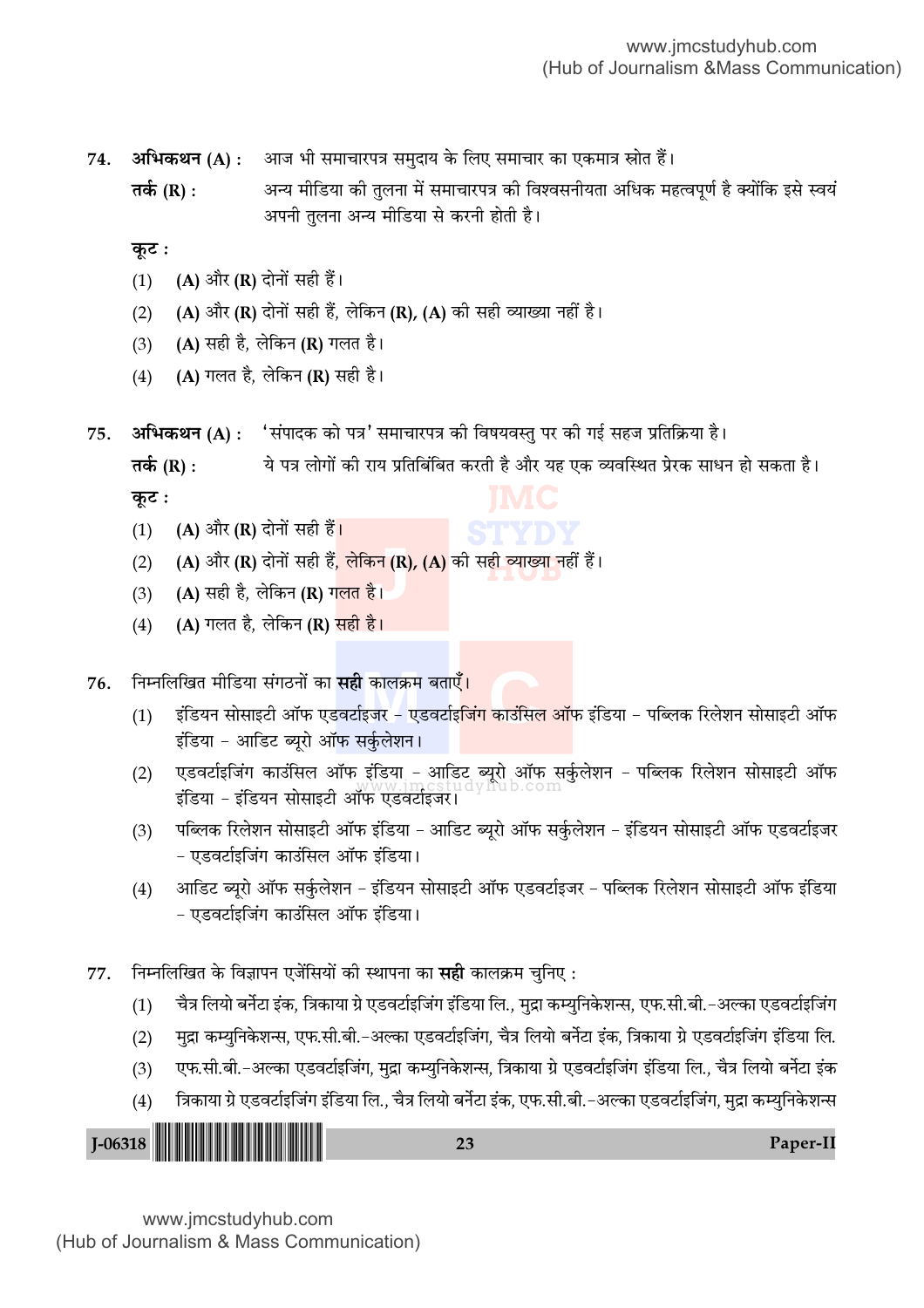अभिकथन (A) : आज भी समाचारपत्र समुदाय के लिए समाचार का एकमात्र स्रोत हैं। 74.

अन्य मीडिया की तुलना में समाचारपत्र की विश्वसनीयता अधिक महत्वपूर्ण है क्योंकि इसे स्वयं तर्क (R) : अपनी तलना अन्य मीडिया से करनी होती है।

कूट :

- $(1)$ (A) और (R) दोनों सही हैं।
- (A) और (R) दोनों सही हैं, लेकिन (R), (A) की सही व्याख्या नहीं है।  $(2)$
- (A) सही है, लेकिन (R) गलत है।  $(3)$
- (A) गलत है, लेकिन (R) सही है।  $(4)$
- 'संपादक को पत्र' समाचारपत्र की विषयवस्तु पर की गई सहज प्रतिक्रिया है। अभिकथन (A) : 75.

ये पत्र लोगों की राय प्रतिबिंबित करती है और यह एक व्यवस्थित प्रेरक साधन हो सकता है। तर्क (R) :

कूट :

- (A) और (R) दोनों सही हैं<mark>।</mark>  $(1)$
- (A) और (R) दोनों सही हैं, लेकिन (R), (A) की सही व्याख्या नहीं हैं।  $(2)$
- (A) सही है, लेकिन (R) गलत है।  $(3)$
- (A) गलत है, लेकिन (R) सही है।  $(4)$

#### निम्नलिखित मीडिया संगठनों का **सही** कालक्रम बताएँ<mark>।</mark> 76.

- इंडियन सोसाइटी ऑफ एडवर्टाइजर एडवर्टाइ<mark>जिंग काउंसिल ऑ</mark>फ इंडिया पब्लिक रिलेशन सोसाइटी ऑफ  $(1)$ इंडिया - आडिट ब्यूरो ऑफ सर्कुलेशन।
- एडवर्टाइजिंग काउंसिल ऑफ इंडिया आडिट ब्यूरो ऑफ सर्कुलेशन पब्लिक रिलेशन सोसाइटी ऑफ<br>...  $(2)$ इंडिया - इंडियन सोसाइटी ऑफ एंडवर्टाइजर।
- पब्लिक रिलेशन सोसाइटी ऑफ इंडिया आडिट ब्यूरो ऑफ सर्कुलेशन इंडियन सोसाइटी ऑफ एडवर्टाइजर  $(3)$ - एडवर्टाइजिंग काउंसिल ऑफ इंडिया।
- आडिट ब्यूरो ऑफ सर्कुलेशन इंडियन सोसाइटी ऑफ एडवर्टाइजर पब्लिक रिलेशन सोसाइटी ऑफ इंडिया  $(4)$ - एडवर्टाइजिंग काउंसिल ऑफ इंडिया।
- निम्नलिखित के विज्ञापन एजेंसियों की स्थापना का **सही** कालक्रम चुनिए : 77.
	- चैत्र लियो बर्नेटा इंक, त्रिकाया ग्रे एडवर्टाइजिंग इंडिया लि., मुद्रा कम्युनिकेशन्स, एफ.सी.बी.–अल्का एडवर्टाइजिंग  $(1)$
	- मुद्रा कम्युनिकेशन्स, एफ.सी.बी.-अल्का एडवर्टाइजिंग, चैत्र लियो बर्नेटा इंक, त्रिकाया ग्रे एडवर्टाइजिंग इंडिया लि.  $(2)$
	- एफ.सी.बी.-अल्का एडवर्टाइजिंग, मुद्रा कम्युनिकेशन्स, त्रिकाया ग्रे एडवर्टाइजिंग इंडिया लि., चैत्र लियो बर्नेटा इंक  $(3)$
	- त्रिकाया ग्रे एडवर्टाइजिंग इंडिया लि., चैत्र लियो बर्नेटा इंक, एफ.सी.बी.-अल्का एडवर्टाइजिंग, मुद्रा कम्युनिकेशन्स  $(4)$

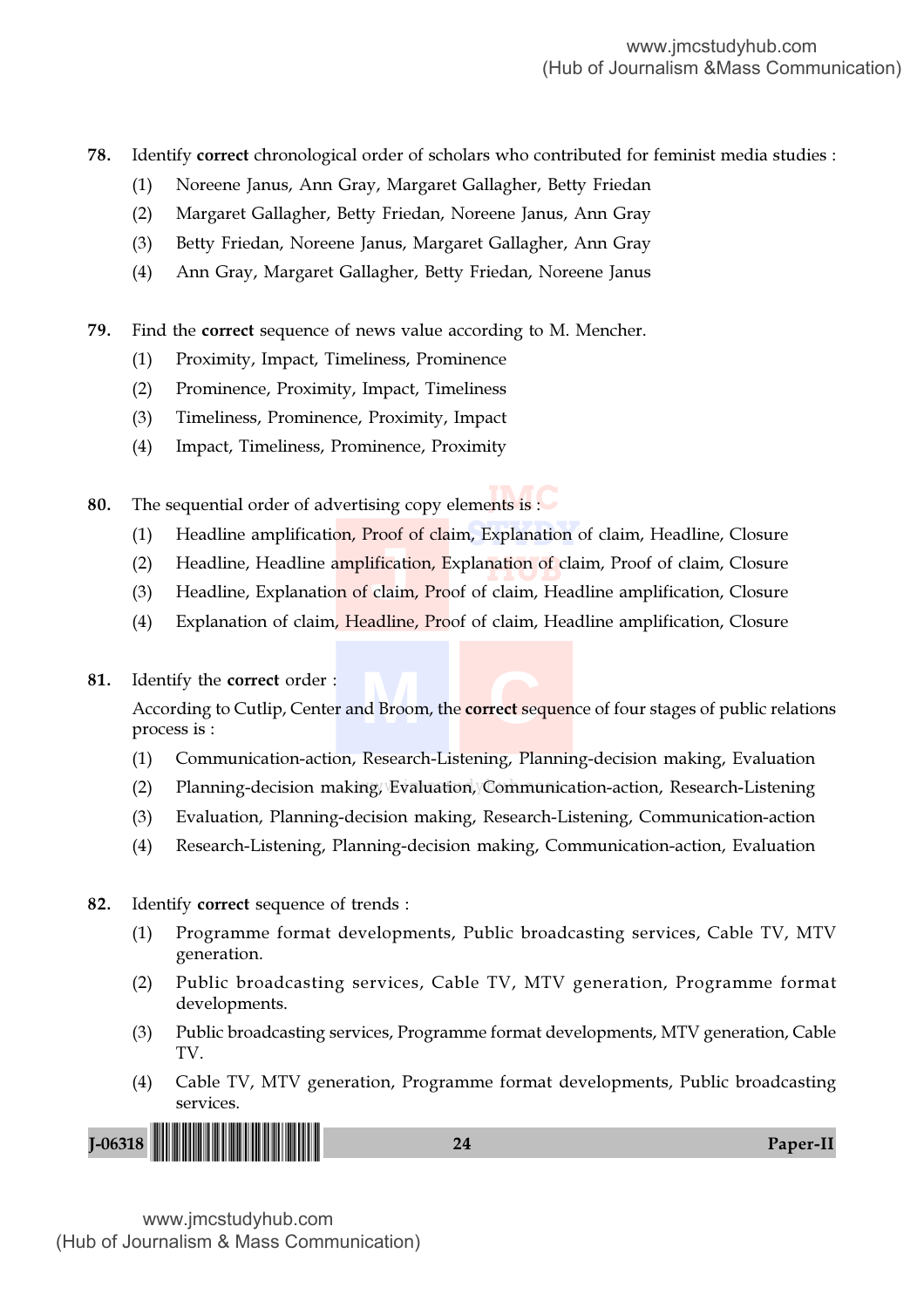78. Identify correct chronological order of scholars who contributed for feminist media studies :

- (1) Noreene Janus, Ann Gray, Margaret Gallagher, Betty Friedan
- (2) Margaret Gallagher, Betty Friedan, Noreene Janus, Ann Gray
- (3) Betty Friedan, Noreene Janus, Margaret Gallagher, Ann Gray
- (4) Ann Gray, Margaret Gallagher, Betty Friedan, Noreene Janus
- 79. Find the correct sequence of news value according to M. Mencher.
	- (1) Proximity, Impact, Timeliness, Prominence
	- (2) Prominence, Proximity, Impact, Timeliness
	- (3) Timeliness, Prominence, Proximity, Impact
	- (4) Impact, Timeliness, Prominence, Proximity

**80.** The sequential order of advertising copy elements is :

- (1) Headline amplification, Proof of claim, Explanation of claim, Headline, Closure
- **hation** of cla dification<br>
claim, (2) Headline, Headline amplification, Explanation of claim, Proof of claim, Closure
- (3) Headline, Explanation of claim, Proof of claim, Headline amplification, Closure
- (4) Explanation of claim, Headline, Proof of claim, Headline amplification, Closure
- 81. Identify the correct order :

**d** Broom, the correct sequ According to Cutlip, Center and Broom, the correct sequence of four stages of public relations process is :

- (1) Communication-action, Research-Listening, Planning-decision making, Evaluation
- (2) Planning-decision making, Evaluation, Communication-action, Research-Listening
- (3) Evaluation, Planning-decision making, Research-Listening, Communication-action
- (4) Research-Listening, Planning-decision making, Communication-action, Evaluation
- 82. Identify correct sequence of trends :
	- (1) Programme format developments, Public broadcasting services, Cable TV, MTV generation.
	- (2) Public broadcasting services, Cable TV, MTV generation, Programme format developments.
	- (3) Public broadcasting services, Programme format developments, MTV generation, Cable TV.
	- (4) Cable TV, MTV generation, Programme format developments, Public broadcasting services.

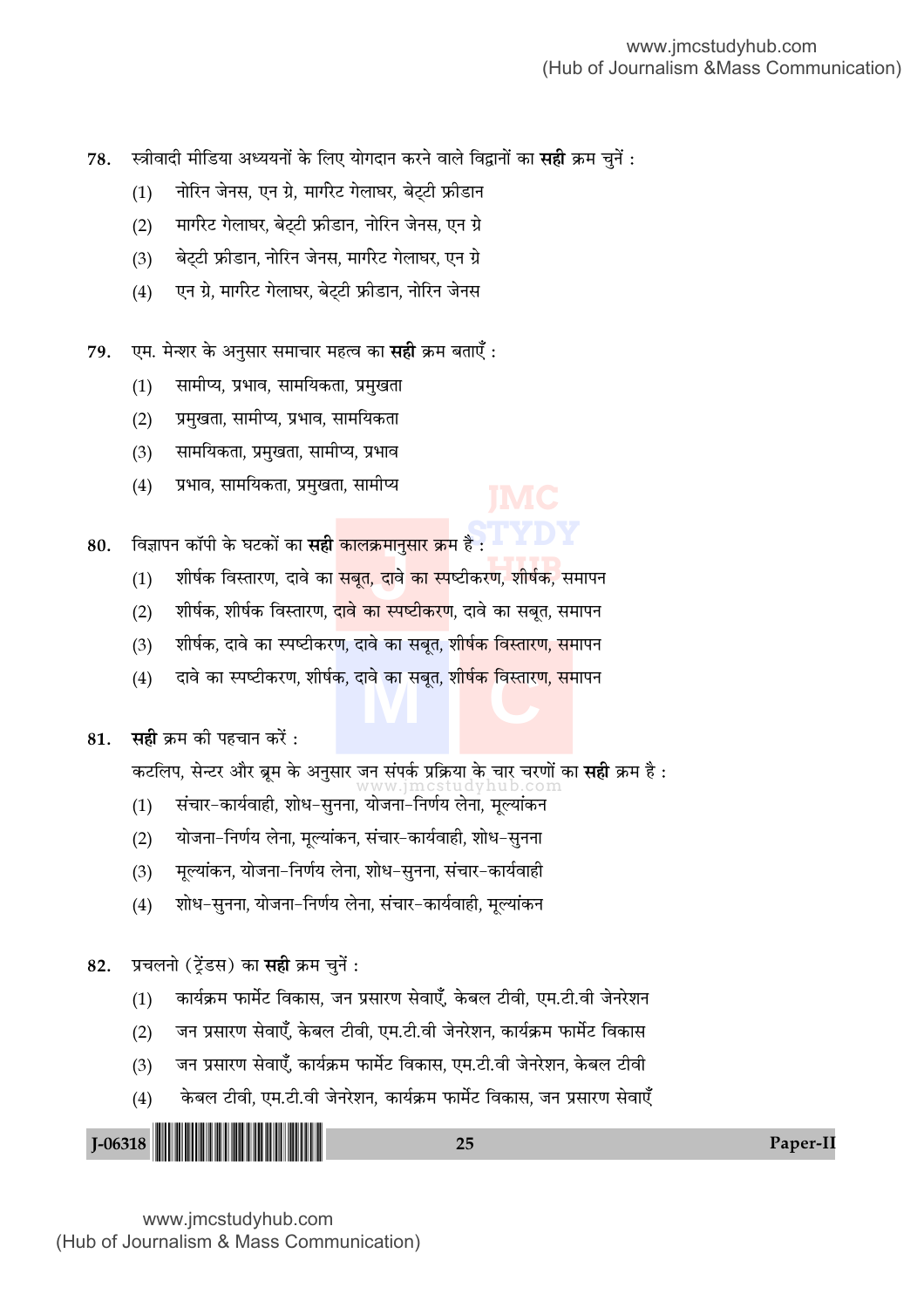- 78. स्त्रीवादी मीडिया अध्ययनों के लिए योगदान करने वाले विद्वानों का **सही** क्रम चुनें :
	- (1) नोरिन जेनस, एन ग्रे, मार्गरेट गेलाघर, बेट्टी फ्रीडान
	- (2) मार्गरेट गेलाघर, बेट्टी फ्रीडान, नोरिन जेनस, एन ग्रे
	- (3) बेट्टी फ्रीडान, नोरिन जेनस, मार्गरेट गेलाघर, एन ग्रे
	- (4) ० एन ग्रे, मार्गरेट गेलाघर, बेट्टी फ्रीडान, नोरिन जेनस
- 79. एम. मेन्शर के अनुसार समाचार महत्व का **सही** क्रम बताएँ :
	- (1) सामीप्य, प्रभाव, सामयिकता, प्रमुखता
	- (2) प्रमुखता, सामीप्य, प्रभाव, सामयिकता
	- (3) सामयिकता, प्रमुखता, सामीप्य, प्रभाव
	- (4) प्रभाव, सामयिकता, प्रमुखता, सामीप्य

**STYDY** 80. विज्ञापन कॉपी के घटकों का **सही <mark>कालक्रमानुसार क्र</mark>म है** :

- .<br>रण, शीर्षक, स क्रमानुस<br>, दावे व<br>न म्पार्घ (1) शीर्षक विस्तारण, दावे का <mark>सबूत, दावे का स्प</mark>ष्टीकरण, शीर्षक, समापन
- (2) शीर्षक, शीर्षक विस्तारण, द<mark>ावे का स्पष्टीकरण</mark>, दावे का सबूत, समापन
- (3) शीर्षक, दावे का स्पष्टीकरण, दावे का सबूत, शीर्षक विस्तारण, समापन
- (4) दावे का स्पष्टीकरण, शीर्षक, दावे का सबूत, <mark>शीर्षक विस्तारण, स</mark>मापन<br><del>स्री</del> दाय उन्ने सरसर उन्हें

81. **सही** क्रम की पहचान करें :

कटलिप, सेन्टर और ब्रूम के अनुसार जन संपर्क प्रक्रिया के चार चरणों का **सही** क्रम है :<br>www.jmcstudyhub.com

- (1) संचार-कार्यवाही, शोध-सुनना, योजना-निर्णय लेना, मूल्यांकन
- (2) योजना-निर्णय लेना, मूल्यांकन, संचार-कार्यवाही, शोध-सुनना
- (3) मूल्यांकन, योजना-निर्णय लेना, शोध-सुनना, संचार-कार्यवाही
- (4) सोध-सुनना, योजना-निर्णय लेना, संचार-कार्यवाही, मूल्यांकन

82. प्रचलनो (टेंडस) का सही क्रम चुनें:

- (1) जार्यक्रम फार्मेट विकास, जन प्रसारण सेवाएँ, केबल टीवी, एम.टी.वी जेनरेशन
- (2) जन प्रसारण सेवाएँ, केबल टीवी, एम.टी.वी जेनरेशन, कार्यक्रम फार्मेट विकास
- (3) जन प्रसारण सेवाएँ, कार्यक्रम फार्मेट विकास, एम.टी.वी जेनरेशन, केबल टीवी
- (4) केबल टीवी, एम.टी.वी जेनरेशन, कार्यक्रम फार्मेट विकास, जन प्रसारण सेवाएँ

| 11 M M M |  |
|----------|--|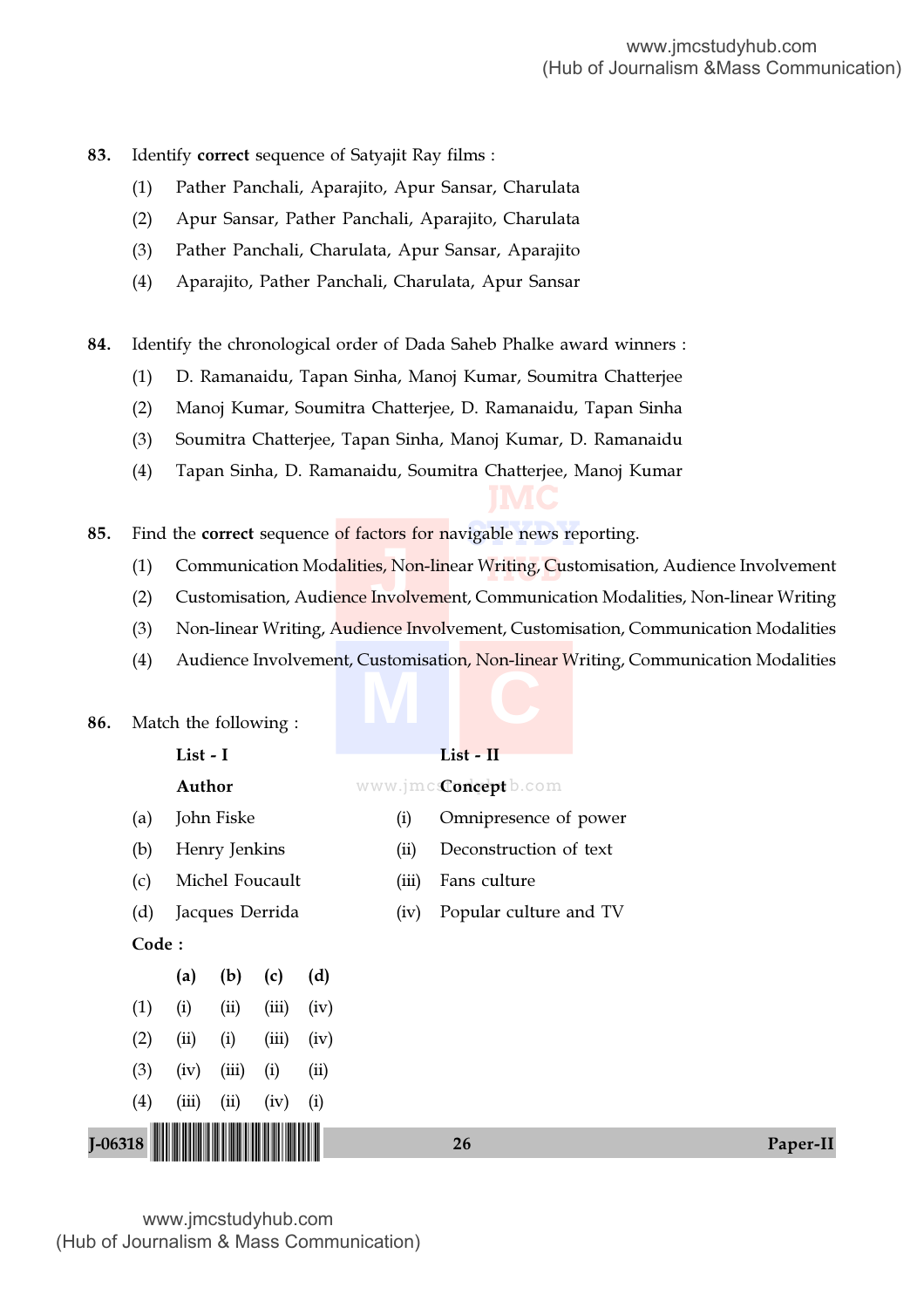- 83. Identify correct sequence of Satyajit Ray films :
	- (1) Pather Panchali, Aparajito, Apur Sansar, Charulata
	- (2) Apur Sansar, Pather Panchali, Aparajito, Charulata
	- (3) Pather Panchali, Charulata, Apur Sansar, Aparajito
	- (4) Aparajito, Pather Panchali, Charulata, Apur Sansar
- 84. Identify the chronological order of Dada Saheb Phalke award winners :
	- (1) D. Ramanaidu, Tapan Sinha, Manoj Kumar, Soumitra Chatterjee
	- (2) Manoj Kumar, Soumitra Chatterjee, D. Ramanaidu, Tapan Sinha
	- (3) Soumitra Chatterjee, Tapan Sinha, Manoj Kumar, D. Ramanaidu
	- (4) Tapan Sinha, D. Ramanaidu, Soumitra Chatterjee, Manoj Kumar

**85.** Find the correct sequence <mark>of factors for n</mark>avigable news reporting.

V<mark>riting, C</mark>us **Present**<br>Bis, Not<br>Involv (1) Communication Modalities, Non-linear Writing, Customisation, Audience Involvement

**JMC**

- (2) Customisation, Audience Involvement, Communication Modalities, Non-linear Writing
- (3) Non-linear Writing, Audience Involvement, Customisation, Communication Modalities
- **M C** (4) Audience Involvement, Customisation, Non-linear Writing, Communication Modalities

|             |       | List - I        |       |      |  |       | List - II                    |  |
|-------------|-------|-----------------|-------|------|--|-------|------------------------------|--|
|             |       | Author          |       |      |  |       | www.jmc <b>Concept</b> b.com |  |
| (a)         |       | John Fiske      |       |      |  | (i)   | Omnipresence of power        |  |
| (b)         |       | Henry Jenkins   |       |      |  | (ii)  | Deconstruction of text       |  |
| (c)         |       | Michel Foucault |       |      |  | (iii) | Fans culture                 |  |
| (d)         |       | Jacques Derrida |       |      |  | (iv)  | Popular culture and TV       |  |
| Code:       |       |                 |       |      |  |       |                              |  |
|             | (a)   | (b)             | (c)   | (d)  |  |       |                              |  |
| (1)         | (i)   | (ii)            | (iii) | (iv) |  |       |                              |  |
| (2)         | (ii)  | (i)             | (iii) | (iv) |  |       |                              |  |
| (3)         | (iv)  | (iii)           | (i)   | (ii) |  |       |                              |  |
| (4)         | (iii) | (ii)            | (iv)  | (i)  |  |       |                              |  |
| $I - 06318$ |       |                 |       |      |  |       | 26<br>Paper-II               |  |

86. Match the following :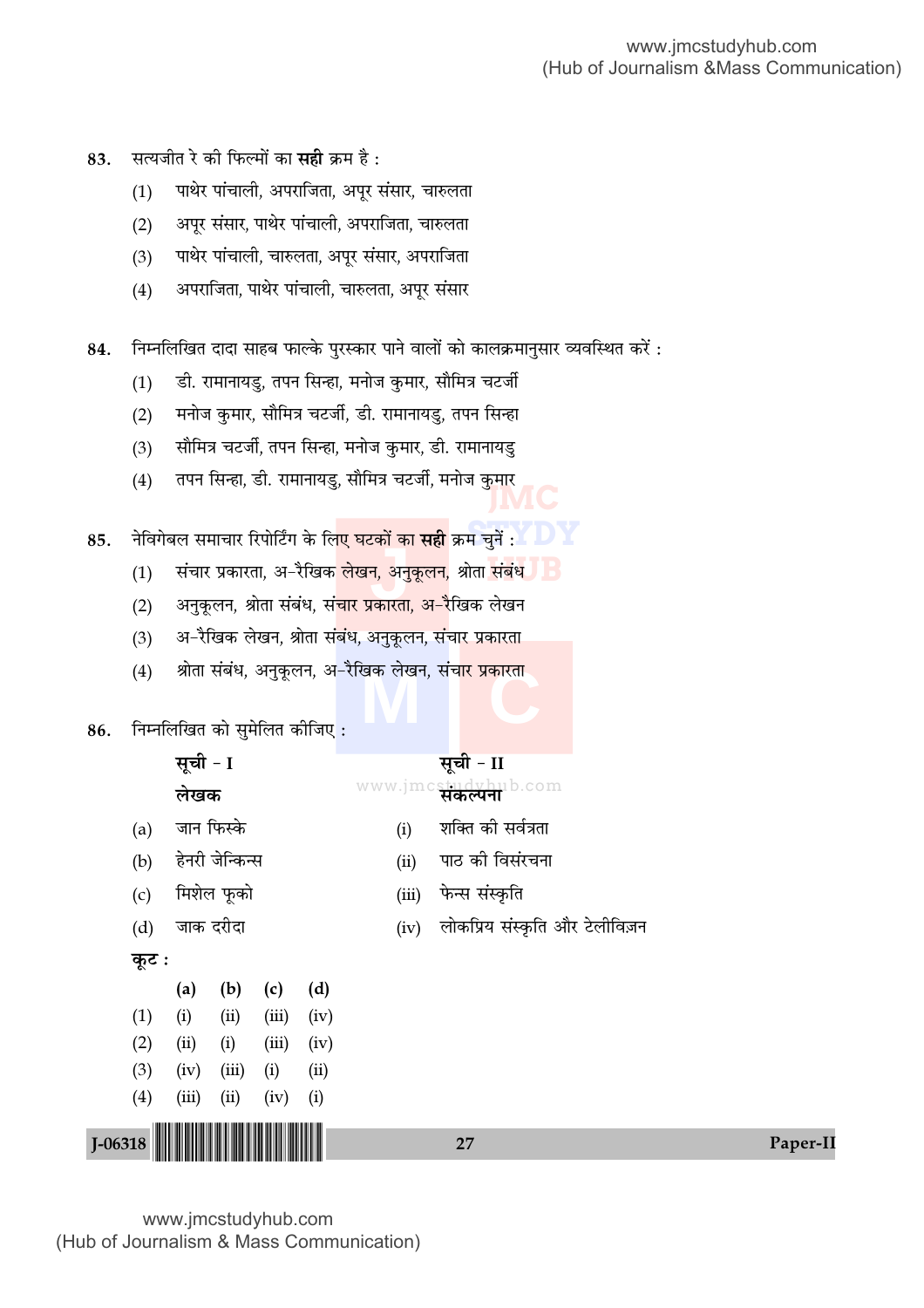- सत्यजीत रे की फिल्मों का **सही** क्रम है : 83.
	- पाथेर पांचाली, अपराजिता, अपूर संसार, चारुलता  $(1)$
	- अपूर संसार, पाथेर पांचाली, अपराजिता, चारुलता  $(2)$
	- पाथेर पांचाली, चारुलता, अपूर संसार, अपराजिता  $(3)$
	- अपराजिता, पाथेर पांचाली, चारुलता, अपूर संसार  $(4)$
- निम्नलिखित दादा साहब फाल्के पुरस्कार पाने वालों को कालक्रमानुसार व्यवस्थित करें : 84.
	- डी. रामानायडु, तपन सिन्हा, मनोज कुमार, सौमित्र चटर्जी  $(1)$
	- मनोज कुमार, सौमित्र चटर्जी, डी. रामानायडु, तपन सिन्हा  $(2)$
	- सौमित्र चटर्जी, तपन सिन्हा, मनोज कुमार, डी. रामानायडु  $(3)$
	- तपन सिन्हा, डी. रामानायडु, सौमित्र चटर्जी, मनोज कुमार  $(4)$
- नेविगेबल समाचार रिपोर्टिंग के लि<mark>ए घटकों का **सही** क्रम</mark> चुनें : 85.
	- संचार प्रकारता, अ-रैखिक <mark>लेखन, अनुकूलन,</mark> श्रोता संबंध JIB  $(1)$
	- अनुकूलन, श्रोता संबंध, सं<mark>चार प्रकारता, अ–रै</mark>खिक लेखन  $(2)$
	- अ–रैखिक लेखन, श्रोता संबंध, अनुकूलन, संचार प्रकारता  $(3)$
	- श्रोता संबंध, अनुकूलन, अ-रैखिक लेखन, संचा<mark>र प्रकारता</mark>  $(4)$

निम्नलिखित को सुमेलित कीजिए: 86.

सूची - I

जान फिस्के

लेखक

# सूची - II

- www.jmcstudyhub.com
	- शक्ति की सर्वत्रता  $(i)$
- हेनरी जेन्किन्स पाठ की विसंरचना  $(ii)$
- मिशेल फूको फेन्स संस्कृति  $(iii)$  $(c)$
- जाक दरीदा  $(d)$

लोकप्रिय संस्कृति और टेलीविज़न  $(iv)$ 

#### कुट:

 $I-06318$ 

 $(a)$ 

 $(b)$ 

|                                                                                                                      | (a)   | (b)   | (c)   | (d)  |  |  |  |  |  |
|----------------------------------------------------------------------------------------------------------------------|-------|-------|-------|------|--|--|--|--|--|
| (1)                                                                                                                  | (i)   | (ii)  | (iii) | (iv) |  |  |  |  |  |
| (2)                                                                                                                  | (ii)  | (i)   | (iii) | (iv) |  |  |  |  |  |
| (3)                                                                                                                  | (iv)  | (iii) | (i)   | (ii) |  |  |  |  |  |
| (4)                                                                                                                  | (iii) | (ii)  | (iv)  | (i)  |  |  |  |  |  |
| <u> III di kacamatan ing Kabupatèn III di kacamatan III di kacamatan III di kacamatan III di kacamatan III di ka</u> |       |       |       |      |  |  |  |  |  |

 $27$ 

Paper-II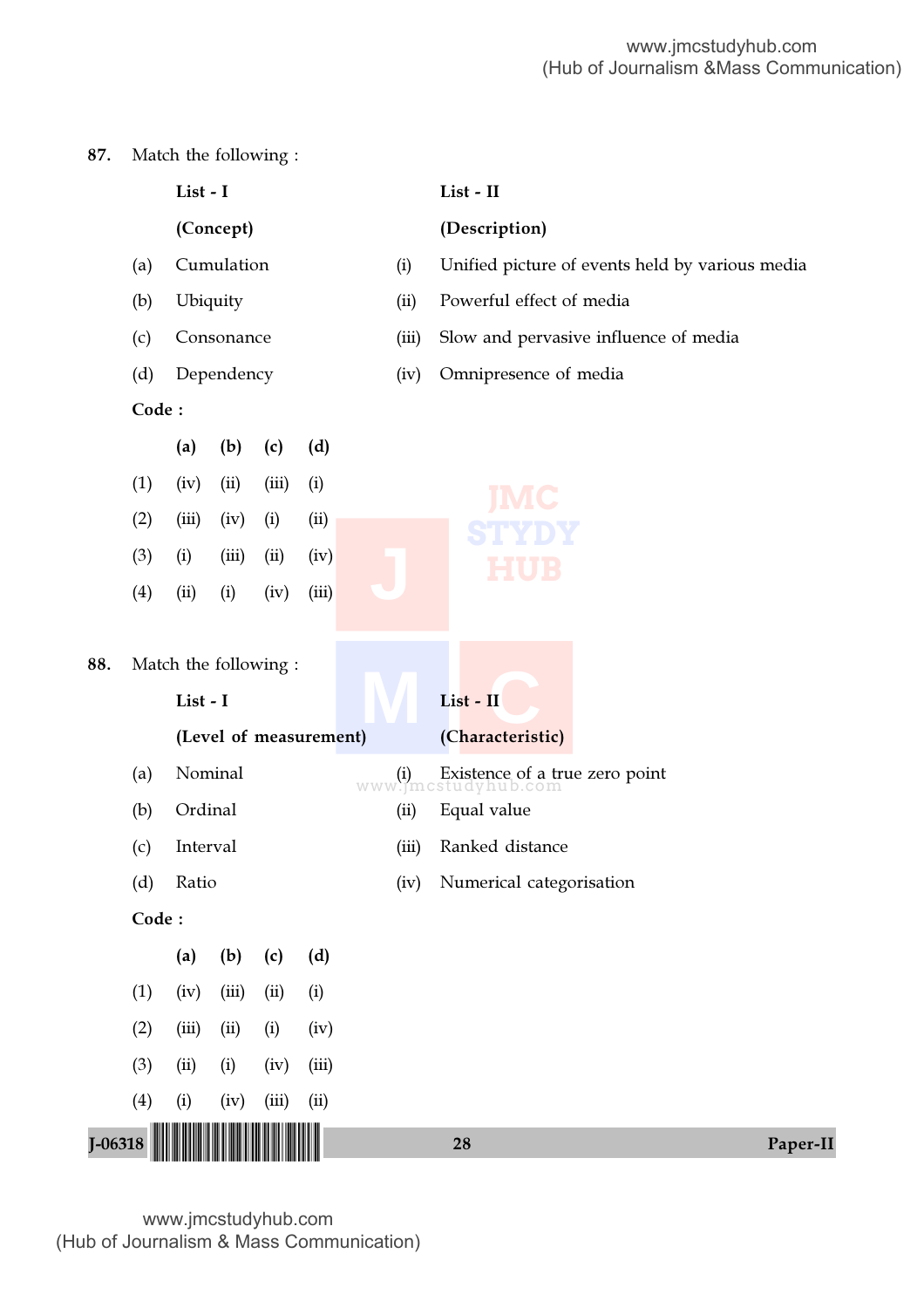# 87. Match the following :

|             |       | List - I              |                        |       |       |       | List - II                                                 |                                                 |  |
|-------------|-------|-----------------------|------------------------|-------|-------|-------|-----------------------------------------------------------|-------------------------------------------------|--|
|             |       |                       | (Concept)              |       |       |       | (Description)                                             |                                                 |  |
|             | (a)   |                       | Cumulation             |       |       | (i)   |                                                           | Unified picture of events held by various media |  |
|             | (b)   |                       | Ubiquity               |       |       | (ii)  | Powerful effect of media                                  |                                                 |  |
|             | (c)   |                       | Consonance             |       |       | (iii) |                                                           | Slow and pervasive influence of media           |  |
|             | (d)   |                       | Dependency             |       |       | (iv)  | Omnipresence of media                                     |                                                 |  |
|             | Code: |                       |                        |       |       |       |                                                           |                                                 |  |
|             |       | (a)                   | (b)                    | (c)   | (d)   |       |                                                           |                                                 |  |
|             | (1)   | (iv)                  | (ii)                   | (iii) | (i)   |       |                                                           |                                                 |  |
|             | (2)   | (iii)                 | (iv)                   | (i)   | (ii)  |       |                                                           |                                                 |  |
|             | (3)   | (i)                   | (iii)                  | (ii)  | (iv)  |       |                                                           |                                                 |  |
|             | (4)   | (ii)                  | (i)                    | (iv)  | (iii) |       |                                                           |                                                 |  |
| 88.         |       | Match the following : |                        |       |       |       |                                                           |                                                 |  |
|             |       | List - I              |                        |       |       |       | List - II                                                 |                                                 |  |
|             |       |                       | (Level of measurement) |       |       |       | (Characteristic)                                          |                                                 |  |
|             | (a)   |                       | Nominal                |       |       |       | (i) Existence of a true zero point<br>www.jmcstudyhub.com |                                                 |  |
|             | (b)   | Ordinal               |                        |       |       | (ii)  | Equal value                                               |                                                 |  |
|             | (c)   | Interval              |                        |       |       | (iii) | Ranked distance                                           |                                                 |  |
|             | (d)   | Ratio                 |                        |       |       | (iv)  | Numerical categorisation                                  |                                                 |  |
|             | Code: |                       |                        |       |       |       |                                                           |                                                 |  |
|             |       | (a)                   | (b)                    | (c)   | (d)   |       |                                                           |                                                 |  |
|             | (1)   | (iv)                  | (iii)                  | (ii)  | (i)   |       |                                                           |                                                 |  |
|             | (2)   | (iii)                 | (ii)                   | (i)   | (iv)  |       |                                                           |                                                 |  |
|             | (3)   | (ii)                  | (i)                    | (iv)  | (iii) |       |                                                           |                                                 |  |
|             | (4)   | (i)                   | (iv)                   | (iii) | (ii)  |       |                                                           |                                                 |  |
| $J - 06318$ |       |                       |                        |       |       |       | 28                                                        | Paper-II                                        |  |
|             |       |                       |                        |       |       |       |                                                           |                                                 |  |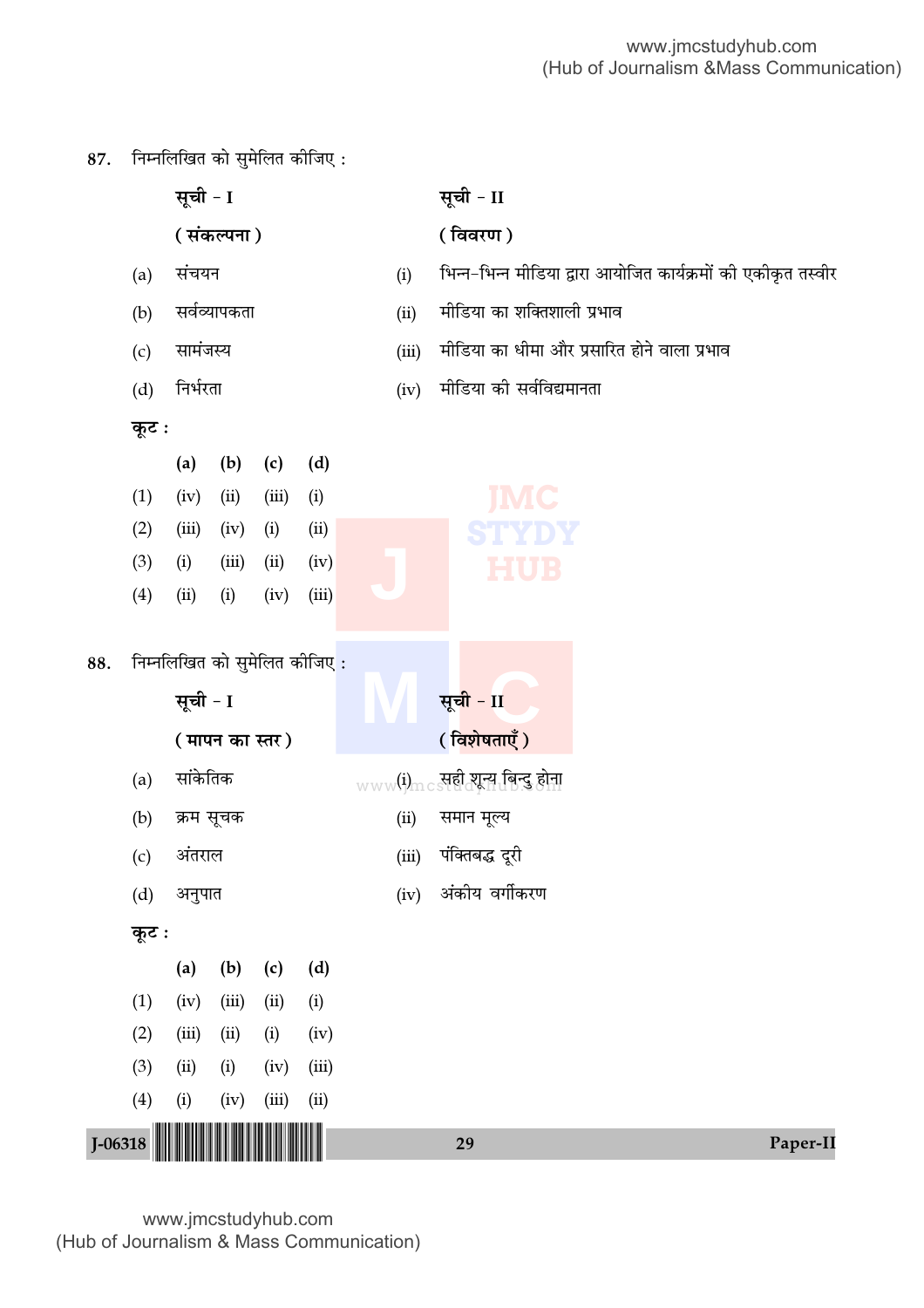$87.$  निम्नलिखित को सुमेलित कीजिए:

|             |                                   | सूची - I                                                     |                       |       |                                     |                       | सूची - II                                                                                                      |          |  |
|-------------|-----------------------------------|--------------------------------------------------------------|-----------------------|-------|-------------------------------------|-----------------------|----------------------------------------------------------------------------------------------------------------|----------|--|
|             |                                   |                                                              | (संकल्पना)            |       |                                     |                       | (विवरण)                                                                                                        |          |  |
|             | (a)                               | संचयन                                                        |                       |       |                                     | (i)                   | भिन्न-भिन्न मीडिया द्वारा आयोजित कार्यक्रमों की एकीकृत तस्वीर                                                  |          |  |
|             | (b)                               |                                                              | सर्वव्यापकता          |       |                                     | (ii)                  | मीडिया का शक्तिशाली प्रभाव                                                                                     |          |  |
|             | (c)                               | सामंजस्य                                                     |                       |       |                                     | (iii)                 | मीडिया का धीमा और प्रसारित होने वाला प्रभाव                                                                    |          |  |
|             | (d)                               | निर्भरता                                                     |                       |       |                                     | (iv)                  | मीडिया की सर्वविद्यमानता                                                                                       |          |  |
|             | कूट :                             |                                                              |                       |       |                                     |                       |                                                                                                                |          |  |
|             |                                   | (a)                                                          | (b)                   | (c)   | (d)                                 |                       |                                                                                                                |          |  |
|             | (1)                               | (iv)                                                         | (ii)                  | (iii) | (i)                                 |                       | IMC                                                                                                            |          |  |
|             | (2)                               | (iii)                                                        | (iv)                  | (i)   | (ii)                                |                       | TYDY                                                                                                           |          |  |
|             | (3)                               | (i)                                                          | (iii)                 | (ii)  | (iv)                                |                       | HUB                                                                                                            |          |  |
|             | (4)                               | (ii)                                                         | (i)                   | (iv)  | (iii)                               |                       |                                                                                                                |          |  |
| 88.         | (a)<br>(b)<br>(c)<br>(d)<br>कूट : | सूची - I<br>सांकेतिक<br>क्रम सूचक<br>अंतराल<br>अनुपात<br>(a) | (मापन का स्तर)<br>(b) | (c)   | निम्नलिखित को सुमेलित कीजिए:<br>(d) | (ii)<br>(iii)<br>(iv) | सूची - II<br>(विशेषताएँ)<br>www(i)mcs सही शून्य बिन्दु होना<br>समान मूल्य<br>पंक्तिबद्ध दूरी<br>अंकीय वर्गीकरण |          |  |
|             | (1)                               | (iv)                                                         | (iii)                 | (ii)  | (i)                                 |                       |                                                                                                                |          |  |
|             | (2)                               | (iii)                                                        | (ii)                  | (i)   | (iv)                                |                       |                                                                                                                |          |  |
|             | (3)                               | (ii)                                                         | (i)                   | (iv)  | (iii)                               |                       |                                                                                                                |          |  |
|             | (4)                               | (i)                                                          | (iv)                  | (iii) | (ii)                                |                       |                                                                                                                |          |  |
| $J - 06318$ |                                   |                                                              |                       |       |                                     |                       | 29                                                                                                             | Paper-II |  |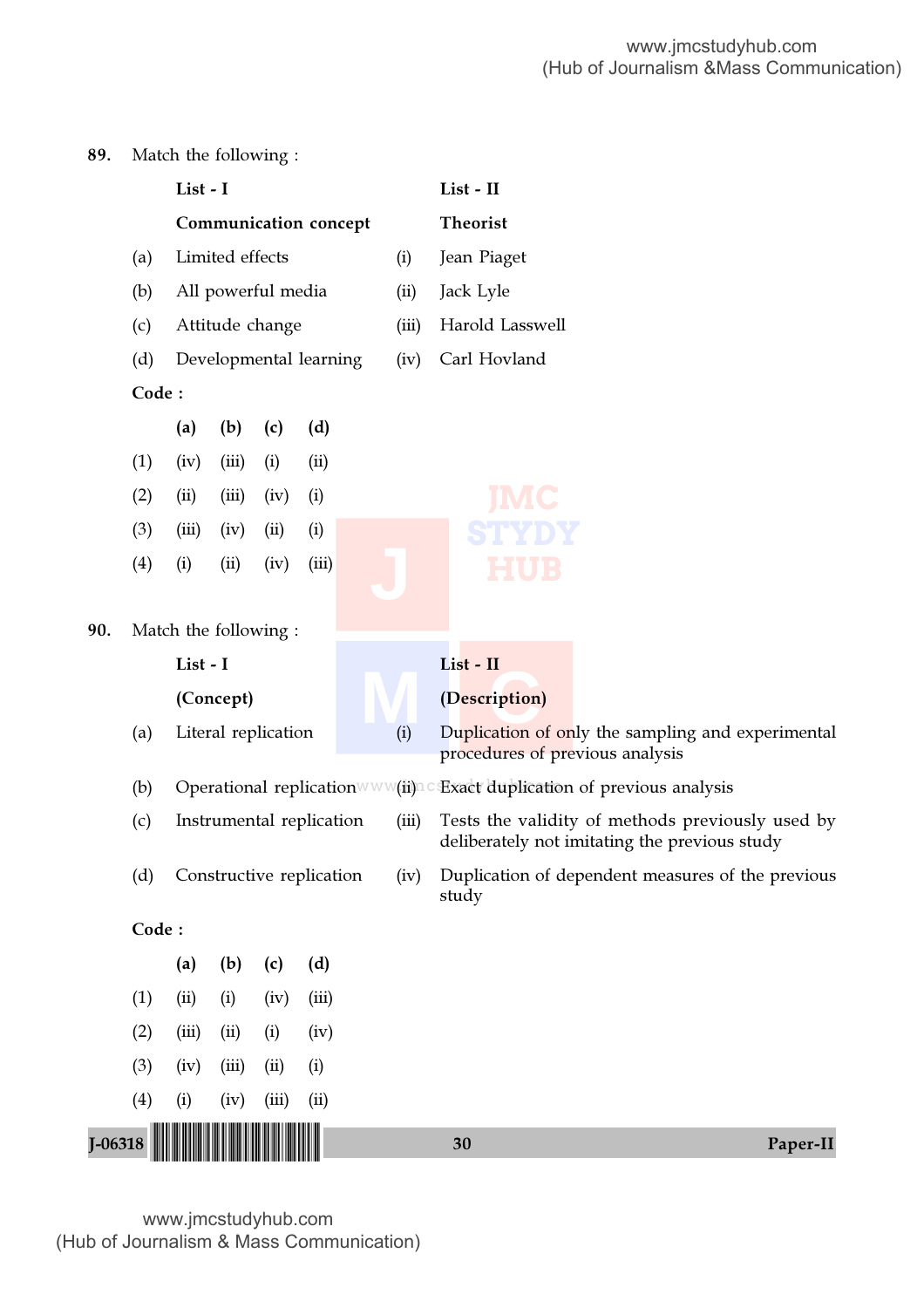# 89. Match the following :

|             |       | List - I               |                 |                          |       |  |       |  | List - II                       |                                                                                                   |
|-------------|-------|------------------------|-----------------|--------------------------|-------|--|-------|--|---------------------------------|---------------------------------------------------------------------------------------------------|
|             |       |                        |                 | Communication concept    |       |  |       |  | <b>Theorist</b>                 |                                                                                                   |
|             | (a)   |                        | Limited effects |                          |       |  | (i)   |  | Jean Piaget                     |                                                                                                   |
|             | (b)   |                        |                 | All powerful media       |       |  | (ii)  |  | Jack Lyle                       |                                                                                                   |
|             | (c)   |                        |                 | Attitude change          |       |  | (iii) |  | Harold Lasswell                 |                                                                                                   |
|             | (d)   | Developmental learning |                 |                          |       |  | (iv)  |  | Carl Hovland                    |                                                                                                   |
|             | Code: |                        |                 |                          |       |  |       |  |                                 |                                                                                                   |
|             |       | (a)                    | (b)             | (c)                      | (d)   |  |       |  |                                 |                                                                                                   |
|             | (1)   | (iv)                   | (iii)           | (i)                      | (ii)  |  |       |  |                                 |                                                                                                   |
|             | (2)   | (ii)                   | (iii)           | (iv)                     | (i)   |  |       |  |                                 |                                                                                                   |
|             | (3)   | (iii)                  | (iv)            | (ii)                     | (i)   |  |       |  |                                 |                                                                                                   |
|             | (4)   | (i)                    | (ii)            | (iv)                     | (iii) |  |       |  |                                 |                                                                                                   |
|             |       |                        |                 |                          |       |  |       |  |                                 |                                                                                                   |
| 90.         |       | Match the following:   |                 |                          |       |  |       |  |                                 |                                                                                                   |
|             |       | List - I               |                 |                          |       |  |       |  | List - II                       |                                                                                                   |
|             |       |                        | (Concept)       |                          |       |  |       |  | (Description)                   |                                                                                                   |
|             | (a)   |                        |                 | Literal replication      |       |  | (i)   |  | procedures of previous analysis | Duplication of only the sampling and experimental                                                 |
|             | (b)   |                        |                 |                          |       |  |       |  |                                 | Operational replication www(ii) c Exact duplication of previous analysis                          |
|             | (c)   |                        |                 | Instrumental replication |       |  | (iii) |  |                                 | Tests the validity of methods previously used by<br>deliberately not imitating the previous study |
|             | (d)   |                        |                 | Constructive replication |       |  |       |  | study                           | (iv) Duplication of dependent measures of the previous                                            |
|             | Code: |                        |                 |                          |       |  |       |  |                                 |                                                                                                   |
|             |       | (a)                    | (b)             | (c)                      | (d)   |  |       |  |                                 |                                                                                                   |
|             | (1)   | (ii)                   | (i)             | (iv)                     | (iii) |  |       |  |                                 |                                                                                                   |
|             | (2)   | (iii)                  | (ii)            | (i)                      | (iv)  |  |       |  |                                 |                                                                                                   |
|             | (3)   | (iv)                   | (iii)           | (ii)                     | (i)   |  |       |  |                                 |                                                                                                   |
|             | (4)   | (i)                    | (iv)            | (iii)                    | (ii)  |  |       |  |                                 |                                                                                                   |
| $J - 06318$ |       |                        |                 |                          |       |  |       |  | 30                              | Paper-II                                                                                          |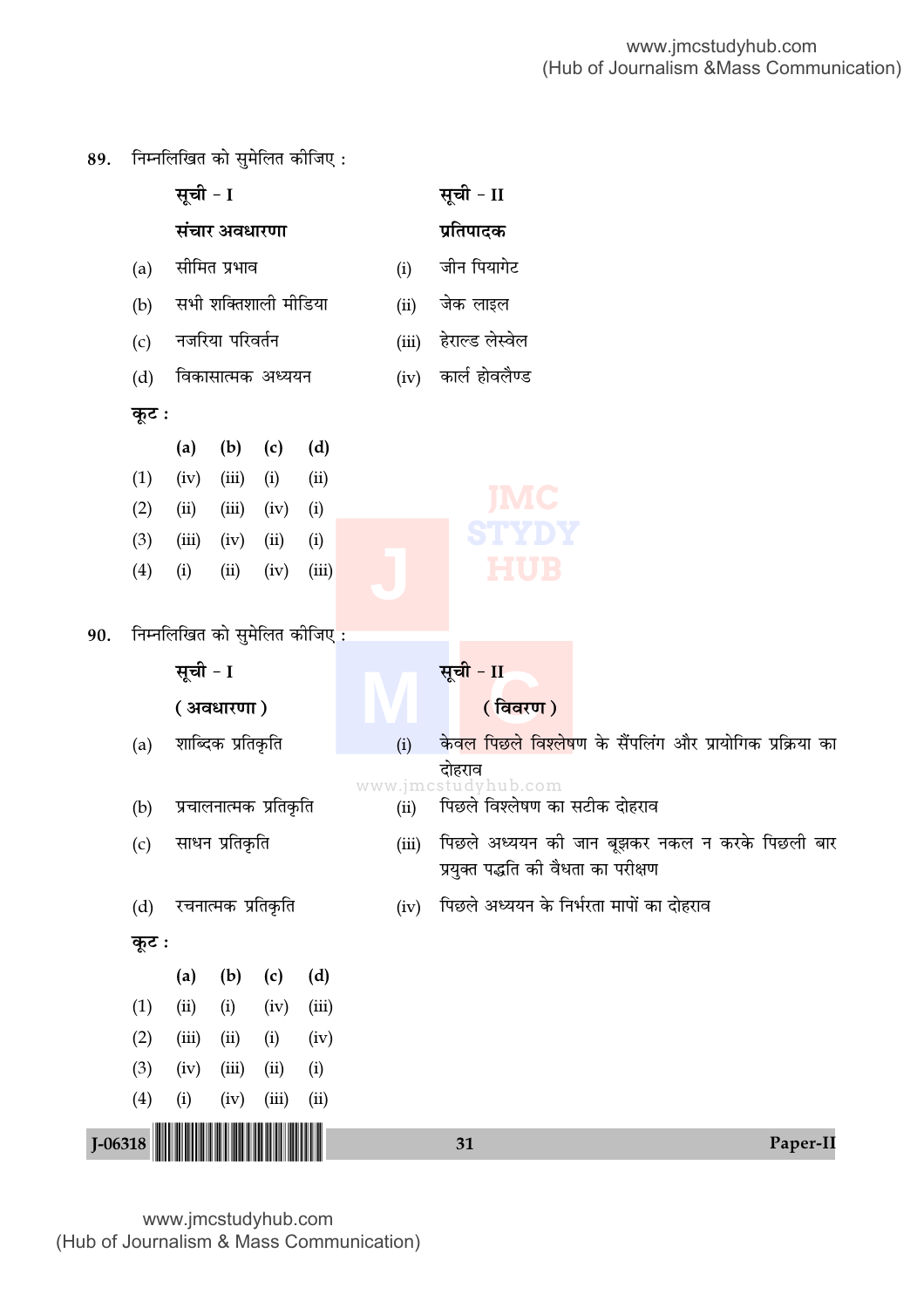

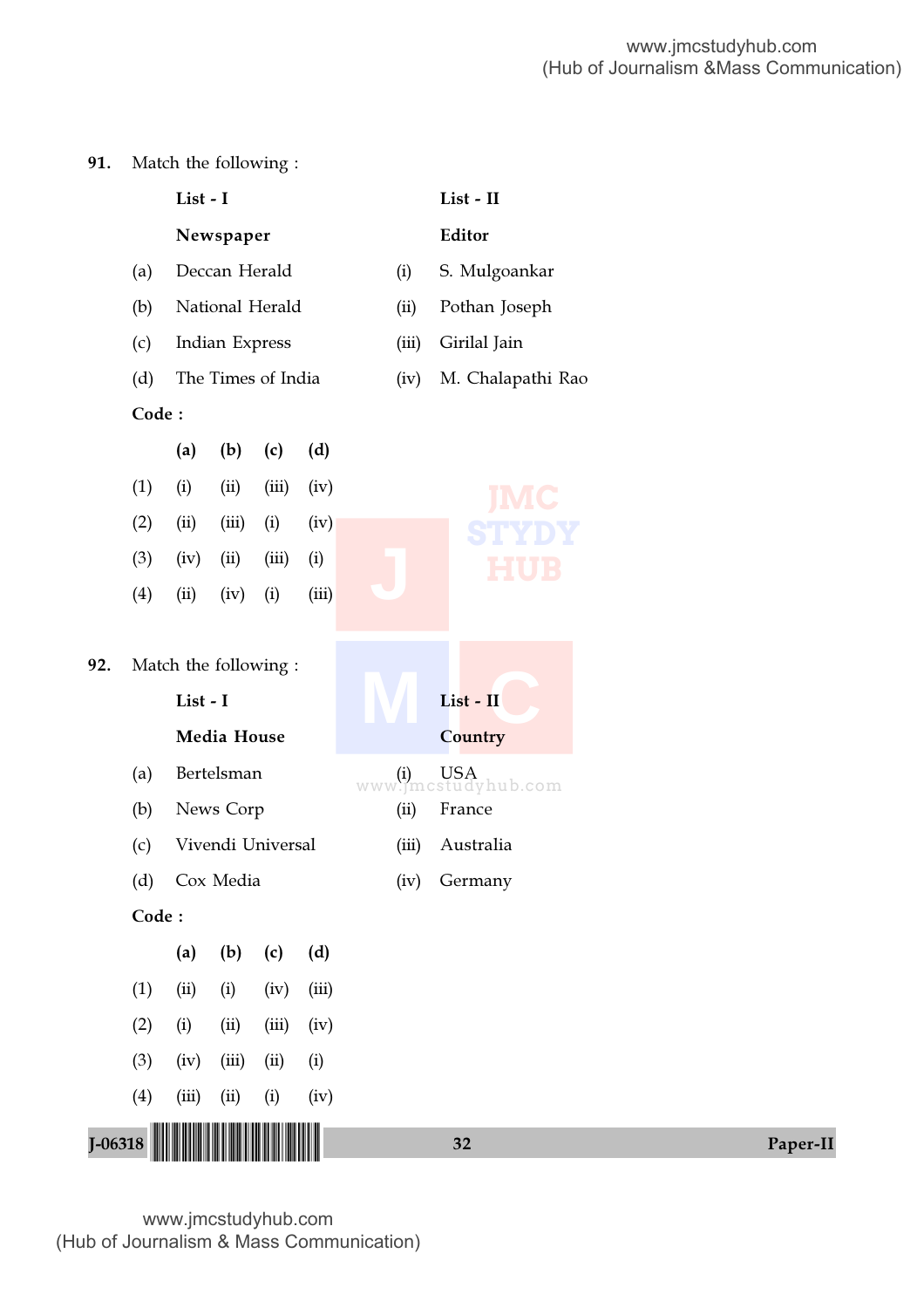91. Match the following :

|             |       | List - I                         |                    |       |       |       | List - II            |          |
|-------------|-------|----------------------------------|--------------------|-------|-------|-------|----------------------|----------|
|             |       |                                  | Newspaper          |       |       |       | Editor               |          |
|             | (a)   |                                  | Deccan Herald      |       |       | (i)   | S. Mulgoankar        |          |
|             | (b)   |                                  | National Herald    |       |       | (ii)  | Pothan Joseph        |          |
|             | (c)   |                                  | Indian Express     |       |       | (iii) | Girilal Jain         |          |
|             | (d)   |                                  | The Times of India |       |       | (iv)  | M. Chalapathi Rao    |          |
|             | Code: |                                  |                    |       |       |       |                      |          |
|             |       | (a)                              | (b)                | (c)   | (d)   |       |                      |          |
|             | (1)   | (i)                              | (ii)               | (iii) | (iv)  |       | IMC                  |          |
|             | (2)   | (ii)                             | (iii)              | (i)   | (iv)  |       |                      |          |
|             | (3)   | (iv)                             | (ii)               | (iii) | (i)   |       |                      |          |
|             | (4)   | (ii)                             | (iv)               | (i)   | (iii) |       |                      |          |
| 92.         |       | Match the following:<br>List - I | Media House        |       |       |       | List - II<br>Country |          |
|             | (a)   |                                  | Bertelsman         |       |       |       | www.jmctu dyhub.com  |          |
|             | (b)   |                                  | News Corp          |       |       | (ii)  | France               |          |
|             | (c)   |                                  | Vivendi Universal  |       |       | (iii) | Australia            |          |
|             |       | (d) Cox Media                    |                    |       |       |       | (iv) Germany         |          |
|             | Code: |                                  |                    |       |       |       |                      |          |
|             |       | (a)                              | (b)                | (c)   | (d)   |       |                      |          |
|             | (1)   | (ii)                             | (i)                | (iv)  | (iii) |       |                      |          |
|             | (2)   | (i)                              | (ii)               | (iii) | (iv)  |       |                      |          |
|             | (3)   | (iv)                             | (iii)              | (ii)  | (i)   |       |                      |          |
|             | (4)   | (iii)                            | (ii)               | (i)   | (iv)  |       |                      |          |
| $J - 06318$ |       |                                  |                    |       |       |       | 32                   | Paper-II |
|             |       |                                  |                    |       |       |       |                      |          |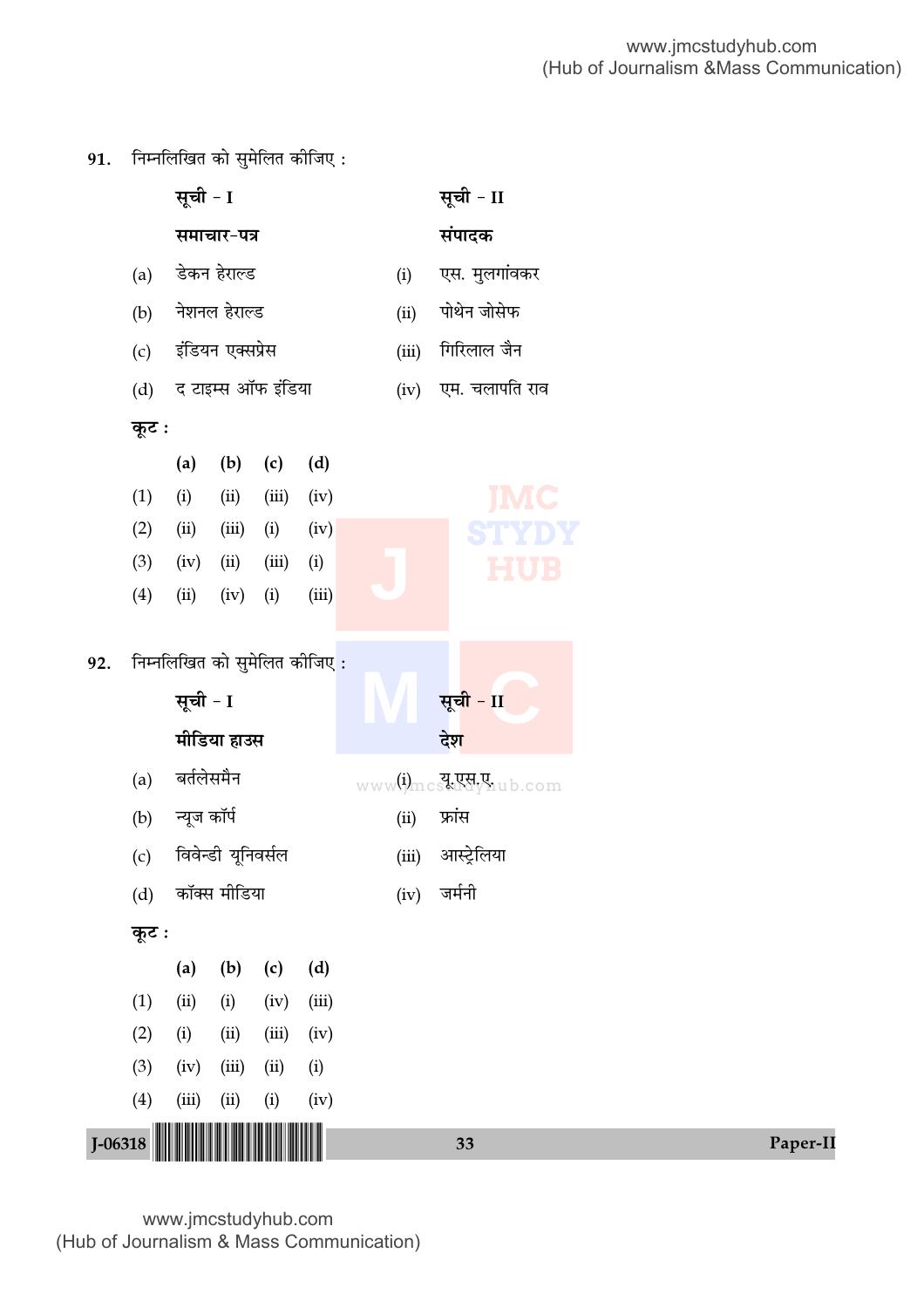91. निम्नलिखित को सुमेलित कीजिए:

|     |           | सूची - I    |                    |                              |       |       | सूची - II             |          |
|-----|-----------|-------------|--------------------|------------------------------|-------|-------|-----------------------|----------|
|     |           |             | समाचार-पत्र        |                              |       |       | संपादक                |          |
|     | (a)       |             | डेकन हेराल्ड       |                              |       | (i)   | एस. मुलगांवकर         |          |
|     | (b)       |             | नेशनल हेराल्ड      |                              |       | (ii)  | पोथेन जोसेफ           |          |
|     | (c)       |             | इंडियन एक्सप्रेस   |                              |       | (iii) | गिरिलाल जैन           |          |
|     | (d)       |             |                    | द टाइम्स ऑफ इंडिया           |       | (iv)  | एम. चलापति राव        |          |
|     | कूट :     |             |                    |                              |       |       |                       |          |
|     |           | (a)         | (b)                | (c)                          | (d)   |       |                       |          |
|     | (1)       | (i)         | (ii)               | (iii)                        | (iv)  |       | <b>IMC</b>            |          |
|     | (2)       | (ii)        | (iii)              | (i)                          | (iv)  |       |                       |          |
|     | (3)       | (iv)        | (ii)               | (iii)                        | (i)   |       | <b>HUB</b>            |          |
|     | (4)       | (ii)        | (iv)               | (i)                          | (iii) |       |                       |          |
| 92. |           | सूची - I    | मीडिया हाउस        | निम्नलिखित को सुमेलित कीजिए: |       |       | सूची - II<br>देश      |          |
|     | (a)       | बर्तलेसमैन  |                    |                              |       |       | www(i)mcst Rdylub.com |          |
|     | (b)       | न्यूज कॉर्प |                    |                              |       | (ii)  | फ्रांस                |          |
|     | (c)       |             | विवेन्डी यूनिवर्सल |                              |       | (iii) | आस्ट्रेलिया           |          |
|     | (d)       |             | कॉक्स मीडिया       |                              |       | (iv)  | जर्मनी                |          |
|     | कूट :     |             |                    |                              |       |       |                       |          |
|     |           | (a)         | (b)                | (c)                          | (d)   |       |                       |          |
|     | (1)       | (ii)        | (i)                | (iv)                         | (iii) |       |                       |          |
|     | (2)       | (i)         | (ii)               | (iii)                        | (iv)  |       |                       |          |
|     | (3)       | (iv)        | (iii)              | (ii)                         | (i)   |       |                       |          |
|     | (4)       | (iii)       | (ii)               | (i)                          | (iv)  |       |                       |          |
|     | $J-06318$ |             |                    |                              |       |       | 33                    | Paper-II |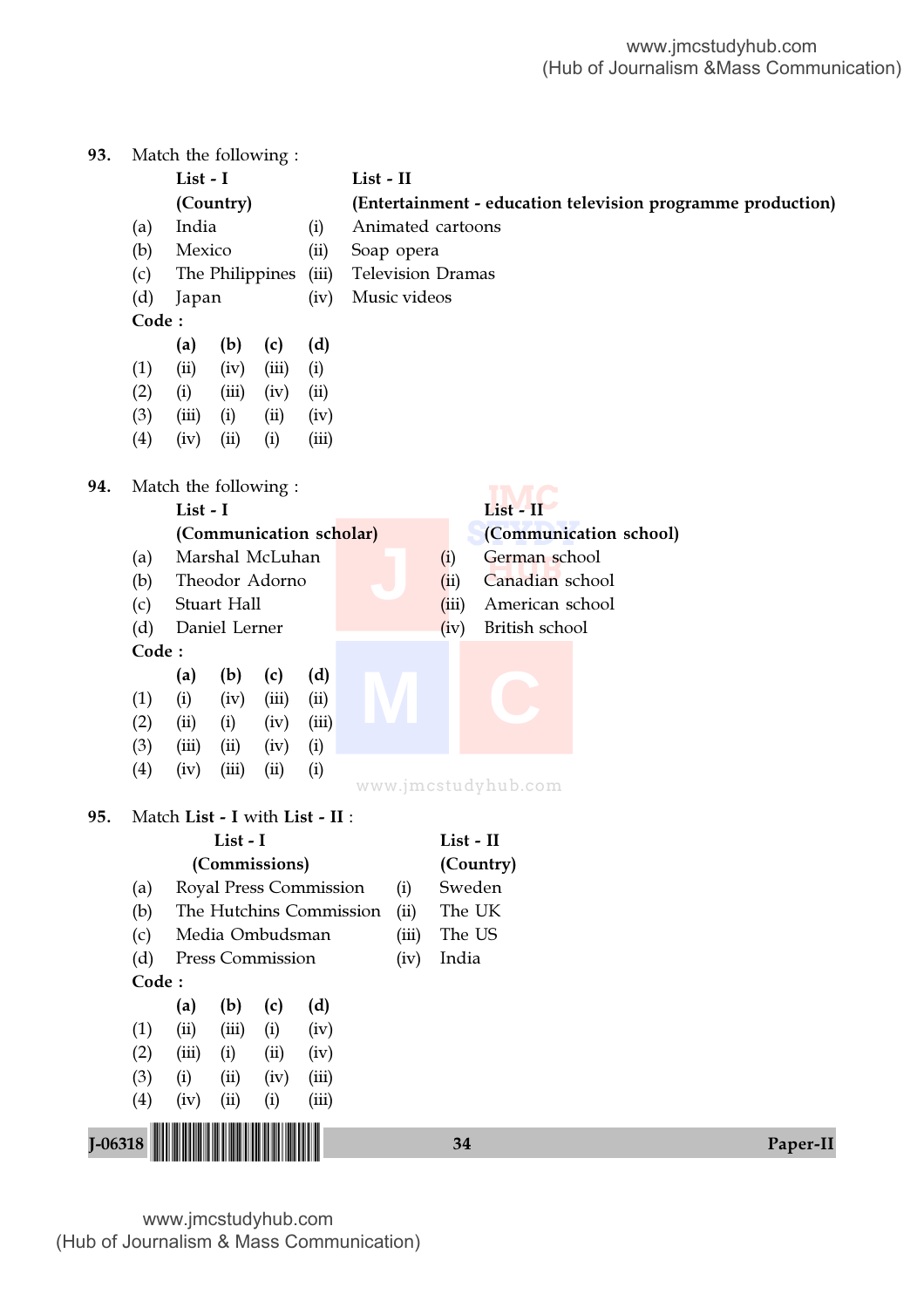| 93.         |       |                |               | Match the following:            |       |                          |                                                             |                        |  |  |  |  |  |
|-------------|-------|----------------|---------------|---------------------------------|-------|--------------------------|-------------------------------------------------------------|------------------------|--|--|--|--|--|
|             |       | List - I       |               |                                 |       | List - II                |                                                             |                        |  |  |  |  |  |
|             |       |                | (Country)     |                                 |       |                          | (Entertainment - education television programme production) |                        |  |  |  |  |  |
|             | (a)   | India          |               |                                 | (i)   | Animated cartoons        |                                                             |                        |  |  |  |  |  |
|             | (b)   | Mexico         |               |                                 | (ii)  | Soap opera               |                                                             |                        |  |  |  |  |  |
|             | (c)   |                |               | The Philippines                 | (iii) | <b>Television Dramas</b> |                                                             |                        |  |  |  |  |  |
|             | (d)   | Japan<br>(iv)  |               |                                 |       | Music videos             |                                                             |                        |  |  |  |  |  |
|             | Code: |                |               |                                 |       |                          |                                                             |                        |  |  |  |  |  |
|             |       | (a)            | (b)           | (c)                             | (d)   |                          |                                                             |                        |  |  |  |  |  |
|             | (1)   | (ii)           | (iv)          | (iii)                           | (i)   |                          |                                                             |                        |  |  |  |  |  |
|             | (2)   | (i)            | (iii)         | (iv)                            | (ii)  |                          |                                                             |                        |  |  |  |  |  |
|             | (3)   | (iii)          | (i)           | (ii)                            | (iv)  |                          |                                                             |                        |  |  |  |  |  |
|             | (4)   | (iv)           | (ii)          | (i)                             | (iii) |                          |                                                             |                        |  |  |  |  |  |
|             |       |                |               |                                 |       |                          |                                                             |                        |  |  |  |  |  |
| 94.         |       |                |               | Match the following:            |       |                          |                                                             |                        |  |  |  |  |  |
|             |       | List - I       |               |                                 |       |                          |                                                             | List - II              |  |  |  |  |  |
|             |       |                |               | (Communication scholar)         |       |                          |                                                             | (Communication school) |  |  |  |  |  |
|             | (a)   |                |               | Marshal McLuhan                 |       |                          | (i)                                                         | German school          |  |  |  |  |  |
|             | (b)   | Theodor Adorno |               |                                 |       |                          | (ii)                                                        | Canadian school        |  |  |  |  |  |
|             | (c)   | Stuart Hall    |               |                                 |       |                          | (iii)                                                       | American school        |  |  |  |  |  |
|             | (d)   |                | Daniel Lerner |                                 |       |                          | (iv)                                                        | British school         |  |  |  |  |  |
|             | Code: |                |               |                                 |       |                          |                                                             |                        |  |  |  |  |  |
|             |       | (a)            | (b)           | (c)                             | (d)   |                          |                                                             |                        |  |  |  |  |  |
|             | (1)   | (i)            | (iv)          | (iii)                           | (ii)  |                          |                                                             |                        |  |  |  |  |  |
|             | (2)   | (ii)           | (i)           | (iv)                            | (iii) |                          |                                                             |                        |  |  |  |  |  |
|             | (3)   | (iii)          | (ii)          | (iv)                            | (i)   |                          |                                                             |                        |  |  |  |  |  |
|             | (4)   | (iv)           | (iii)         | (ii)                            | (i)   |                          |                                                             | www.jmcstudyhub.com    |  |  |  |  |  |
| 95.         |       |                |               | Match List - I with List - II : |       |                          |                                                             |                        |  |  |  |  |  |
|             |       |                | List - I      |                                 |       |                          |                                                             | List - II              |  |  |  |  |  |
|             |       |                |               | (Commissions)                   |       |                          |                                                             | (Country)              |  |  |  |  |  |
|             | (a)   |                |               | Royal Press Commission          |       | (i)                      |                                                             | Sweden                 |  |  |  |  |  |
|             | (b)   |                |               | The Hutchins Commission         |       | (ii)                     |                                                             | The UK                 |  |  |  |  |  |
|             | (c)   |                |               | Media Ombudsman                 |       | (iii)                    |                                                             | The US                 |  |  |  |  |  |
|             | (d)   |                |               | Press Commission                |       | (iv)                     | India                                                       |                        |  |  |  |  |  |
|             | Code: |                |               |                                 |       |                          |                                                             |                        |  |  |  |  |  |
|             |       | (a)            | (b)           | (c)                             | (d)   |                          |                                                             |                        |  |  |  |  |  |
|             | (1)   | (ii)           | (iii)         | (i)                             | (iv)  |                          |                                                             |                        |  |  |  |  |  |
|             | (2)   | (iii)          | (i)           | (ii)                            | (iv)  |                          |                                                             |                        |  |  |  |  |  |
|             | (3)   | (i)            | (ii)          | (iv)                            | (iii) |                          |                                                             |                        |  |  |  |  |  |
|             | (4)   | (iv)           | (ii)          | (i)                             | (iii) |                          |                                                             |                        |  |  |  |  |  |
|             |       |                |               |                                 |       |                          |                                                             |                        |  |  |  |  |  |
| $J - 06318$ |       |                |               |                                 |       |                          | 34                                                          | Paper-II               |  |  |  |  |  |
|             |       |                |               |                                 |       |                          |                                                             |                        |  |  |  |  |  |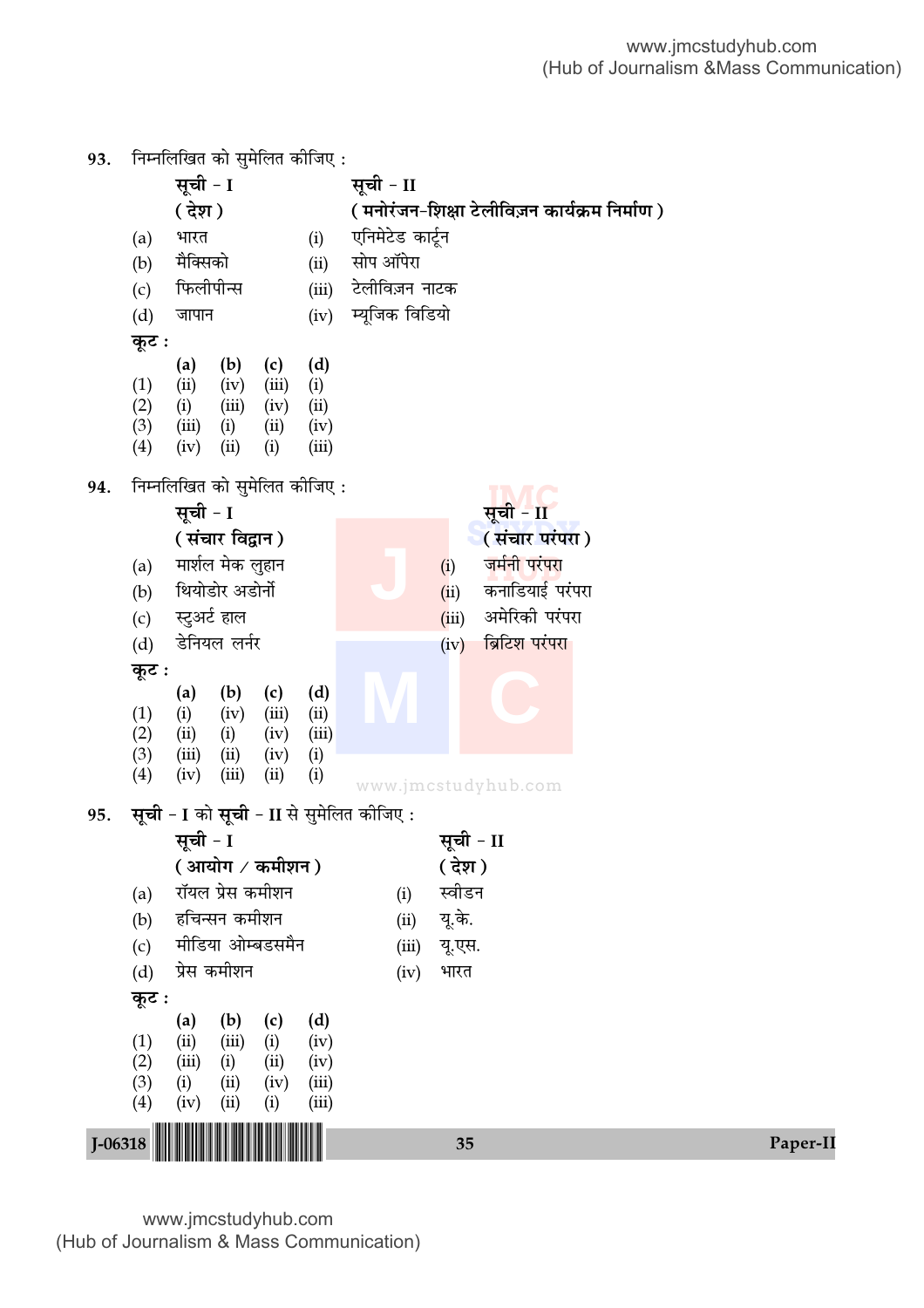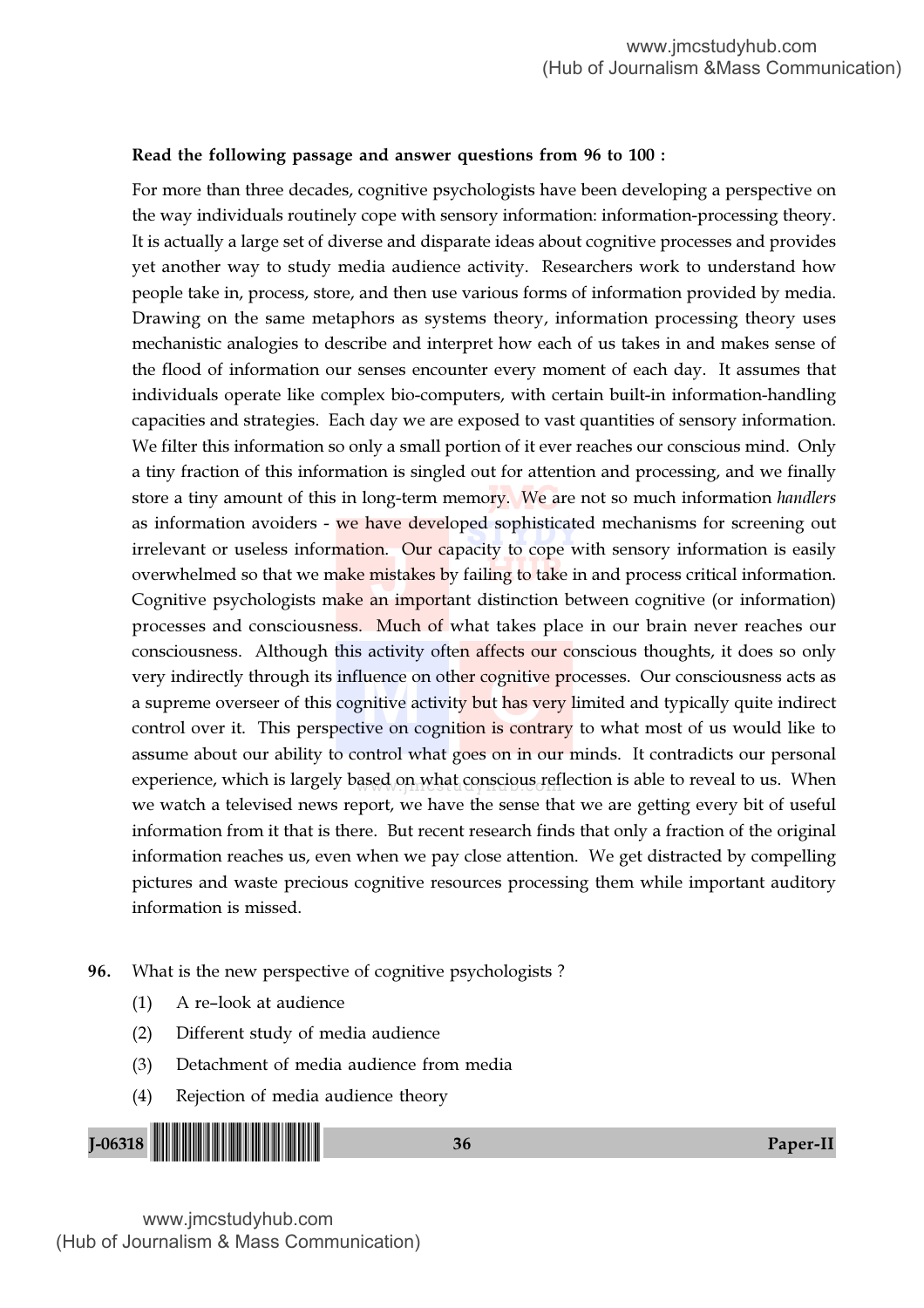#### Read the following passage and answer questions from 96 to 100 :

store a tiny amount of this in long-term memo<mark>ry. We a</mark>re not so much information *handlers* as information avoiders - we have developed sophisticated mechanisms for screening out<br>irrelevant or useless information. Our canacity to cone with sensory information is easily overwhelmed so that we make mistakes by failing to take in and process critical information. experience, which is largely based on what conscious reflection is able to reveal to us. When irrelevant or useless information. Our capacity to cope with sensory information is easily<br>overwhelmed so that we make mistakes by failing to take in and process critical information.<br>Cognitive psychologists make an import wery indirectly through its influence on oth<mark>er cognitive pr</mark>ocesses. Our consciousness acts as<br>a supreme overseer of this cognitive activity but has very limited and typically quite indirect<br>control over it. This perspect For more than three decades, cognitive psychologists have been developing a perspective on the way individuals routinely cope with sensory information: information-processing theory. It is actually a large set of diverse and disparate ideas about cognitive processes and provides yet another way to study media audience activity. Researchers work to understand how people take in, process, store, and then use various forms of information provided by media. Drawing on the same metaphors as systems theory, information processing theory uses mechanistic analogies to describe and interpret how each of us takes in and makes sense of the flood of information our senses encounter every moment of each day. It assumes that individuals operate like complex bio-computers, with certain built-in information-handling capacities and strategies. Each day we are exposed to vast quantities of sensory information. We filter this information so only a small portion of it ever reaches our conscious mind. Only a tiny fraction of this information is singled out for attention and processing, and we finally Cognitive psychologists make an important distinction between cognitive (or information) processes and consciousness. Much of what takes place in our brain never reaches our consciousness. Although this activity often affects our conscious thoughts, it does so only a supreme overseer of this cognitive activity but has very limited and typically quite indirect control over it. This perspective on cognition is contrary to what most of us would like to assume about our ability to control what goes on in our minds. It contradicts our personal we watch a televised news report, we have the sense that we are getting every bit of useful information from it that is there. But recent research finds that only a fraction of the original information reaches us, even when we pay close attention. We get distracted by compelling pictures and waste precious cognitive resources processing them while important auditory information is missed.

- 96. What is the new perspective of cognitive psychologists ?
	- (1) A re–look at audience
	- (2) Different study of media audience
	- (3) Detachment of media audience from media
	- (4) Rejection of media audience theory

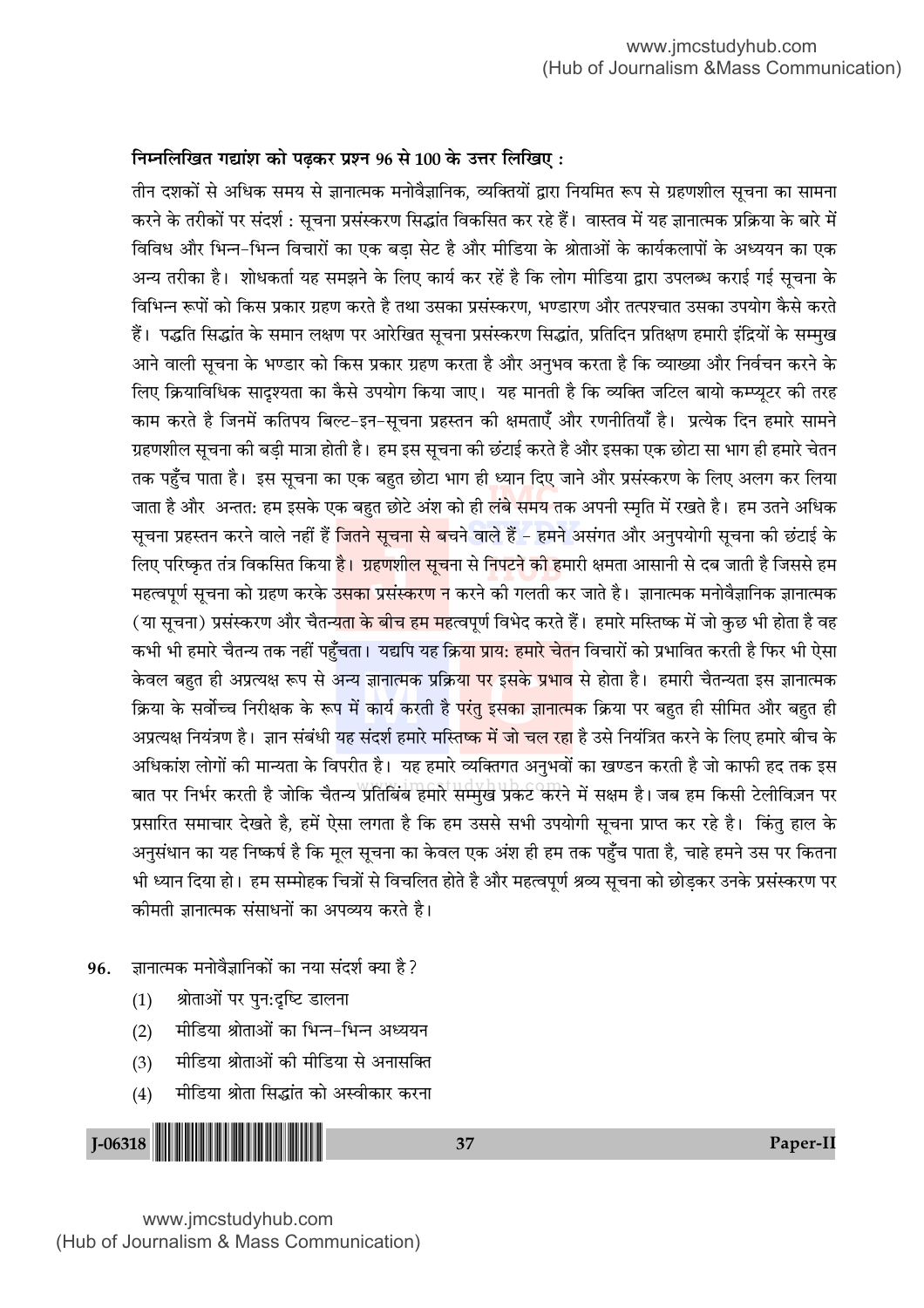# **fi**मलिखित गद्यांश को पढ़कर प्रश्न 96 से 100 के उत्तर लिखिए:

ाल <sub>हुँ</sub> । अति है। इस हैते <sub>ह</sub>ैं के लाहत छोटे अंश को ही लंबे समय तक अपनी स्मृति में रखते है। हम उतने अधिक<br>जाता है और अन्तत: हम इसके एक बहुत छोटे अंश को ही लंबे समय तक अपनी स्मृति में रखते है। हम उतने अधिक सूचना प्रहस्तन करने वाले नहीं हैं <mark>जितने सूचना से ब</mark>चने वाले हैं – हमने असंगत और अनुपयोगी सूचना की छंटाई के <mark>निपटने को ह</mark>मा बात पर निर्भर करती है जोकि चैतन्य प्रतिबिंब हमारे सम्मुख प्रकट करने में सक्षम है। जब हम किसी टेलीविज़न पर ्रूपमा<br><mark>हणशी</mark>ल<br>प्रसंस्क केवल बहुत ही अप्रत्यक्ष रूप से अन्य ज्ञानात्मक प्रक्रि<mark>या पर इसके प्रभाव</mark> से होता है। हमारी चैतन्यता इस ज्ञानात्मक<br>क्रिया के सर्वोच्च निरीक्षक के रूप में कार्य करती है <mark>परंतु इसका ज्ञानात्म</mark>क क्रिया पर बहुत ही सीमित और ब तीन दशकों से अधिक समय से ज्ञानात्मक मनोवैज्ञानिक, व्यक्तियों द्वारा नियमित रूप से ग्रहणशील सूचना का सामना करने के तरीकों पर संदर्श : सूचना प्रसंस्करण सिद्धांत विकसित कर रहे हैं। वास्तव में यह ज्ञानात्मक प्रक्रिया के बारे में विविध और भिन्न-भिन्न विचारों का एक बड़ा सेट है और मीडिया के श्रोताओं के कार्यकलापों के अध्ययन का एक अन्य तरीका है। शोधकर्ता यह समझने के लिए कार्य कर रहें है कि लोग मीडिया द्वारा उपलब्ध कराई गई सूचना के विभिन्न रूपों को किस प्रकार ग्रहण करते है तथा उसका प्रसंस्करण, भण्डारण और तत्पश्चात उसका उपयोग कैसे करते हैं। पद्धति सिद्धांत के समान लक्षण पर आरेखित सचना प्रसंस्करण सिद्धांत. प्रतिदिन प्रतिक्षण हमारी इंद्रियों के सम्मख आने वाली सूचना के भण्डार को किस प्रकार ग्रहण करता है और अनुभव करता है कि व्याख्या और निर्वचन करने के ि लिए क्रियाविधिक सादुश्यता का कैसे उपयोग किया जाए। यह मानती है कि व्यक्ति जटिल बायो कम्प्युटर की तरह काम करते है जिनमें कतिपय बिल्ट−इन−सूचना प्रहस्तन की क्षमताएँ और रणनीतियाँ है। प्रत्येक दिन हमारे सामने ग्रहणशील सूचना की बडी मात्रा होती है। हम इस सूचना की छंटाई करते है और इसका एक छोटा सा भाग ही हमारे चेतन तक पहुँच पाता है। इस सूचना का एक बहुत छोटा भाग ही ध्यान दिए जाने और प्रसंस्करण के लिए अलग कर लिया लिए परिष्कृत तंत्र विकसित किया <mark>है। ग्रहणशील सूच</mark>ना से निपटने की हमारी क्षमता आसानी से दब जाती है जिससे हम .<br>महत्वपूर्ण सूचना को ग्रहण करके उ<mark>सका प्रसंस्करण न</mark> करने की गलती कर जाते है। ज्ञानात्मक मनोवैज्ञानिक ज्ञानात्मक (या सूचना) प्रसंस्करण और चैतन्<mark>यता के बीच हम मह</mark>त्वपूर्ण विभेद करते हैं। हमारे मस्तिष्क में जो कुछ भी होता है वह कभी भी हमारे चैतन्य तक नहीं पहुँचता। यद्यपि यह क्रि<mark>या प्राय: हमारे चेत</mark>न विचारों को प्रभावित करती है फिर भी ऐसा िक्रिया के सर्वोच्च निरीक्षक के रूप में कार्य करती है <mark>परंत इसका ज्ञानात्म</mark>क क्रिया पर बहत ही सीमित और बहत ही अप्रत्यक्ष नियंत्रण है। ज्ञान संबंधी यह संदर्श हमारे मस्ति<mark>ष्क में जो चल रहा</mark> है उसे नियंत्रित करने के लिए हमारे बीच के अधिकांश लोगों की मान्यता के विपरीत है। यह हमारे व्यक्तिगत अनुभवों का खण्डन करती है जो काफी हद तक इस प्रसारित समाचार देखते है, हमें ऐसा लगता है कि हम उससे सभी उपयोगी सूचना प्राप्त कर रहे है। किंतु हाल के अनुसंधान का यह निष्कर्ष है कि मूल सूचना का केवल एक अंश ही हम तक पहुँच पाता है, चाहे हमने उस पर कितना भी ध्यान दिया हो। हम सम्मोहक चित्रों से विचलित होते है और महत्वपूर्ण श्रव्य सूचना को छोडकर उनके प्रसंस्करण पर कीमती ज्ञानात्मक संसाधनों का अपव्यय करते है।

- 96. ∂ जानात्मक मनोवैज्ञानिकों का नया संदर्श क्या है ?
	- (1) श्रोताओं पर पुन:दृष्टि डालना
	- (2) मीडिया श्रोताओं का भिन्न-भिन्न अध्ययन
	- (3) मीडिया श्रोताओं की मीडिया से अनासक्ति
	- (4) मीडिया श्रोता सिद्धांत को अस्वीकार करना

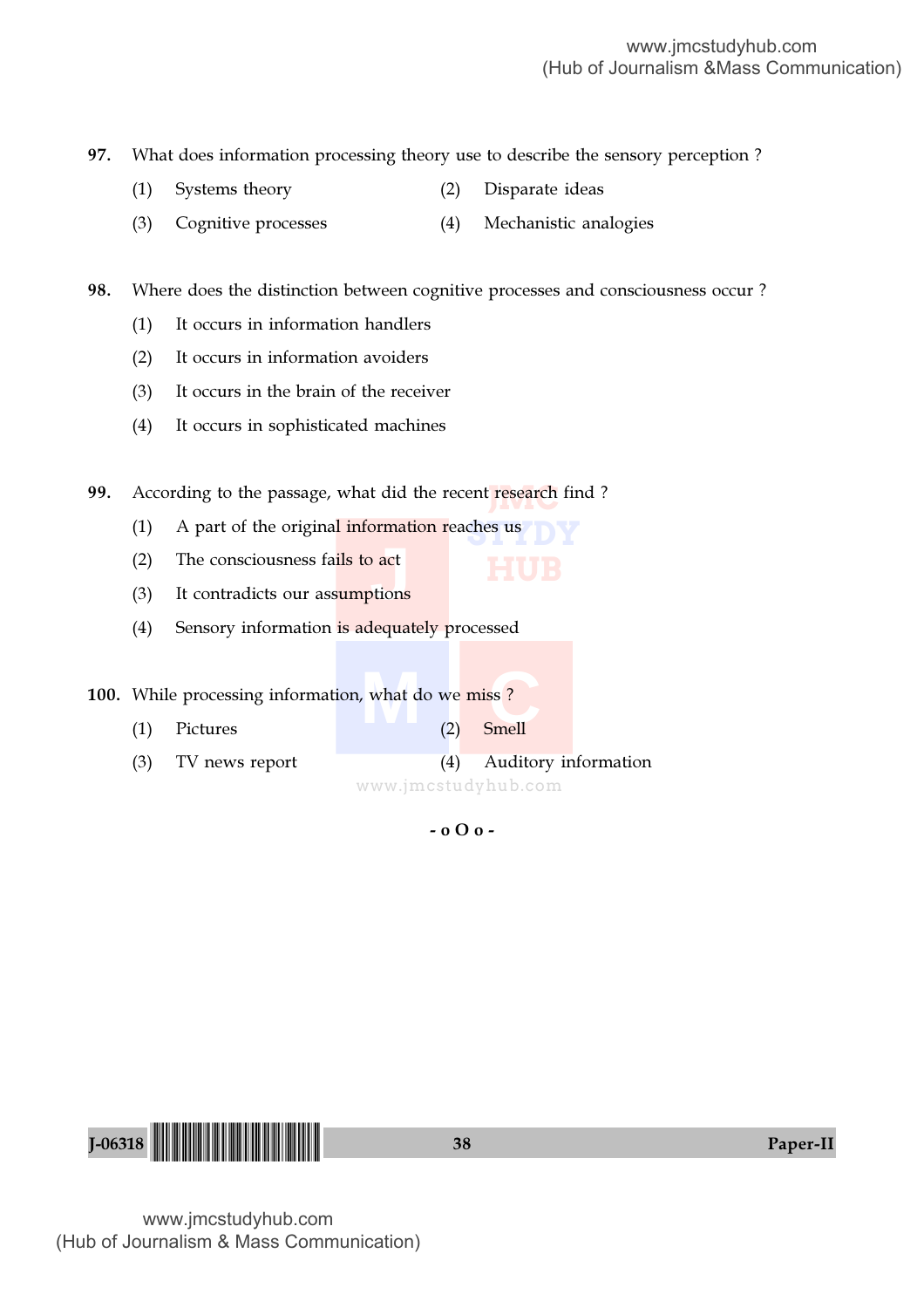97. What does information processing theory use to describe the sensory perception ?

- (1) Systems theory (2) Disparate ideas
- (3) Cognitive processes (4) Mechanistic analogies

98. Where does the distinction between cognitive processes and consciousness occur ?

- (1) It occurs in information handlers
- (2) It occurs in information avoiders
- (3) It occurs in the brain of the receiver
- (4) It occurs in sophisticated machines

**99.** According to the passage, what did the recent research find?

- (1) A part of the original information reaches us
- (2) The consciousness fails to act
- (2) The consciousness fails to act<br>
(3) It contradicts our assumptions
- (4) Sensory information is adequately processed

**100.** While processing information, what do we miss ?

- $m = \frac{1}{2}$  what do we miss? (1) Pictures (2) Smell
- (3) TV news report (4) Auditory information

www.jmcstudyhub.com

- o O o -

**HUB**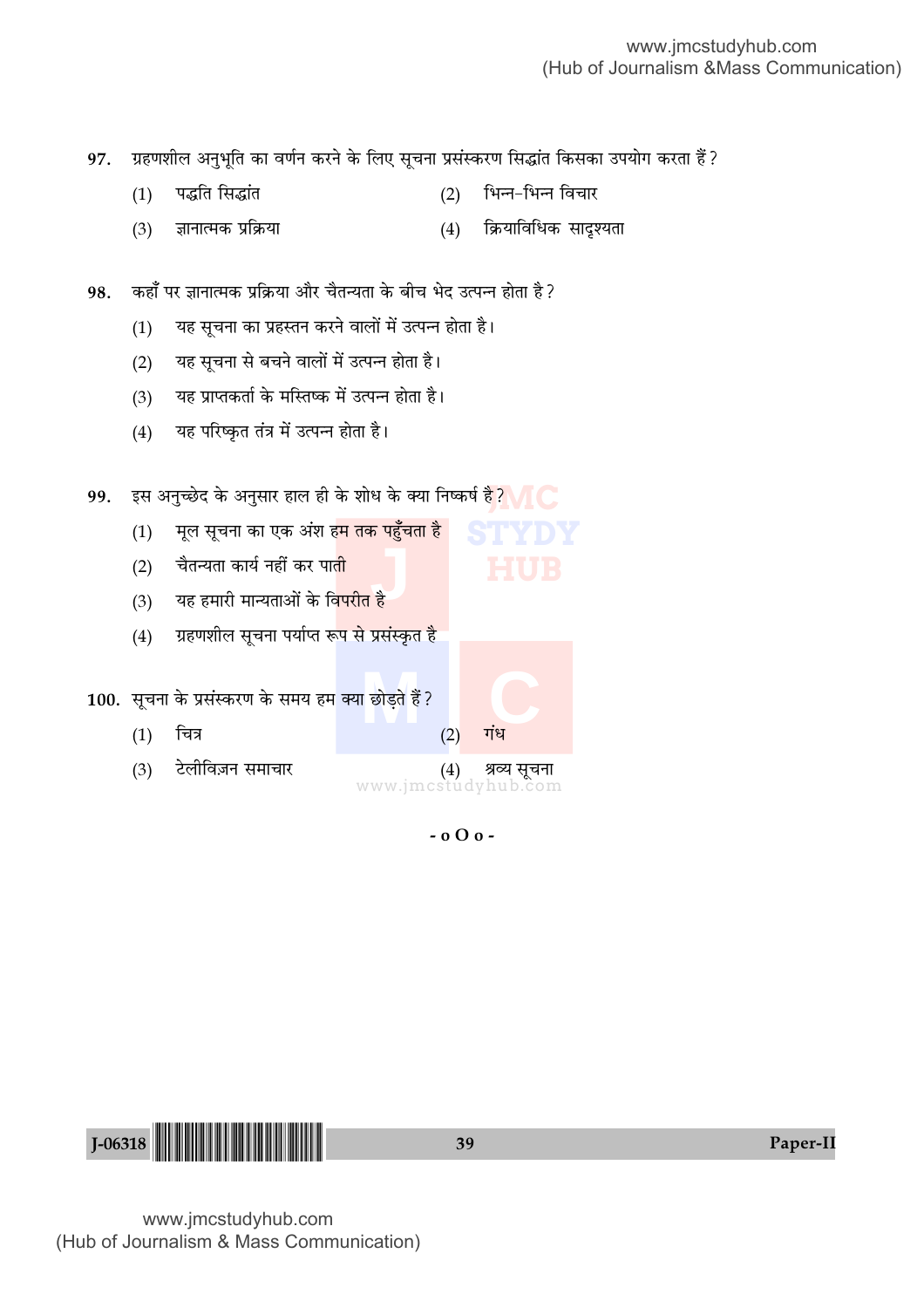ग्रहणशील अनुभूति का वर्णन करने के लिए सूचना प्रसंस्करण सिद्धांत किसका उपयोग करता हैं ? 97.

- पद्धति सिद्धांत भिन्न-भिन्न विचार  $(1)$  $(2)$
- ज्ञानात्मक प्रक्रिया (4) क्रियाविधिक सादूश्यता  $(3)$

कहाँ पर ज्ञानात्मक प्रक्रिया और चैतन्यता के बीच भेद उत्पन्न होता है ? 98.

- यह सूचना का प्रहस्तन करने वालों में उत्पन्न होता है।  $(1)$
- यह सूचना से बचने वालों में उत्पन्न होता है।  $(2)$
- यह प्राप्तकर्ता के मस्तिष्क में उत्पन्न होता है।  $(3)$
- यह परिष्कृत तंत्र में उत्पन्न होता है।  $(4)$

इस अनुच्छेद के अनुसार हाल ही के शोध के क्या निष्कर्ष है? <mark>V</mark>IC 99.

- मूल सूचना का एक अंश ह<mark>म तक पहुँचता है</mark>  $(1)$
- चैतन्यता कार्य नहीं कर पाती  $(2)$
- यह हमारी मान्यताओं के विपरीत है  $(3)$
- ग्रहणशील सूचना पर्याप्त रूप से प्रसंस्कृत है  $(4)$

100. सूचना के प्रसंस्करण के समय हम क्या छोडते हैं?

- $(1)$ चित्र
- $(3)$ टेलीविज़न समाचार श्रव्य सूचना  $(4)$ www.jmcstudyhub.com

 $-000 -$ 

 $(2)$ 

गंध

39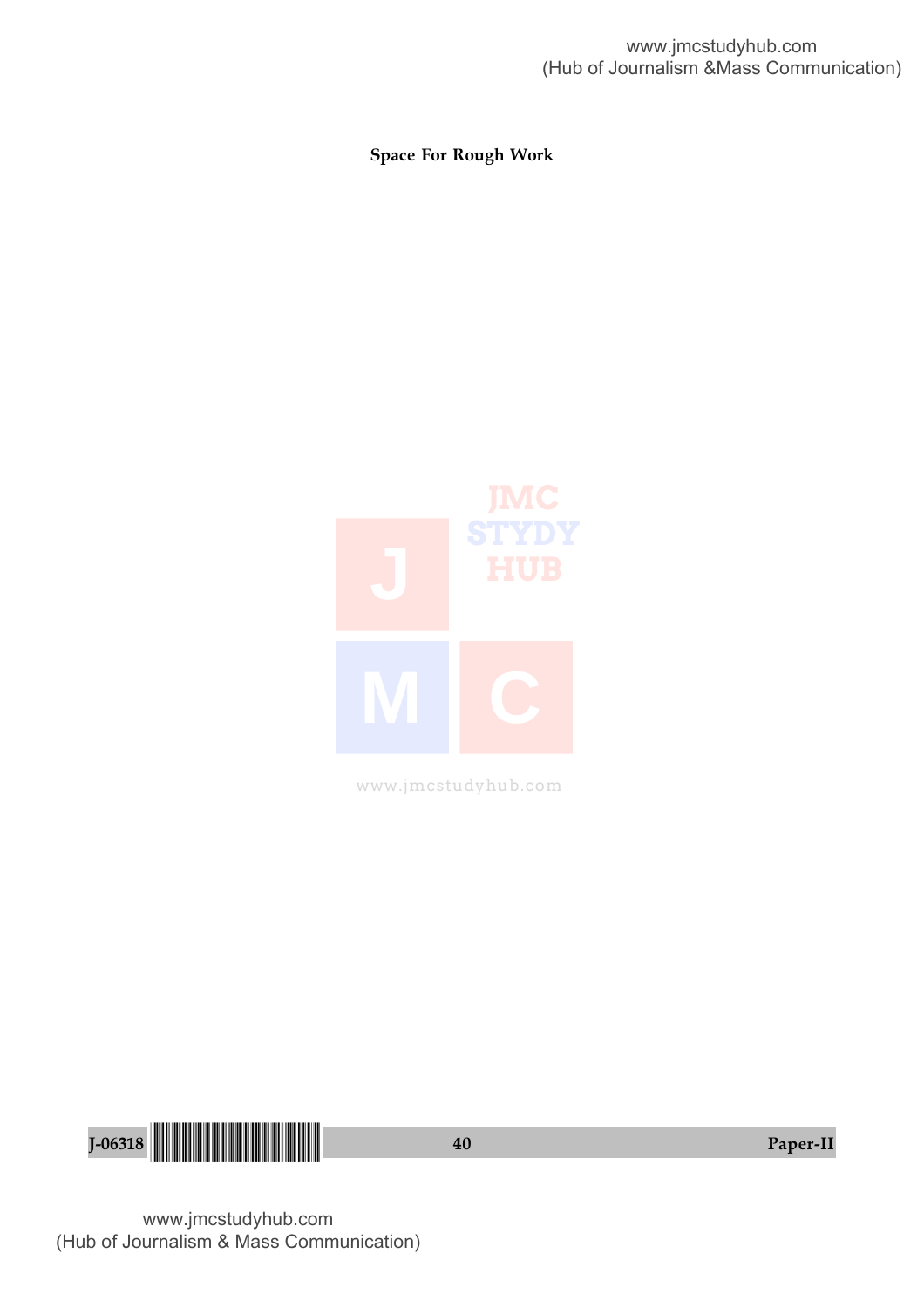Space For Rough Work



www.jmcstudyhub.com